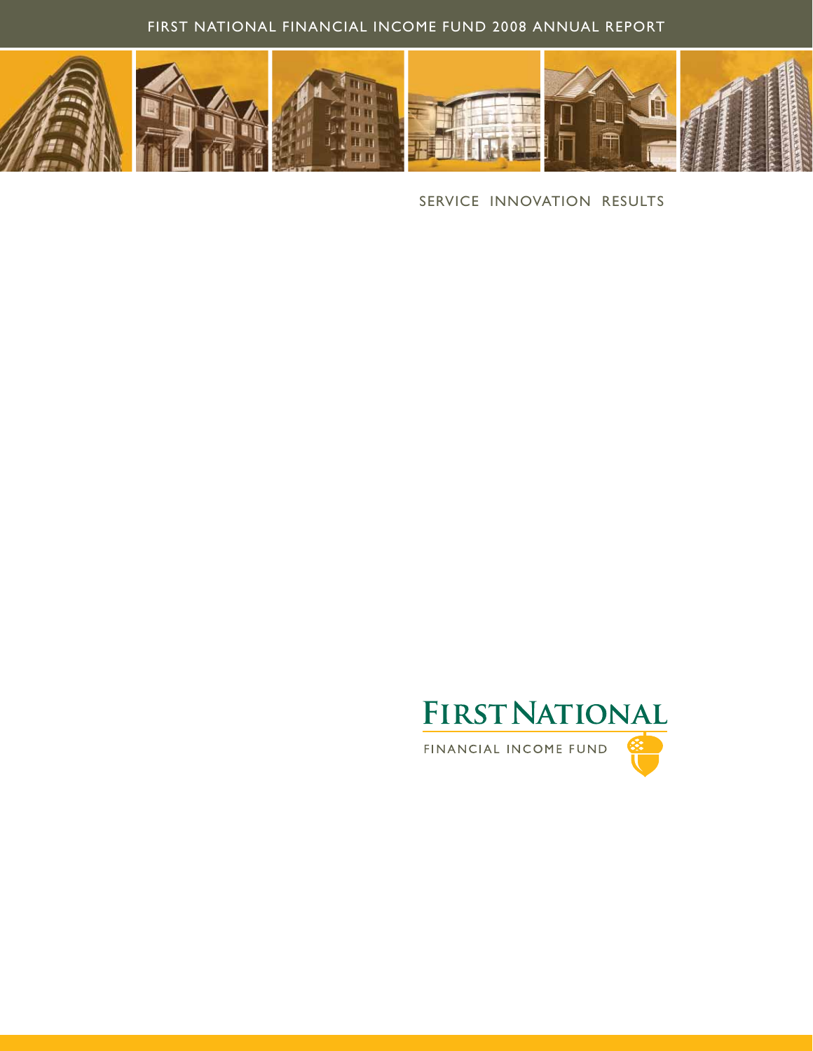### FIRST NATIONAL FINANCIAL INCOME FUND 2008 ANNUAL REPORT



SERVICE INNOVATION RESULTS

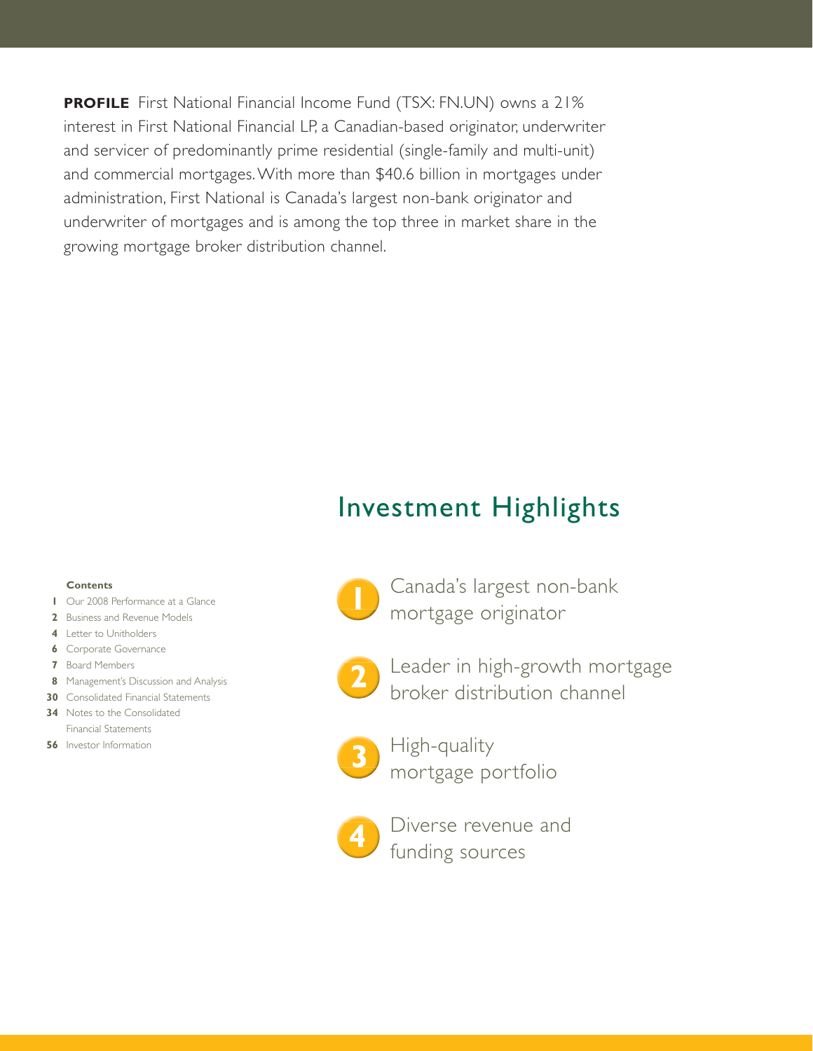**PROFILE** First National Financial Income Fund (TSX: FN.UN) owns a 21% interest in First National Financial LP, a Canadian-based originator, underwriter and servicer of predominantly prime residential (single-family and multi-unit) and commercial mortgages. With more than \$40.6 billion in mortgages under administration, First National is Canada's largest non-bank originator and underwriter of mortgages and is among the top three in market share in the growing mortgage broker distribution channel.

## Investment Highlights

### **Contents**

- **1** Our 2008 Performance at a Glance
- **2** Business and Revenue Models
- **4** Letter to Unitholders
- **6** Corporate Governance
- **7** Board Members
- **8** Management's Discussion and Analysis
- **30** Consolidated Financial Statements **34** Notes to the Consolidated Financial Statements
- **56** Investor Information



- Canada's largest non-bank mortgage originator
- 
- Leader in high-growth mortgage broker distribution channel



High-quality mortgage portfolio



Diverse revenue and funding sources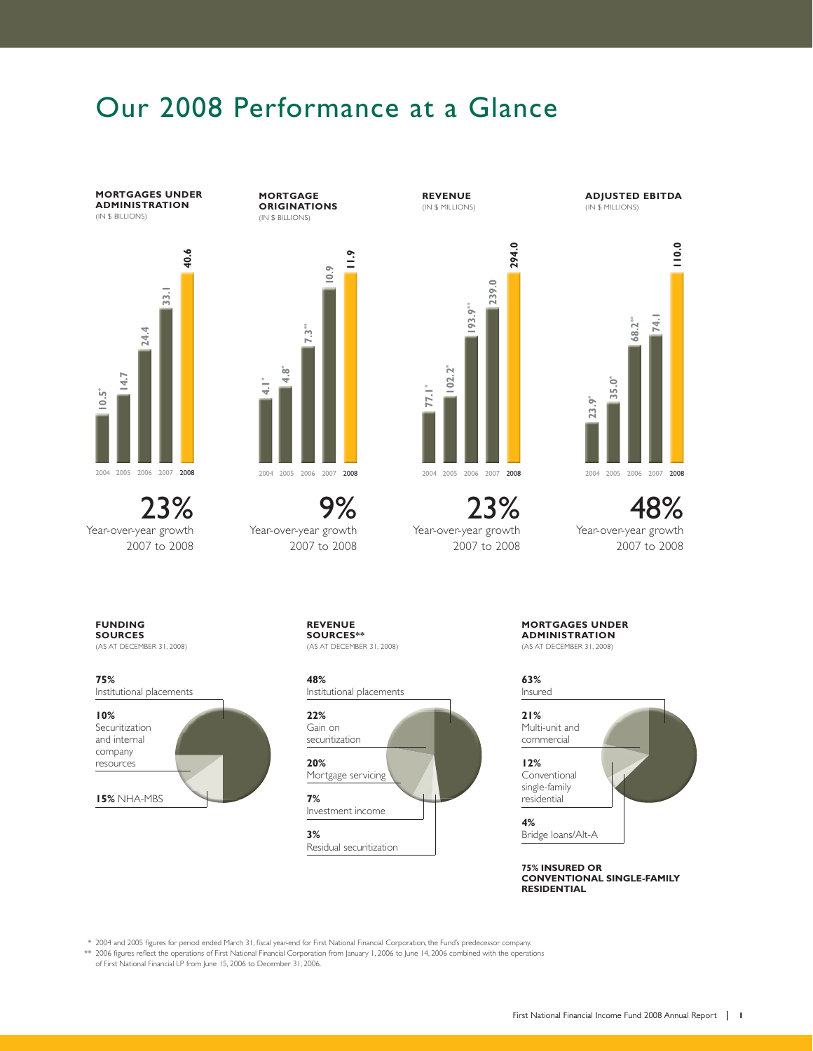# Our 2008 Performance at a Glance

**MORTGAGES UNDER ADMINISTRATION** (IN \$ BILLIONS)



23% Year-over-year growth 2007 to 2008

**MORTGAGE ORIGINATIONS** (IN \$ BILLIONS)



9% Year-over-year growth 2007 to 2008 **REVENUE** (IN \$ MILLIONS)



23% Year-over-year growth 2007 to 2008

**ADJUSTED EBITDA** (IN \$ MILLIONS)



48% Year-over-year growth 2007 to 2008

**FUNDING SOURCES**

(AS AT DECEMBER 31, 2008)

Institutional placements



**REVENUE SOURCES\*\*** (AS AT DECEMBER 31, 2008)

**48%**  Institutional placements



**MORTGAGES UNDER ADMINISTRATION** (AS AT DECEMBER 31, 2008)

**63%** 



**75% INSURED OR CONVENTIONAL SINGLE-FAMILY RESIDENTIAL**

\* 2004 and 2005 figures for period ended March 31, fiscal year-end for First National Financial Corporation, the Fund's predecessor company.

\*\* 2006 figures reflect the operations of First National Financial Corporation from January 1, 2006 to June 14, 2006 combined with the operations of First National Financial LP from June 15, 2006 to December 31, 2006.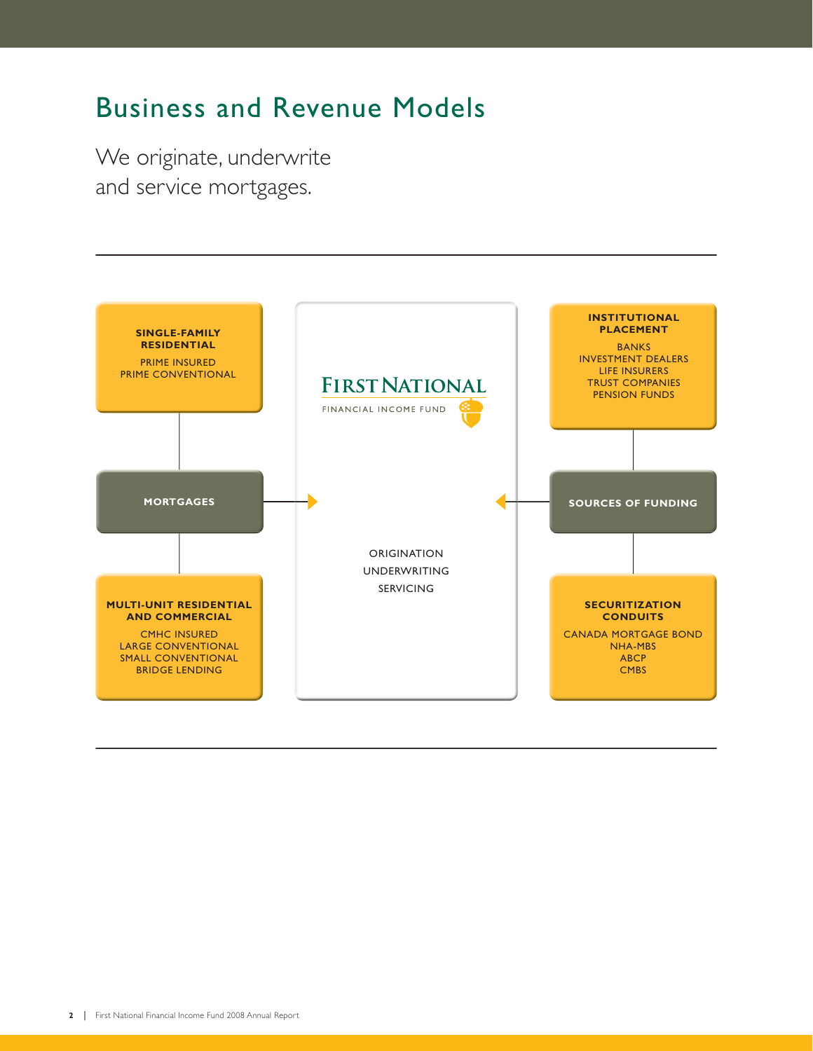# Business and Revenue Models

We originate, underwrite and service mortgages.

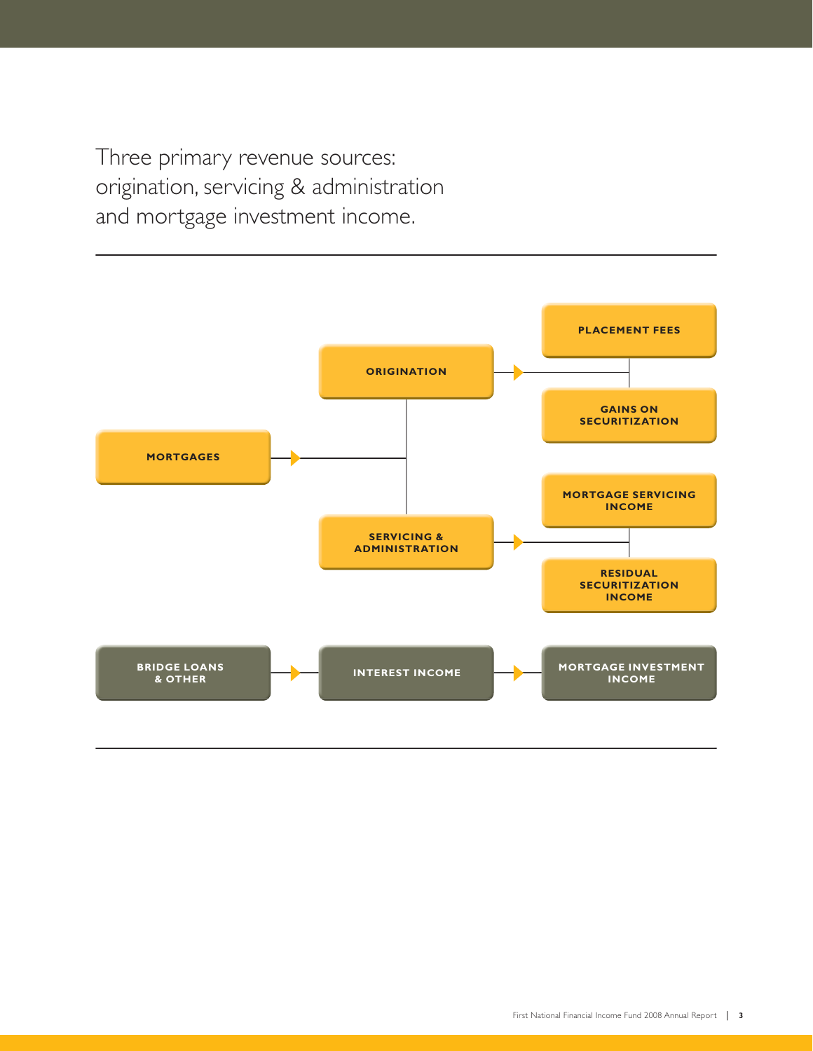Three primary revenue sources: origination, servicing & administration and mortgage investment income.

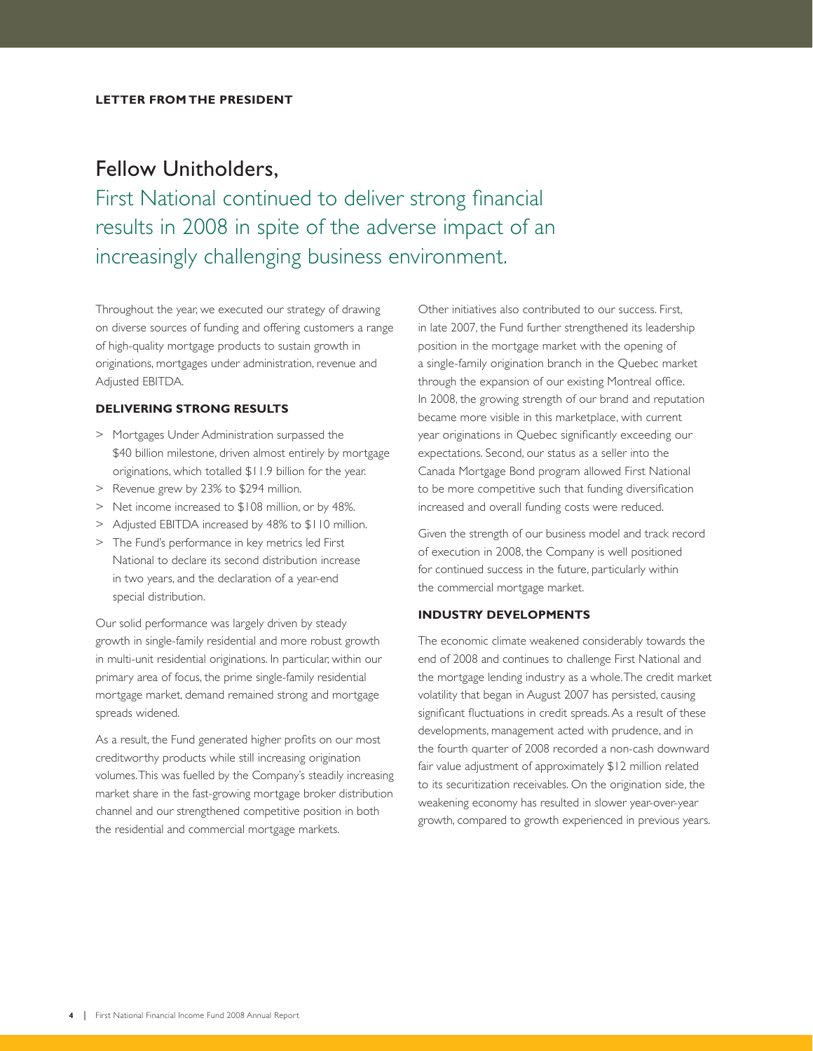## Fellow Unitholders,

First National continued to deliver strong financial results in 2008 in spite of the adverse impact of an increasingly challenging business environment.

Throughout the year, we executed our strategy of drawing on diverse sources of funding and offering customers a range of high-quality mortgage products to sustain growth in originations, mortgages under administration, revenue and Adjusted EBITDA.

### **DELIVERING STRONG RESULTS**

- > Mortgages Under Administration surpassed the \$40 billion milestone, driven almost entirely by mortgage originations, which totalled \$11.9 billion for the year.
- > Revenue grew by 23% to \$294 million.
- > Net income increased to \$108 million, or by 48%.
- > Adjusted EBITDA increased by 48% to \$110 million.
- > The Fund's performance in key metrics led First National to declare its second distribution increase in two years, and the declaration of a year-end special distribution.

Our solid performance was largely driven by steady growth in single-family residential and more robust growth in multi-unit residential originations. In particular, within our primary area of focus, the prime single-family residential mortgage market, demand remained strong and mortgage spreads widened.

As a result, the Fund generated higher profits on our most creditworthy products while still increasing origination volumes. This was fuelled by the Company's steadily increasing market share in the fast-growing mortgage broker distribution channel and our strengthened competitive position in both the residential and commercial mortgage markets.

Other initiatives also contributed to our success. First, in late 2007, the Fund further strengthened its leadership position in the mortgage market with the opening of a single-family origination branch in the Quebec market through the expansion of our existing Montreal office. In 2008, the growing strength of our brand and reputation became more visible in this marketplace, with current year originations in Quebec significantly exceeding our expectations. Second, our status as a seller into the Canada Mortgage Bond program allowed First National to be more competitive such that funding diversification increased and overall funding costs were reduced.

Given the strength of our business model and track record of execution in 2008, the Company is well positioned for continued success in the future, particularly within the commercial mortgage market.

### **INDUSTRY DEVELOPMENTS**

The economic climate weakened considerably towards the end of 2008 and continues to challenge First National and the mortgage lending industry as a whole. The credit market volatility that began in August 2007 has persisted, causing significant fluctuations in credit spreads. As a result of these developments, management acted with prudence, and in the fourth quarter of 2008 recorded a non-cash downward fair value adjustment of approximately \$12 million related to its securitization receivables. On the origination side, the weakening economy has resulted in slower year-over-year growth, compared to growth experienced in previous years.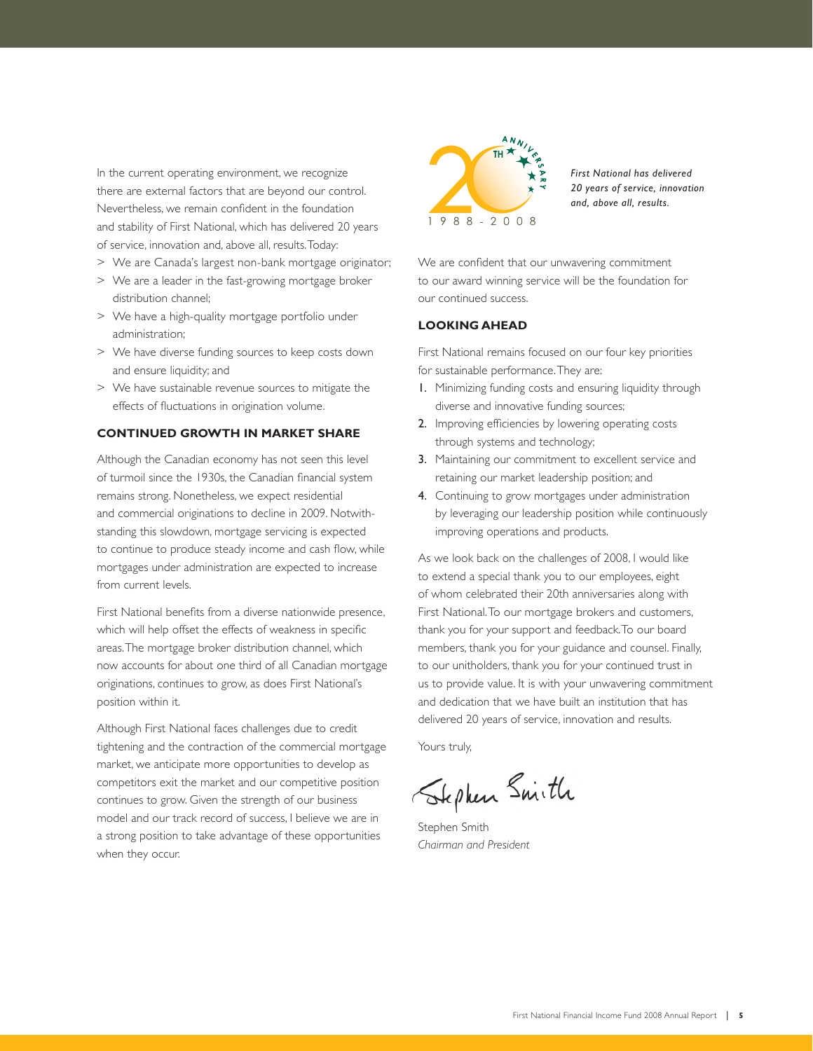In the current operating environment, we recognize there are external factors that are beyond our control. Nevertheless, we remain confident in the foundation and stability of First National, which has delivered 20 years of service, innovation and, above all, results. Today:

- > We are Canada's largest non-bank mortgage originator;
- > We are a leader in the fast-growing mortgage broker distribution channel;
- > We have a high-quality mortgage portfolio under administration;
- > We have diverse funding sources to keep costs down and ensure liquidity; and
- > We have sustainable revenue sources to mitigate the effects of fluctuations in origination volume.

### **CONTINUED GROWTH IN MARKET SHARE**

Although the Canadian economy has not seen this level of turmoil since the 1930s, the Canadian financial system remains strong. Nonetheless, we expect residential and commercial originations to decline in 2009. Notwithstanding this slowdown, mortgage servicing is expected to continue to produce steady income and cash flow, while mortgages under administration are expected to increase from current levels.

First National benefits from a diverse nationwide presence, which will help offset the effects of weakness in specific areas. The mortgage broker distribution channel, which now accounts for about one third of all Canadian mortgage originations, continues to grow, as does First National's position within it.

Although First National faces challenges due to credit tightening and the contraction of the commercial mortgage market, we anticipate more opportunities to develop as competitors exit the market and our competitive position continues to grow. Given the strength of our business model and our track record of success, I believe we are in a strong position to take advantage of these opportunities when they occur.



*First National has delivered 20 years of service, innovation and, above all, results.*

We are confident that our unwavering commitment to our award winning service will be the foundation for our continued success.

### **LOOKING AHEAD**

First National remains focused on our four key priorities for sustainable performance. They are:

- 1. Minimizing funding costs and ensuring liquidity through diverse and innovative funding sources;
- 2. Improving efficiencies by lowering operating costs through systems and technology;
- 3. Maintaining our commitment to excellent service and retaining our market leadership position; and
- 4. Continuing to grow mortgages under administration by leveraging our leadership position while continuously improving operations and products.

As we look back on the challenges of 2008, I would like to extend a special thank you to our employees, eight of whom celebrated their 20th anniversaries along with First National. To our mortgage brokers and customers, thank you for your support and feedback. To our board members, thank you for your guidance and counsel. Finally, to our unitholders, thank you for your continued trust in us to provide value. It is with your unwavering commitment and dedication that we have built an institution that has delivered 20 years of service, innovation and results.

Yours truly,

Stephen Smith

Stephen Smith *Chairman and President*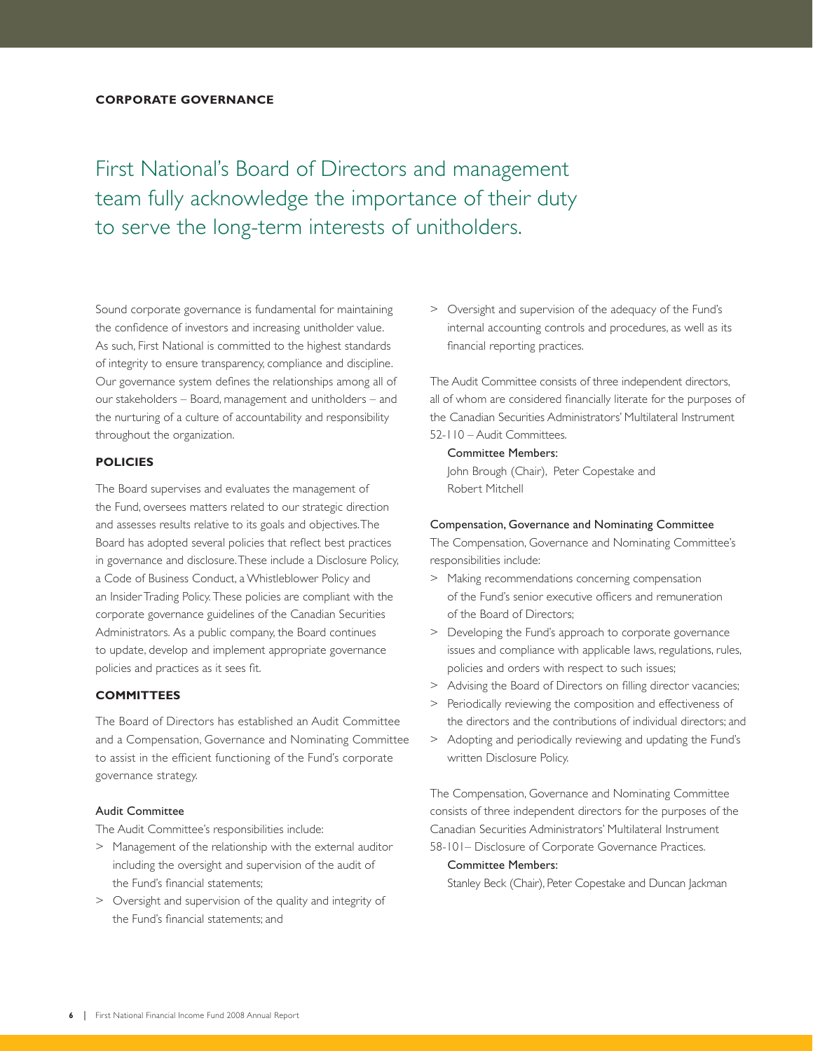First National's Board of Directors and management team fully acknowledge the importance of their duty to serve the long-term interests of unitholders.

Sound corporate governance is fundamental for maintaining the confidence of investors and increasing unitholder value. As such, First National is committed to the highest standards of integrity to ensure transparency, compliance and discipline. Our governance system defines the relationships among all of our stakeholders – Board, management and unitholders – and the nurturing of a culture of accountability and responsibility throughout the organization.

### **POLICIES**

The Board supervises and evaluates the management of the Fund, oversees matters related to our strategic direction and assesses results relative to its goals and objectives. The Board has adopted several policies that reflect best practices in governance and disclosure. These include a Disclosure Policy, a Code of Business Conduct, a Whistleblower Policy and an Insider Trading Policy. These policies are compliant with the corporate governance guidelines of the Canadian Securities Administrators. As a public company, the Board continues to update, develop and implement appropriate governance policies and practices as it sees fit.

### **COMMITTEES**

The Board of Directors has established an Audit Committee and a Compensation, Governance and Nominating Committee to assist in the efficient functioning of the Fund's corporate governance strategy.

### Audit Committee

The Audit Committee's responsibilities include:

- > Management of the relationship with the external auditor including the oversight and supervision of the audit of the Fund's financial statements;
- > Oversight and supervision of the quality and integrity of the Fund's financial statements; and

> Oversight and supervision of the adequacy of the Fund's internal accounting controls and procedures, as well as its financial reporting practices.

The Audit Committee consists of three independent directors, all of whom are considered financially literate for the purposes of the Canadian Securities Administrators' Multilateral Instrument 52-110 – Audit Committees.

### Committee Members:

 John Brough (Chair), Peter Copestake and Robert Mitchell

### Compensation, Governance and Nominating Committee

The Compensation, Governance and Nominating Committee's responsibilities include:

- > Making recommendations concerning compensation of the Fund's senior executive officers and remuneration of the Board of Directors;
- > Developing the Fund's approach to corporate governance issues and compliance with applicable laws, regulations, rules, policies and orders with respect to such issues;
- > Advising the Board of Directors on filling director vacancies;
- > Periodically reviewing the composition and effectiveness of the directors and the contributions of individual directors; and
- > Adopting and periodically reviewing and updating the Fund's written Disclosure Policy.

The Compensation, Governance and Nominating Committee consists of three independent directors for the purposes of the Canadian Securities Administrators' Multilateral Instrument 58-101– Disclosure of Corporate Governance Practices.

### Committee Members:

Stanley Beck (Chair), Peter Copestake and Duncan Jackman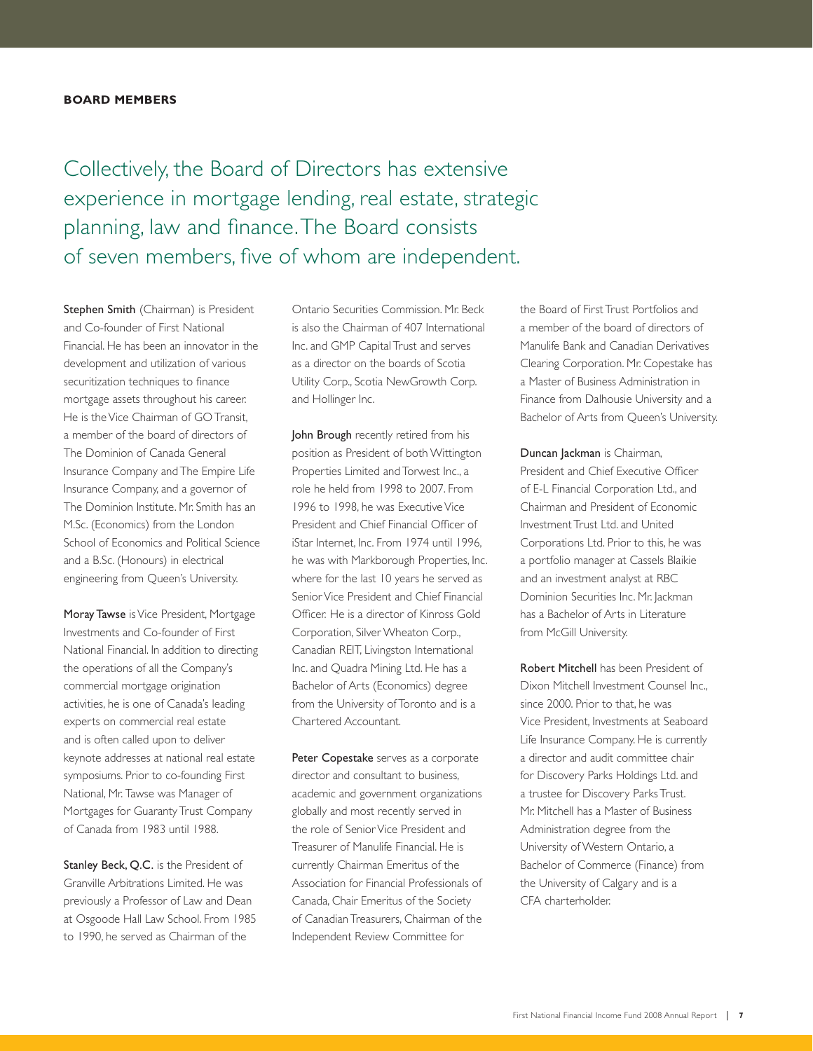### **BOARD MEMBERS**

Collectively, the Board of Directors has extensive experience in mortgage lending, real estate, strategic planning, law and finance. The Board consists of seven members, five of whom are independent.

Stephen Smith (Chairman) is President and Co-founder of First National Financial. He has been an innovator in the development and utilization of various securitization techniques to finance mortgage assets throughout his career. He is the Vice Chairman of GO Transit, a member of the board of directors of The Dominion of Canada General Insurance Company and The Empire Life Insurance Company, and a governor of The Dominion Institute. Mr. Smith has an M.Sc. (Economics) from the London School of Economics and Political Science and a B.Sc. (Honours) in electrical engineering from Queen's University.

Moray Tawse is Vice President, Mortgage Investments and Co-founder of First National Financial. In addition to directing the operations of all the Company's commercial mortgage origination activities, he is one of Canada's leading experts on commercial real estate and is often called upon to deliver keynote addresses at national real estate symposiums. Prior to co-founding First National, Mr. Tawse was Manager of Mortgages for Guaranty Trust Company of Canada from 1983 until 1988.

Stanley Beck, Q.C. is the President of Granville Arbitrations Limited. He was previously a Professor of Law and Dean at Osgoode Hall Law School. From 1985 to 1990, he served as Chairman of the

Ontario Securities Commission. Mr. Beck is also the Chairman of 407 International Inc. and GMP Capital Trust and serves as a director on the boards of Scotia Utility Corp., Scotia NewGrowth Corp. and Hollinger Inc.

John Brough recently retired from his position as President of both Wittington Properties Limited and Torwest Inc., a role he held from 1998 to 2007. From 1996 to 1998, he was Executive Vice President and Chief Financial Officer of iStar Internet, Inc. From 1974 until 1996, he was with Markborough Properties, Inc. where for the last 10 years he served as Senior Vice President and Chief Financial Officer. He is a director of Kinross Gold Corporation, Silver Wheaton Corp., Canadian REIT, Livingston International Inc. and Quadra Mining Ltd. He has a Bachelor of Arts (Economics) degree from the University of Toronto and is a Chartered Accountant.

Peter Copestake serves as a corporate director and consultant to business, academic and government organizations globally and most recently served in the role of Senior Vice President and Treasurer of Manulife Financial. He is currently Chairman Emeritus of the Association for Financial Professionals of Canada, Chair Emeritus of the Society of Canadian Treasurers, Chairman of the Independent Review Committee for

the Board of First Trust Portfolios and a member of the board of directors of Manulife Bank and Canadian Derivatives Clearing Corporation. Mr. Copestake has a Master of Business Administration in Finance from Dalhousie University and a Bachelor of Arts from Queen's University.

Duncan Jackman is Chairman, President and Chief Executive Officer of E-L Financial Corporation Ltd., and Chairman and President of Economic Investment Trust Ltd. and United Corporations Ltd. Prior to this, he was a portfolio manager at Cassels Blaikie and an investment analyst at RBC Dominion Securities Inc. Mr. Jackman has a Bachelor of Arts in Literature from McGill University.

Robert Mitchell has been President of Dixon Mitchell Investment Counsel Inc., since 2000. Prior to that, he was Vice President, Investments at Seaboard Life Insurance Company. He is currently a director and audit committee chair for Discovery Parks Holdings Ltd. and a trustee for Discovery Parks Trust. Mr. Mitchell has a Master of Business Administration degree from the University of Western Ontario, a Bachelor of Commerce (Finance) from the University of Calgary and is a CFA charterholder.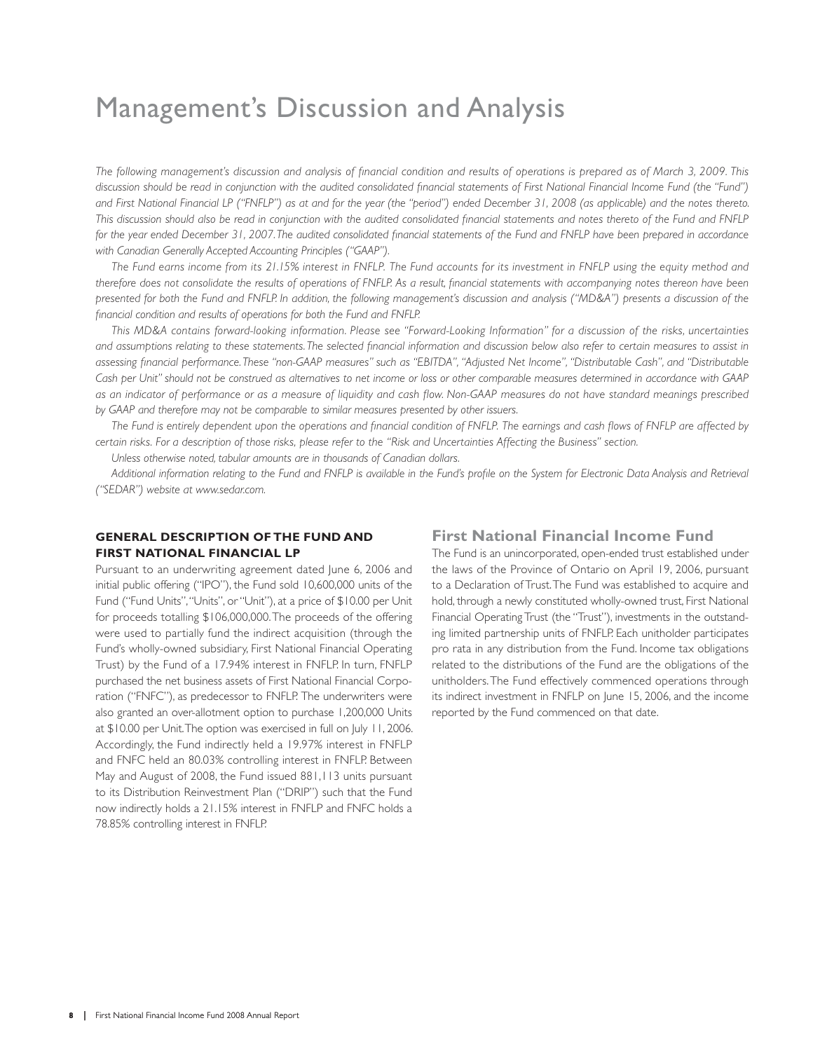# Management's Discussion and Analysis

The following management's discussion and analysis of financial condition and results of operations is prepared as of March 3, 2009. This discussion should be read in conjunction with the audited consolidated financial statements of First National Financial Income Fund (the "Fund") *and First National Financial LP ("FNFLP") as at and for the year (the "period") ended December 31, 2008 (as applicable) and the notes thereto.*  This discussion should also be read in conjunction with the audited consolidated financial statements and notes thereto of the Fund and FNFLP for the year ended December 31, 2007. The audited consolidated financial statements of the Fund and FNFLP have been prepared in accordance *with Canadian Generally Accepted Accounting Principles ("GAAP").*

*The Fund earns income from its 21.15% interest in FNFLP. The Fund accounts for its investment in FNFLP using the equity method and*  therefore does not consolidate the results of operations of FNFLP. As a result, financial statements with accompanying notes thereon have been *presented for both the Fund and FNFLP. In addition, the following management's discussion and analysis ("MD&A") presents a discussion of the*  financial condition and results of operations for both the Fund and FNFLP.

*This MD&A contains forward-looking information. Please see "Forward-Looking Information" for a discussion of the risks, uncertainties*  and assumptions relating to these statements. The selected financial information and discussion below also refer to certain measures to assist in assessing financial performance. These "non-GAAP measures" such as "EBITDA", "Adjusted Net Income", "Distributable Cash", and "Distributable *Cash per Unit" should not be construed as alternatives to net income or loss or other comparable measures determined in accordance with GAAP*  as an indicator of performance or as a measure of liquidity and cash flow. Non-GAAP measures do not have standard meanings prescribed *by GAAP and therefore may not be comparable to similar measures presented by other issuers.*

The Fund is entirely dependent upon the operations and financial condition of FNFLP. The earnings and cash flows of FNFLP are affected by *certain risks. For a description of those risks, please refer to the "Risk and Uncertainties Affecting the Business" section.*

*Unless otherwise noted, tabular amounts are in thousands of Canadian dollars.*

Additional information relating to the Fund and FNFLP is available in the Fund's profile on the System for Electronic Data Analysis and Retrieval *("SEDAR") website at www.sedar.com.*

### **GENERAL DESCRIPTION OF THE FUND AND FIRST NATIONAL FINANCIAL LP**

Pursuant to an underwriting agreement dated June 6, 2006 and initial public offering ("IPO"), the Fund sold 10,600,000 units of the Fund ("Fund Units", "Units", or "Unit"), at a price of \$10.00 per Unit for proceeds totalling \$106,000,000. The proceeds of the offering were used to partially fund the indirect acquisition (through the Fund's wholly-owned subsidiary, First National Financial Operating Trust) by the Fund of a 17.94% interest in FNFLP. In turn, FNFLP purchased the net business assets of First National Financial Corporation ("FNFC"), as predecessor to FNFLP. The underwriters were also granted an over-allotment option to purchase 1,200,000 Units at \$10.00 per Unit. The option was exercised in full on July 11, 2006. Accordingly, the Fund indirectly held a 19.97% interest in FNFLP and FNFC held an 80.03% controlling interest in FNFLP. Between May and August of 2008, the Fund issued 881,113 units pursuant to its Distribution Reinvestment Plan ("DRIP") such that the Fund now indirectly holds a 21.15% interest in FNFLP and FNFC holds a 78.85% controlling interest in FNFLP. **FIRST NATIONAL FINON OF THE FUNDANID** First National Financial Income Fund<br>FIRST NATIONAL FINANCIAL LP FEW Mational Financial Convertise formula Financial Income<br>Financial to a meteorities agreement detail (i.e., 2006 an

The Fund is an unincorporated, open-ended trust established under the laws of the Province of Ontario on April 19, 2006, pursuant to a Declaration of Trust. The Fund was established to acquire and hold, through a newly constituted wholly-owned trust, First National Financial Operating Trust (the "Trust"), investments in the outstanding limited partnership units of FNFLP. Each unitholder participates pro rata in any distribution from the Fund. Income tax obligations related to the distributions of the Fund are the obligations of the unitholders. The Fund effectively commenced operations through its indirect investment in FNFLP on June 15, 2006, and the income reported by the Fund commenced on that date.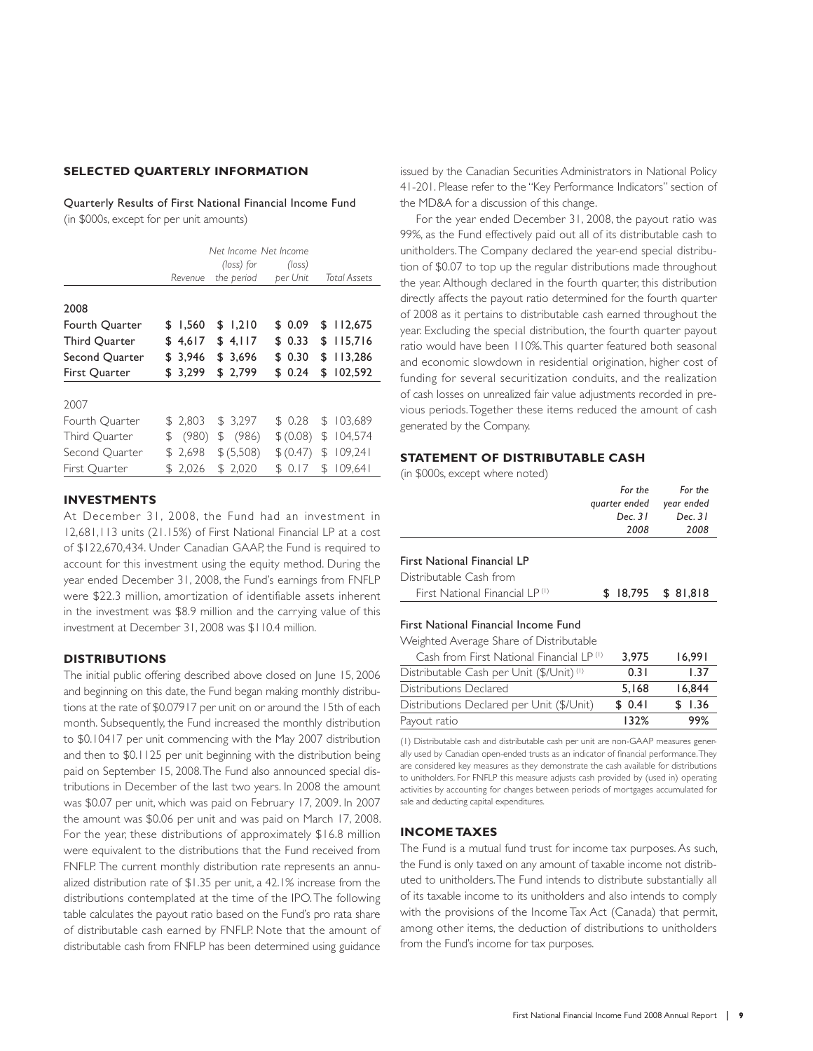### **SELECTED QUARTERLY INFORMATION**

Quarterly Results of First National Financial Income Fund (in \$000s, except for per unit amounts)

|                      | Net Income Net Income<br>Revenue | Total Assets |           |               |
|----------------------|----------------------------------|--------------|-----------|---------------|
| 2008                 |                                  |              |           |               |
| Fourth Quarter       | \$1.560                          | \$1.210      | \$ 0.09   | \$112,675     |
| <b>Third Quarter</b> | \$4,617                          | \$4,117      | \$0.33    | \$115,716     |
| Second Quarter       | \$3.946                          | \$3,696      | \$0.30    | \$113,286     |
| First Quarter        | \$3,299                          | \$2,799      | \$0.24    | \$102,592     |
| 2007                 |                                  |              |           |               |
| Fourth Quarter       | \$2.803                          | \$3.297      | \$0.28    | \$103.689     |
| Third Quarter        | (980)<br>\$                      | \$ (986)     | \$ (0.08) | 104,574<br>\$ |
| Second Quarter       | \$2,698                          | \$ (5,508)   | \$ (0.47) | 109,241<br>\$ |
| First Ouarter        | \$2,026                          | \$2,020      | \$0.17    | 109.641<br>\$ |

### **INVESTMENTS**

At December 31, 2008, the Fund had an investment in 12,681,113 units (21.15%) of First National Financial LP at a cost of \$122,670,434. Under Canadian GAAP, the Fund is required to account for this investment using the equity method. During the year ended December 31, 2008, the Fund's earnings from FNFLP were \$22.3 million, amortization of identifiable assets inherent in the investment was \$8.9 million and the carrying value of this investment at December 31, 2008 was \$110.4 million.

### **DISTRIBUTIONS**

The initial public offering described above closed on June 15, 2006 and beginning on this date, the Fund began making monthly distributions at the rate of \$0.07917 per unit on or around the 15th of each month. Subsequently, the Fund increased the monthly distribution to \$0.10417 per unit commencing with the May 2007 distribution and then to \$0.1125 per unit beginning with the distribution being paid on September 15, 2008. The Fund also announced special distributions in December of the last two years. In 2008 the amount was \$0.07 per unit, which was paid on February 17, 2009. In 2007 the amount was \$0.06 per unit and was paid on March 17, 2008. For the year, these distributions of approximately \$16.8 million were equivalent to the distributions that the Fund received from FNFLP. The current monthly distribution rate represents an annualized distribution rate of \$1.35 per unit, a 42.1% increase from the distributions contemplated at the time of the IPO. The following table calculates the payout ratio based on the Fund's pro rata share of distributable cash earned by FNFLP. Note that the amount of distributable cash from FNFLP has been determined using guidance 41-201. Please refer to the "Key Performance Indicators" section of the MD&A for a discussion of this change.

issued by the Canadian Securities Administrators in National Policy<br>
Administrators in National Policy Administrators in National Policy Ter the WSA for a discussion of this change.<br>
The Hy paracented Descenter 8.1, 2008, For the year ended December 31, 2008, the payout ratio was 99%, as the Fund effectively paid out all of its distributable cash to unitholders. The Company declared the year-end special distribution of \$0.07 to top up the regular distributions made throughout the year. Although declared in the fourth quarter, this distribution directly affects the payout ratio determined for the fourth quarter of 2008 as it pertains to distributable cash earned throughout the year. Excluding the special distribution, the fourth quarter payout ratio would have been 110%. This quarter featured both seasonal and economic slowdown in residential origination, higher cost of funding for several securitization conduits, and the realization of cash losses on unrealized fair value adjustments recorded in previous periods. Together these items reduced the amount of cash generated by the Company.

### **STATEMENT OF DISTRIBUTABLE CASH**

(in \$000s, except where noted)

| For the                  | For the   |
|--------------------------|-----------|
| quarter ended year ended |           |
| Dec. 31                  | Dec. $31$ |
| 2008                     | 2008      |
|                          |           |

### First National Financial LP

| Distributable Cash from        |                     |  |
|--------------------------------|---------------------|--|
| First National Financial LP(1) | $$18,795$ $$81,818$ |  |

### First National Financial Income Fund

Weighted Average Share of Distributable

| Cash from First National Financial LP(1)  | 3.975  | 16.991 |
|-------------------------------------------|--------|--------|
| Distributable Cash per Unit (\$/Unit) (1) | 0.31   | 1.37   |
| Distributions Declared                    | 5.168  | 16.844 |
| Distributions Declared per Unit (\$/Unit) | \$0.41 | \$1.36 |
| Payout ratio                              | 132%   | 99%    |

(1) Distributable cash and distributable cash per unit are non-GAAP measures generally used by Canadian open-ended trusts as an indicator of financial performance. They are considered key measures as they demonstrate the cash available for distributions to unitholders. For FNFLP this measure adjusts cash provided by (used in) operating activities by accounting for changes between periods of mortgages accumulated for sale and deducting capital expenditures.

### **INCOME TAXES**

The Fund is a mutual fund trust for income tax purposes. As such, the Fund is only taxed on any amount of taxable income not distributed to unitholders. The Fund intends to distribute substantially all of its taxable income to its unitholders and also intends to comply with the provisions of the Income Tax Act (Canada) that permit, among other items, the deduction of distributions to unitholders from the Fund's income for tax purposes.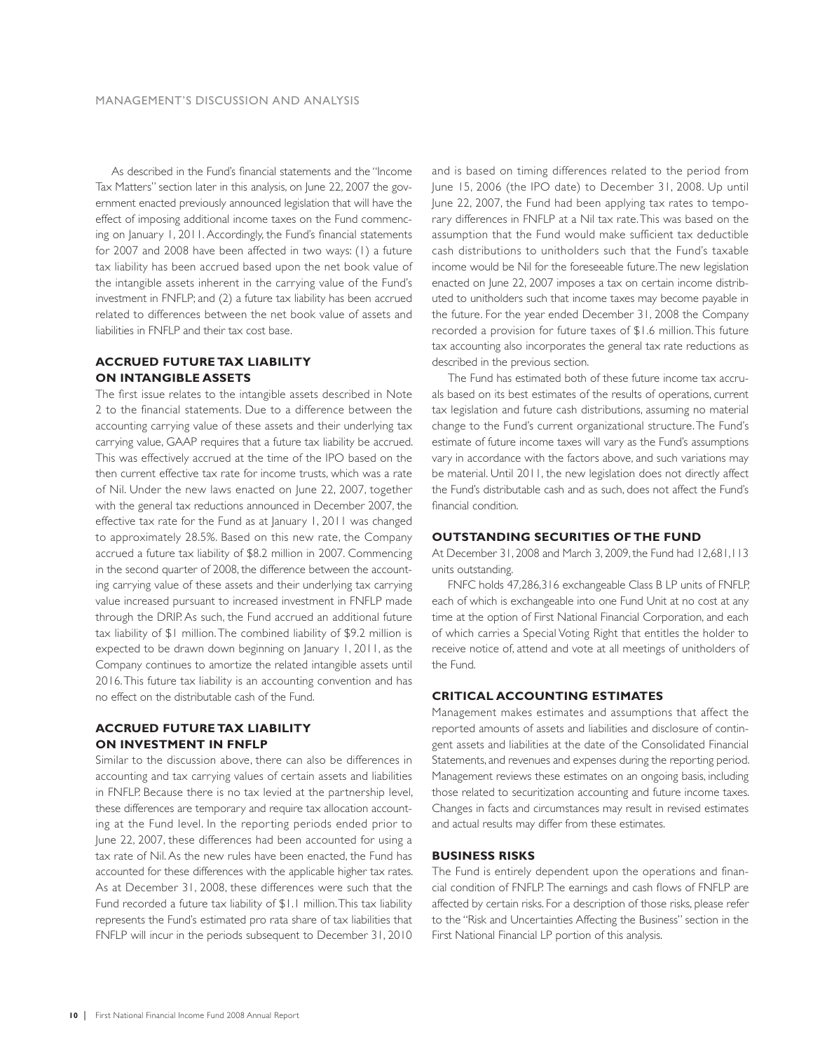As described in the Fund's financial statements and the "Income" Tax Matters" section later in this analysis, on June 22, 2007 the government enacted previously announced legislation that will have the effect of imposing additional income taxes on the Fund commencing on January 1, 2011. Accordingly, the Fund's financial statements for 2007 and 2008 have been affected in two ways: (1) a future tax liability has been accrued based upon the net book value of the intangible assets inherent in the carrying value of the Fund's investment in FNFLP; and (2) a future tax liability has been accrued related to differences between the net book value of assets and liabilities in FNFLP and their tax cost base.

### **ACCRUED FUTURE TAX LIABILITY ON INTANGIBLE ASSETS**

The first issue relates to the intangible assets described in Note 2 to the financial statements. Due to a difference between the accounting carrying value of these assets and their underlying tax carrying value, GAAP requires that a future tax liability be accrued. This was effectively accrued at the time of the IPO based on the then current effective tax rate for income trusts, which was a rate of Nil. Under the new laws enacted on June 22, 2007, together with the general tax reductions announced in December 2007, the effective tax rate for the Fund as at January 1, 2011 was changed to approximately 28.5%. Based on this new rate, the Company accrued a future tax liability of \$8.2 million in 2007. Commencing in the second quarter of 2008, the difference between the accounting carrying value of these assets and their underlying tax carrying value increased pursuant to increased investment in FNFLP made through the DRIP. As such, the Fund accrued an additional future tax liability of \$1 million. The combined liability of \$9.2 million is expected to be drawn down beginning on January 1, 2011, as the Company continues to amortize the related intangible assets until 2016. This future tax liability is an accounting convention and has no effect on the distributable cash of the Fund.

### **ACCRUED FUTURE TAX LIABILITY ON INVESTMENT IN FNFLP**

Similar to the discussion above, there can also be differences in accounting and tax carrying values of certain assets and liabilities in FNFLP. Because there is no tax levied at the partnership level, these differences are temporary and require tax allocation accounting at the Fund level. In the reporting periods ended prior to June 22, 2007, these differences had been accounted for using a tax rate of Nil. As the new rules have been enacted, the Fund has accounted for these differences with the applicable higher tax rates. As at December 31, 2008, these differences were such that the Fund recorded a future tax liability of \$1.1 million. This tax liability represents the Fund's estimated pro rata share of tax liabilities that FNFLP will incur in the periods subsequent to December 31, 2010

and is based on timing differences related to the period from June 15, 2006 (the IPO date) to December 31, 2008. Up until June 22, 2007, the Fund had been applying tax rates to temporary differences in FNFLP at a Nil tax rate. This was based on the assumption that the Fund would make sufficient tax deductible cash distributions to unitholders such that the Fund's taxable income would be Nil for the foreseeable future. The new legislation enacted on June 22, 2007 imposes a tax on certain income distributed to unitholders such that income taxes may become payable in the future. For the year ended December 31, 2008 the Company recorded a provision for future taxes of \$1.6 million. This future tax accounting also incorporates the general tax rate reductions as described in the previous section.

The Fund has estimated both of these future income tax accruals based on its best estimates of the results of operations, current tax legislation and future cash distributions, assuming no material change to the Fund's current organizational structure. The Fund's estimate of future income taxes will vary as the Fund's assumptions vary in accordance with the factors above, and such variations may be material. Until 2011, the new legislation does not directly affect the Fund's distributable cash and as such, does not affect the Fund's financial condition.

### **OUTSTANDING SECURITIES OF THE FUND**

At December 31, 2008 and March 3, 2009, the Fund had 12,681,113 units outstanding.

FNFC holds 47,286,316 exchangeable Class B LP units of FNFLP, each of which is exchangeable into one Fund Unit at no cost at any time at the option of First National Financial Corporation, and each of which carries a Special Voting Right that entitles the holder to receive notice of, attend and vote at all meetings of unitholders of the Fund.

### **CRITICAL ACCOUNTING ESTIMATES**

Management makes estimates and assumptions that affect the reported amounts of assets and liabilities and disclosure of contingent assets and liabilities at the date of the Consolidated Financial Statements, and revenues and expenses during the reporting period. Management reviews these estimates on an ongoing basis, including those related to securitization accounting and future income taxes. Changes in facts and circumstances may result in revised estimates and actual results may differ from these estimates.

### **BUSINESS RISKS**

The Fund is entirely dependent upon the operations and financial condition of FNFLP. The earnings and cash flows of FNFLP are affected by certain risks. For a description of those risks, please refer to the "Risk and Uncertainties Affecting the Business" section in the First National Financial LP portion of this analysis.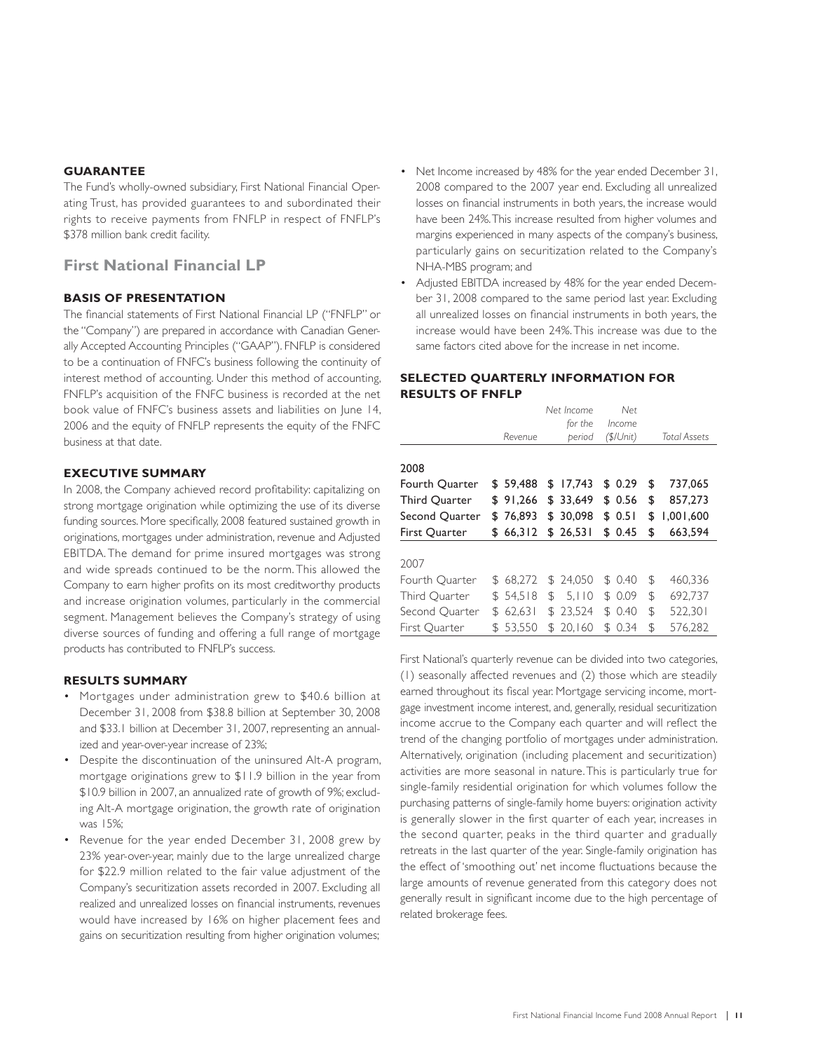### **GUARANTEE**

The Fund's wholly-owned subsidiary, First National Financial Operating Trust, has provided guarantees to and subordinated their rights to receive payments from FNFLP in respect of FNFLP's \$378 million bank credit facility.

### **First National Financial LP**

### **BASIS OF PRESENTATION**

The financial statements of First National Financial LP ("FNFLP" or the "Company") are prepared in accordance with Canadian Generally Accepted Accounting Principles ("GAAP"). FNFLP is considered to be a continuation of FNFC's business following the continuity of interest method of accounting. Under this method of accounting, FNFLP's acquisition of the FNFC business is recorded at the net book value of FNFC's business assets and liabilities on June 14, 2006 and the equity of FNFLP represents the equity of the FNFC business at that date.

### **EXECUTIVE SUMMARY**

In 2008, the Company achieved record profitability: capitalizing on strong mortgage origination while optimizing the use of its diverse funding sources. More specifically, 2008 featured sustained growth in originations, mortgages under administration, revenue and Adjusted EBITDA. The demand for prime insured mortgages was strong and wide spreads continued to be the norm. This allowed the Company to earn higher profits on its most creditworthy products and increase origination volumes, particularly in the commercial segment. Management believes the Company's strategy of using diverse sources of funding and offering a full range of mortgage products has contributed to FNFLP's success.

### **RESULTS SUMMARY**

- Mortgages under administration grew to \$40.6 billion at December 31, 2008 from \$38.8 billion at September 30, 2008 and \$33.1 billion at December 31, 2007, representing an annualized and year-over-year increase of 23%;
- Despite the discontinuation of the uninsured Alt-A program, mortgage originations grew to \$11.9 billion in the year from \$10.9 billion in 2007, an annualized rate of growth of 9%; excluding Alt-A mortgage origination, the growth rate of origination was 15%;
- Revenue for the year ended December 31, 2008 grew by 23% year-over-year, mainly due to the large unrealized charge for \$22.9 million related to the fair value adjustment of the Company's securitization assets recorded in 2007. Excluding all realized and unrealized losses on financial instruments, revenues would have increased by 16% on higher placement fees and gains on securitization resulting from higher origination volumes;
- Net Income increased by 48% for the year ended December 31, 2008 compared to the 2007 year end. Excluding all unrealized losses on financial instruments in both years, the increase would have been 24%. This increase resulted from higher volumes and margins experienced in many aspects of the company's business, particularly gains on securitization related to the Company's NHA-MBS program; and
- Adjusted EBITDA increased by 48% for the year ended December 31, 2008 compared to the same period last year. Excluding all unrealized losses on financial instruments in both years, the increase would have been 24%. This increase was due to the same factors cited above for the increase in net income.

### **SELECTED QUARTERLY INFORMATION FOR RESULTS OF FNFLP**

|                      |     | Revenue  | Net Income<br>for the<br>period |     | Net<br>Income<br>$($ \$/Unit $)$ | Total Assets    |
|----------------------|-----|----------|---------------------------------|-----|----------------------------------|-----------------|
| 2008                 |     |          |                                 |     |                                  |                 |
| Fourth Quarter       |     | \$59,488 | \$<br>17.743                    | \$  | 0.29                             | \$<br>737,065   |
| <b>Third Quarter</b> |     | \$91,266 | \$33,649                        |     | \$0.56                           | \$<br>857,273   |
| Second Quarter       |     | \$76,893 | \$ 30,098                       |     | \$0.51                           | \$<br>1,001,600 |
| First Quarter        |     | \$66,312 | \$26,531                        |     | \$0.45                           | \$<br>663,594   |
| 2007                 |     |          |                                 |     |                                  |                 |
| Fourth Quarter       |     | \$68.272 | \$24.050                        | S   | -0.40                            | \$<br>460,336   |
| Third Quarter        |     | \$54.518 | \$<br>5.110                     |     | \$0.09                           | \$<br>692,737   |
| Second Quarter       | \$. | 62,631   | \$23.524                        |     | \$0.40                           | \$<br>522,301   |
| First Ouarter        |     | \$53,550 | \$20.160                        | \$. | 0.34                             | \$<br>576,282   |

First National's quarterly revenue can be divided into two categories, (1) seasonally affected revenues and (2) those which are steadily earned throughout its fiscal year. Mortgage servicing income, mortgage investment income interest, and, generally, residual securitization income accrue to the Company each quarter and will reflect the trend of the changing portfolio of mortgages under administration. Alternatively, origination (including placement and securitization) activities are more seasonal in nature. This is particularly true for single-family residential origination for which volumes follow the purchasing patterns of single-family home buyers: origination activity is generally slower in the first quarter of each year, increases in the second quarter, peaks in the third quarter and gradually retreats in the last quarter of the year. Single-family origination has the effect of 'smoothing out' net income fluctuations because the large amounts of revenue generated from this category does not generally result in significant income due to the high percentage of related brokerage fees.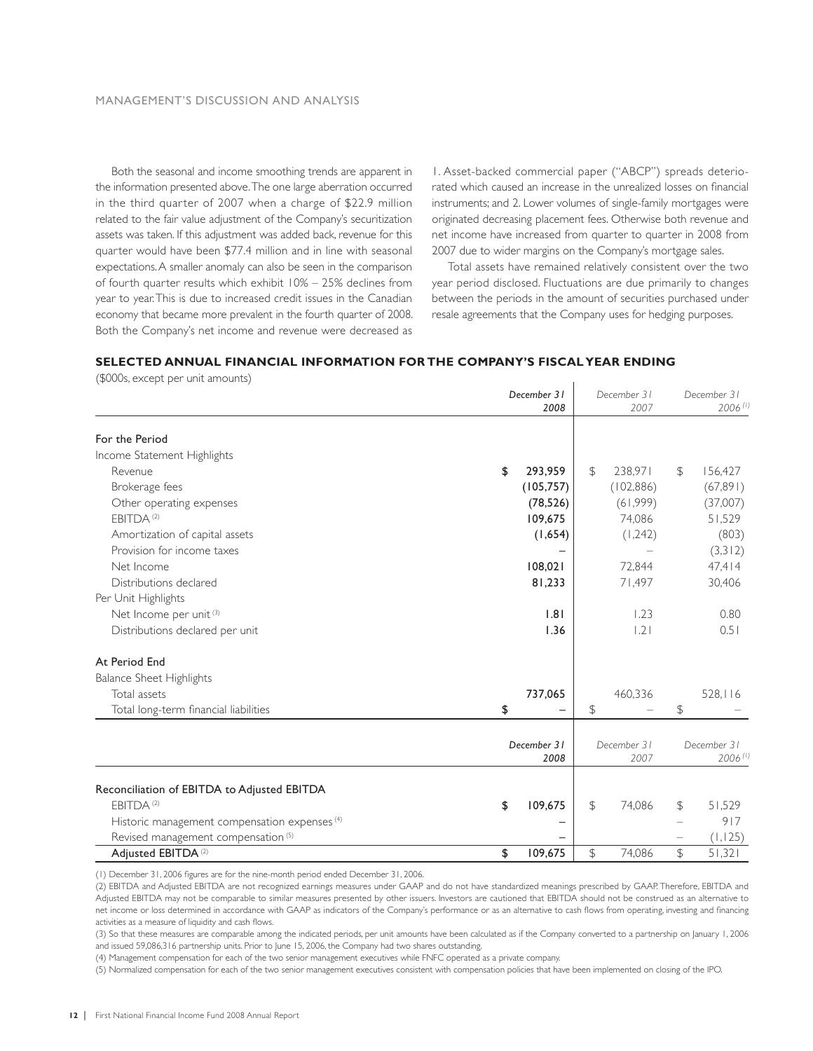Both the seasonal and income smoothing trends are apparent in the information presented above. The one large aberration occurred in the third quarter of 2007 when a charge of \$22.9 million related to the fair value adjustment of the Company's securitization assets was taken. If this adjustment was added back, revenue for this quarter would have been \$77.4 million and in line with seasonal expectations. A smaller anomaly can also be seen in the comparison of fourth quarter results which exhibit 10% – 25% declines from year to year. This is due to increased credit issues in the Canadian economy that became more prevalent in the fourth quarter of 2008. Both the Company's net income and revenue were decreased as

1. Asset-backed commercial paper ("ABCP") spreads deteriorated which caused an increase in the unrealized losses on financial instruments; and 2. Lower volumes of single-family mortgages were originated decreasing placement fees. Otherwise both revenue and net income have increased from quarter to quarter in 2008 from 2007 due to wider margins on the Company's mortgage sales.

Total assets have remained relatively consistent over the two year period disclosed. Fluctuations are due primarily to changes between the periods in the amount of securities purchased under resale agreements that the Company uses for hedging purposes.

### **SELECTED ANNUAL FINANCIAL INFORMATION FOR THE COMPANY'S FISCAL YEAR ENDING**

(\$000s, except per unit amounts)

|                                                          | December 31<br>2008 |               | December 31<br>2007 |               | December 31<br>$2006$ <sup>(1)</sup> |
|----------------------------------------------------------|---------------------|---------------|---------------------|---------------|--------------------------------------|
| For the Period                                           |                     |               |                     |               |                                      |
| Income Statement Highlights                              |                     |               |                     |               |                                      |
| Revenue                                                  | \$<br>293,959       | $\mathcal{F}$ | 238,971             | $\mathcal{F}$ | 156,427                              |
| Brokerage fees                                           | (105, 757)          |               | (102, 886)          |               | (67,891)                             |
| Other operating expenses                                 | (78, 526)           |               | (61,999)            |               | (37,007)                             |
| FBITDA <sup>(2)</sup>                                    | 109,675             |               | 74,086              |               | 51,529                               |
| Amortization of capital assets                           | (1,654)             |               | (1,242)             |               | (803)                                |
| Provision for income taxes                               |                     |               |                     |               | (3,312)                              |
| Net Income                                               | 108,021             |               | 72,844              |               | 47,414                               |
| Distributions declared                                   | 81,233              |               | 71,497              |               | 30,406                               |
| Per Unit Highlights                                      |                     |               |                     |               |                                      |
| Net Income per unit <sup>(3)</sup>                       | 1.81                |               | 1.23                |               | 0.80                                 |
| Distributions declared per unit                          | 1.36                |               | .2                  |               | 0.51                                 |
| At Period End                                            |                     |               |                     |               |                                      |
| Balance Sheet Highlights                                 |                     |               |                     |               |                                      |
| Total assets                                             | 737,065             |               | 460,336             |               | 528,116                              |
| Total long-term financial liabilities                    | \$                  | \$            |                     | \$            |                                      |
|                                                          | December 31         |               | December 31         |               | December 31                          |
|                                                          | 2008                |               | 2007                |               | $2006$ <sup>(1)</sup>                |
| Reconciliation of EBITDA to Adjusted EBITDA              |                     |               |                     |               |                                      |
| EBITDA <sup>(2)</sup>                                    | 109,675<br>\$       | $\mathcal{F}$ | 74,086              | \$            | 51,529                               |
| Historic management compensation expenses <sup>(4)</sup> |                     |               |                     |               | 917                                  |
| Revised management compensation <sup>(5)</sup>           |                     |               |                     |               | (1, 125)                             |
| Adjusted EBITDA <sup>(2)</sup>                           | \$<br>109,675       | \$            | 74,086              | $\mathcal{L}$ | 51,321                               |

(1) December 31, 2006 figures are for the nine-month period ended December 31, 2006.

(2) EBITDA and Adjusted EBITDA are not recognized earnings measures under GAAP and do not have standardized meanings prescribed by GAAP. Therefore, EBITDA and Adjusted EBITDA may not be comparable to similar measures presented by other issuers. Investors are cautioned that EBITDA should not be construed as an alternative to net income or loss determined in accordance with GAAP as indicators of the Company's performance or as an alternative to cash flows from operating, investing and financing activities as a measure of liquidity and cash flows.

(3) So that these measures are comparable among the indicated periods, per unit amounts have been calculated as if the Company converted to a partnership on January 1, 2006 and issued 59,086,316 partnership units. Prior to June 15, 2006, the Company had two shares outstanding.

(4)Management compensation for each of the two senior management executives while FNFC operated as a private company.

(5)Normalized compensation for each of the two senior management executives consistent with compensation policies that have been implemented on closing of the IPO.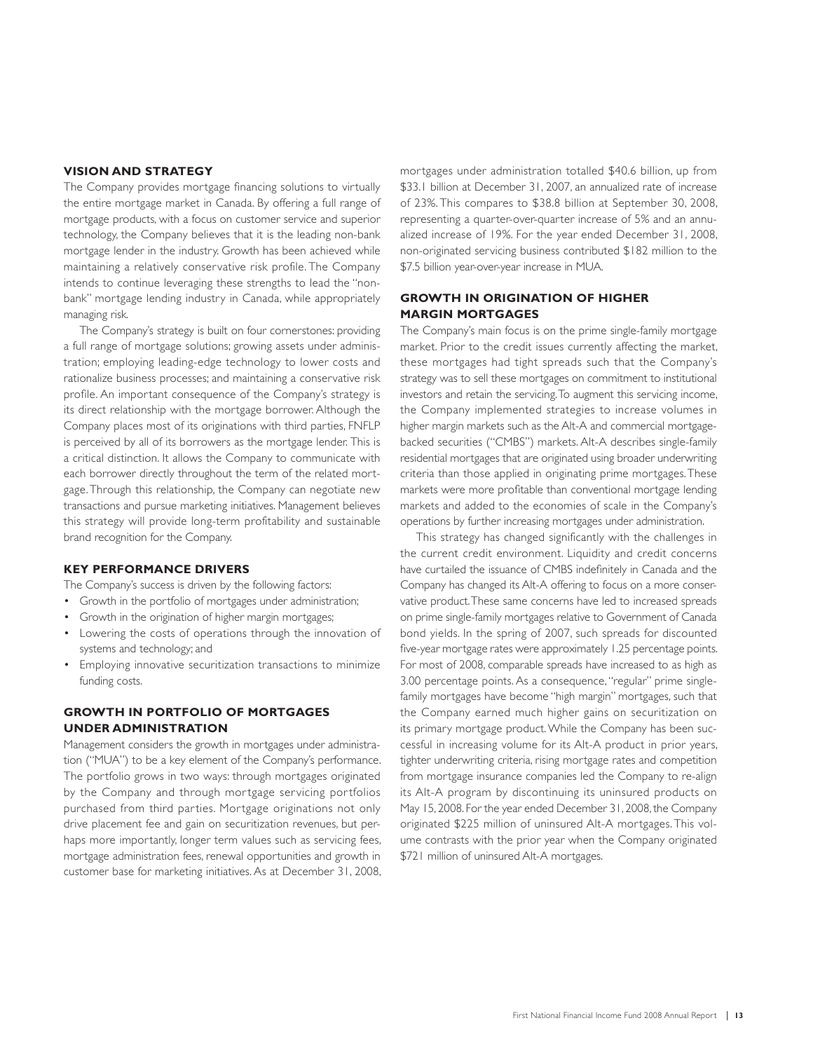### **VISION AND STRATEGY**

The Company provides mortgage financing solutions to virtually the entire mortgage market in Canada. By offering a full range of mortgage products, with a focus on customer service and superior technology, the Company believes that it is the leading non-bank mortgage lender in the industry. Growth has been achieved while maintaining a relatively conservative risk profile. The Company intends to continue leveraging these strengths to lead the "nonbank" mortgage lending industry in Canada, while appropriately managing risk.

The Company's strategy is built on four cornerstones: providing a full range of mortgage solutions; growing assets under administration; employing leading-edge technology to lower costs and rationalize business processes; and maintaining a conservative risk profile. An important consequence of the Company's strategy is its direct relationship with the mortgage borrower. Although the Company places most of its originations with third parties, FNFLP is perceived by all of its borrowers as the mortgage lender. This is a critical distinction. It allows the Company to communicate with each borrower directly throughout the term of the related mortgage. Through this relationship, the Company can negotiate new transactions and pursue marketing initiatives. Management believes this strategy will provide long-term profitability and sustainable brand recognition for the Company.

### **KEY PERFORMANCE DRIVERS**

The Company's success is driven by the following factors:

- Growth in the portfolio of mortgages under administration;
- Growth in the origination of higher margin mortgages;
- Lowering the costs of operations through the innovation of systems and technology; and
- Employing innovative securitization transactions to minimize funding costs.

### **GROWTH IN PORTFOLIO OF MORTGAGES UNDER ADMINISTRATION**

Management considers the growth in mortgages under administration ("MUA") to be a key element of the Company's performance. The portfolio grows in two ways: through mortgages originated by the Company and through mortgage servicing portfolios purchased from third parties. Mortgage originations not only drive placement fee and gain on securitization revenues, but perhaps more importantly, longer term values such as servicing fees, mortgage administration fees, renewal opportunities and growth in customer base for marketing initiatives. As at December 31, 2008,

mortgages under administration totalled \$40.6 billion, up from \$33.1 billion at December 31, 2007, an annualized rate of increase of 23%. This compares to \$38.8 billion at September 30, 2008, representing a quarter-over-quarter increase of 5% and an annualized increase of 19%. For the year ended December 31, 2008, non-originated servicing business contributed \$182 million to the \$7.5 billion year-over-year increase in MUA.

### **GROWTH IN ORIGINATION OF HIGHER MARGIN MORTGAGES**

The Company's main focus is on the prime single-family mortgage market. Prior to the credit issues currently affecting the market, these mortgages had tight spreads such that the Company's strategy was to sell these mortgages on commitment to institutional investors and retain the servicing. To augment this servicing income, the Company implemented strategies to increase volumes in higher margin markets such as the Alt-A and commercial mortgagebacked securities ("CMBS") markets. Alt-A describes single-family residential mortgages that are originated using broader underwriting criteria than those applied in originating prime mortgages. These markets were more profitable than conventional mortgage lending markets and added to the economies of scale in the Company's operations by further increasing mortgages under administration.

This strategy has changed significantly with the challenges in the current credit environment. Liquidity and credit concerns have curtailed the issuance of CMBS indefinitely in Canada and the Company has changed its Alt-A offering to focus on a more conservative product. These same concerns have led to increased spreads on prime single-family mortgages relative to Government of Canada bond yields. In the spring of 2007, such spreads for discounted five-year mortgage rates were approximately 1.25 percentage points. For most of 2008, comparable spreads have increased to as high as 3.00 percentage points. As a consequence, "regular" prime singlefamily mortgages have become "high margin" mortgages, such that the Company earned much higher gains on securitization on its primary mortgage product. While the Company has been successful in increasing volume for its Alt-A product in prior years, tighter underwriting criteria, rising mortgage rates and competition from mortgage insurance companies led the Company to re-align its Alt-A program by discontinuing its uninsured products on May 15, 2008. For the year ended December 31, 2008, the Company originated \$225 million of uninsured Alt-A mortgages. This volume contrasts with the prior year when the Company originated \$721 million of uninsured Alt-A mortgages.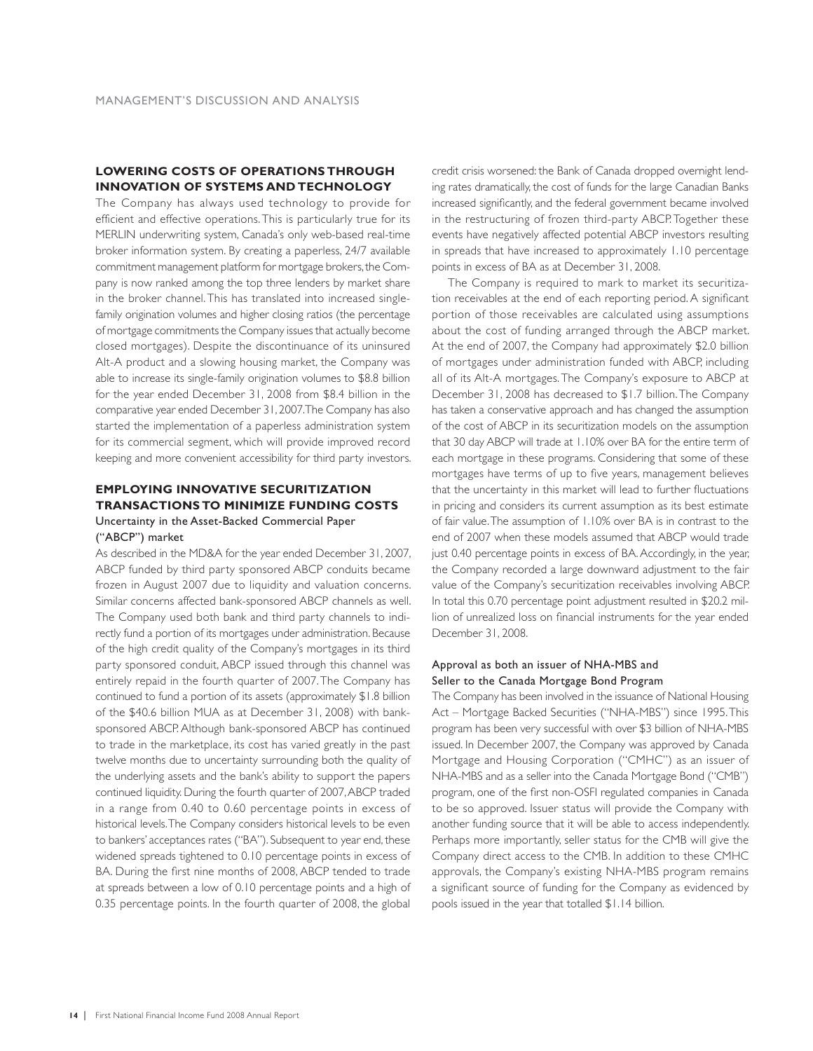### **LOWERING COSTS OF OPERATIONS THROUGH INNOVATION OF SYSTEMS AND TECHNOLOGY**

The Company has always used technology to provide for efficient and effective operations. This is particularly true for its MERLIN underwriting system, Canada's only web-based real-time broker information system. By creating a paperless, 24/7 available commitment management platform for mortgage brokers, the Company is now ranked among the top three lenders by market share in the broker channel. This has translated into increased singlefamily origination volumes and higher closing ratios (the percentage of mortgage commitments the Company issues that actually become closed mortgages). Despite the discontinuance of its uninsured Alt-A product and a slowing housing market, the Company was able to increase its single-family origination volumes to \$8.8 billion for the year ended December 31, 2008 from \$8.4 billion in the comparative year ended December 31, 2007. The Company has also started the implementation of a paperless administration system for its commercial segment, which will provide improved record keeping and more convenient accessibility for third party investors.

### **EMPLOYING INNOVATIVE SECURITIZATION TRANSACTIONS TO MINIMIZE FUNDING COSTS** Uncertainty in the Asset-Backed Commercial Paper

### ("ABCP") market

As described in the MD&A for the year ended December 31, 2007, ABCP funded by third party sponsored ABCP conduits became frozen in August 2007 due to liquidity and valuation concerns. Similar concerns affected bank-sponsored ABCP channels as well. The Company used both bank and third party channels to indirectly fund a portion of its mortgages under administration. Because of the high credit quality of the Company's mortgages in its third party sponsored conduit, ABCP issued through this channel was entirely repaid in the fourth quarter of 2007. The Company has continued to fund a portion of its assets (approximately \$1.8 billion of the \$40.6 billion MUA as at December 31, 2008) with banksponsored ABCP. Although bank-sponsored ABCP has continued to trade in the marketplace, its cost has varied greatly in the past twelve months due to uncertainty surrounding both the quality of the underlying assets and the bank's ability to support the papers continued liquidity. During the fourth quarter of 2007, ABCP traded in a range from 0.40 to 0.60 percentage points in excess of historical levels. The Company considers historical levels to be even to bankers' acceptances rates ("BA"). Subsequent to year end, these widened spreads tightened to 0.10 percentage points in excess of BA. During the first nine months of 2008, ABCP tended to trade at spreads between a low of 0.10 percentage points and a high of 0.35 percentage points. In the fourth quarter of 2008, the global

credit crisis worsened: the Bank of Canada dropped overnight lending rates dramatically, the cost of funds for the large Canadian Banks increased significantly, and the federal government became involved in the restructuring of frozen third-party ABCP. Together these events have negatively affected potential ABCP investors resulting in spreads that have increased to approximately 1.10 percentage points in excess of BA as at December 31, 2008.

The Company is required to mark to market its securitization receivables at the end of each reporting period. A significant portion of those receivables are calculated using assumptions about the cost of funding arranged through the ABCP market. At the end of 2007, the Company had approximately \$2.0 billion of mortgages under administration funded with ABCP, including all of its Alt-A mortgages. The Company's exposure to ABCP at December 31, 2008 has decreased to \$1.7 billion. The Company has taken a conservative approach and has changed the assumption of the cost of ABCP in its securitization models on the assumption that 30 day ABCP will trade at 1.10% over BA for the entire term of each mortgage in these programs. Considering that some of these mortgages have terms of up to five years, management believes that the uncertainty in this market will lead to further fluctuations in pricing and considers its current assumption as its best estimate of fair value. The assumption of 1.10% over BA is in contrast to the end of 2007 when these models assumed that ABCP would trade just 0.40 percentage points in excess of BA. Accordingly, in the year, the Company recorded a large downward adjustment to the fair value of the Company's securitization receivables involving ABCP. In total this 0.70 percentage point adjustment resulted in \$20.2 million of unrealized loss on financial instruments for the year ended December 31, 2008.

### Approval as both an issuer of NHA-MBS and Seller to the Canada Mortgage Bond Program

The Company has been involved in the issuance of National Housing Act – Mortgage Backed Securities ("NHA-MBS") since 1995. This program has been very successful with over \$3 billion of NHA-MBS issued. In December 2007, the Company was approved by Canada Mortgage and Housing Corporation ("CMHC") as an issuer of NHA-MBS and as a seller into the Canada Mortgage Bond ("CMB") program, one of the first non-OSFI regulated companies in Canada to be so approved. Issuer status will provide the Company with another funding source that it will be able to access independently. Perhaps more importantly, seller status for the CMB will give the Company direct access to the CMB. In addition to these CMHC approvals, the Company's existing NHA-MBS program remains a significant source of funding for the Company as evidenced by pools issued in the year that totalled \$1.14 billion.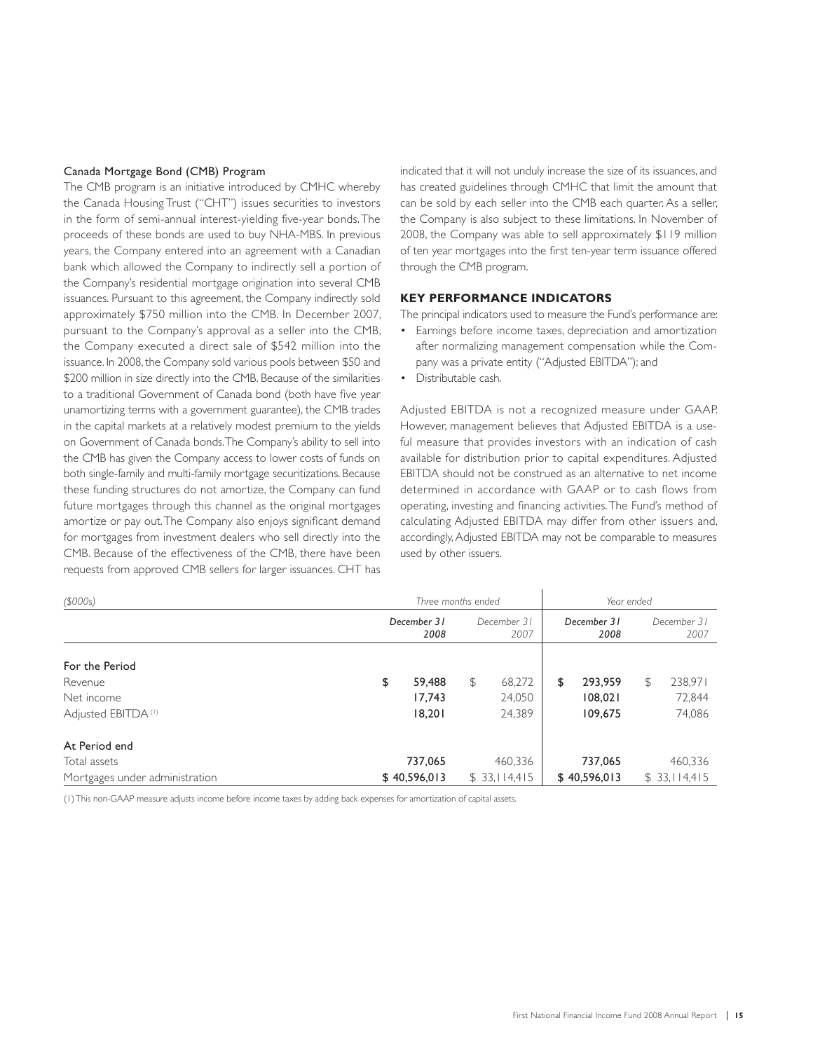### Canada Mortgage Bond (CMB) Program

The CMB program is an initiative introduced by CMHC whereby the Canada Housing Trust ("CHT") issues securities to investors in the form of semi-annual interest-yielding five-year bonds. The proceeds of these bonds are used to buy NHA-MBS. In previous years, the Company entered into an agreement with a Canadian bank which allowed the Company to indirectly sell a portion of the Company's residential mortgage origination into several CMB issuances. Pursuant to this agreement, the Company indirectly sold approximately \$750 million into the CMB. In December 2007, pursuant to the Company's approval as a seller into the CMB, the Company executed a direct sale of \$542 million into the issuance. In 2008, the Company sold various pools between \$50 and \$200 million in size directly into the CMB. Because of the similarities to a traditional Government of Canada bond (both have five year unamortizing terms with a government guarantee), the CMB trades in the capital markets at a relatively modest premium to the yields on Government of Canada bonds. The Company's ability to sell into the CMB has given the Company access to lower costs of funds on both single-family and multi-family mortgage securitizations. Because these funding structures do not amortize, the Company can fund future mortgages through this channel as the original mortgages amortize or pay out. The Company also enjoys significant demand for mortgages from investment dealers who sell directly into the CMB. Because of the effectiveness of the CMB, there have been requests from approved CMB sellers for larger issuances. CHT has

indicated that it will not unduly increase the size of its issuances, and has created guidelines through CMHC that limit the amount that can be sold by each seller into the CMB each quarter. As a seller, the Company is also subject to these limitations. In November of 2008, the Company was able to sell approximately \$119 million of ten year mortgages into the first ten-year term issuance offered through the CMB program.

### **KEY PERFORMANCE INDICATORS**

The principal indicators used to measure the Fund's performance are:

- Earnings before income taxes, depreciation and amortization after normalizing management compensation while the Company was a private entity ("Adjusted EBITDA"); and
- Distributable cash.

Adjusted EBITDA is not a recognized measure under GAAP. However, management believes that Adjusted EBITDA is a useful measure that provides investors with an indication of cash available for distribution prior to capital expenditures. Adjusted EBITDA should not be construed as an alternative to net income determined in accordance with GAAP or to cash flows from operating, investing and financing activities. The Fund's method of calculating Adjusted EBITDA may differ from other issuers and, accordingly, Adjusted EBITDA may not be comparable to measures used by other issuers.

| (5000s)                        |                     | Three months ended  | Year ended          |                     |  |  |
|--------------------------------|---------------------|---------------------|---------------------|---------------------|--|--|
|                                | December 31<br>2008 | December 31<br>2007 | December 31<br>2008 | December 31<br>2007 |  |  |
| For the Period                 |                     |                     |                     |                     |  |  |
| Revenue                        | 59,488<br>\$        | 68,272<br>\$        | 293,959<br>\$       | 238,971<br>\$       |  |  |
| Net income                     | 17,743              | 24,050              | 108,021             | 72,844              |  |  |
| Adjusted EBITDA <sup>(I)</sup> | 18,201              | 24,389              | 109,675             | 74,086              |  |  |
| At Period end                  |                     |                     |                     |                     |  |  |
| Total assets                   | 737,065             | 460,336             | 737,065             | 460,336             |  |  |
| Mortgages under administration | \$40,596,013        | \$33,114,415        | \$40,596,013        | \$33,114,415        |  |  |

(1) This non-GAAP measure adjusts income before income taxes by adding back expenses for amortization of capital assets.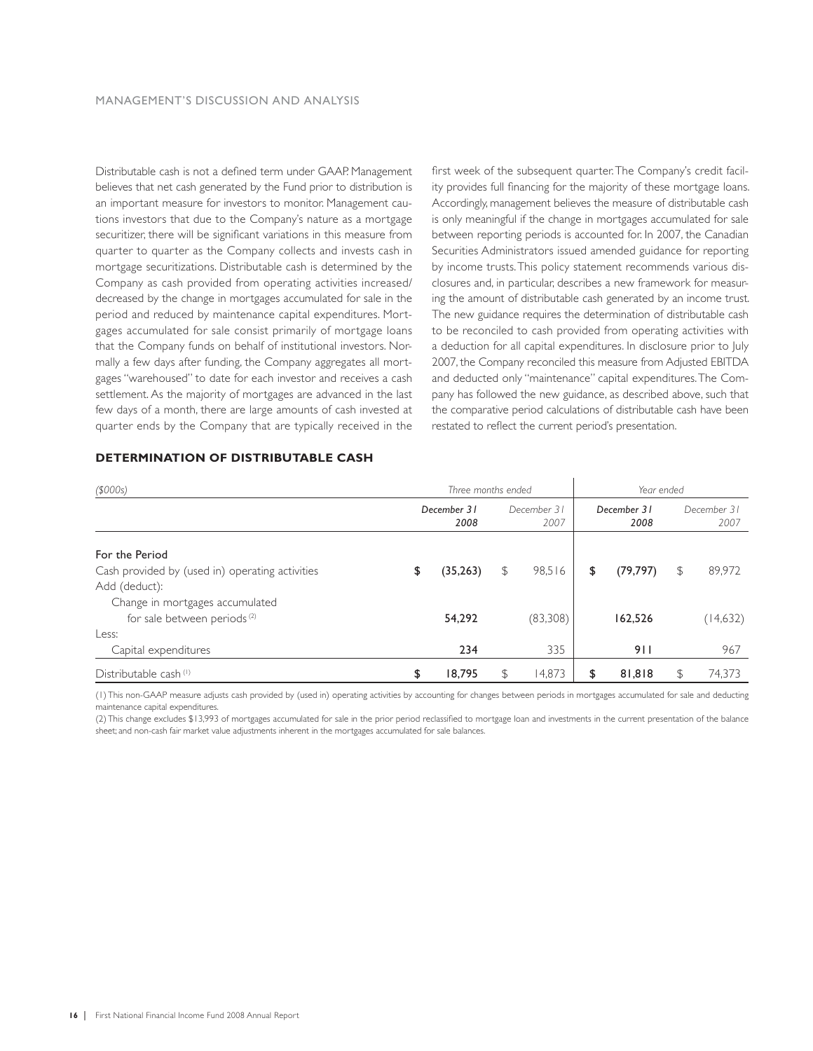Distributable cash is not a defined term under GAAP. Management believes that net cash generated by the Fund prior to distribution is an important measure for investors to monitor. Management cautions investors that due to the Company's nature as a mortgage securitizer, there will be significant variations in this measure from quarter to quarter as the Company collects and invests cash in mortgage securitizations. Distributable cash is determined by the Company as cash provided from operating activities increased/ decreased by the change in mortgages accumulated for sale in the period and reduced by maintenance capital expenditures. Mortgages accumulated for sale consist primarily of mortgage loans that the Company funds on behalf of institutional investors. Normally a few days after funding, the Company aggregates all mortgages "warehoused" to date for each investor and receives a cash settlement. As the majority of mortgages are advanced in the last few days of a month, there are large amounts of cash invested at quarter ends by the Company that are typically received in the first week of the subsequent quarter. The Company's credit facility provides full financing for the majority of these mortgage loans. Accordingly, management believes the measure of distributable cash is only meaningful if the change in mortgages accumulated for sale between reporting periods is accounted for. In 2007, the Canadian Securities Administrators issued amended guidance for reporting by income trusts. This policy statement recommends various disclosures and, in particular, describes a new framework for measuring the amount of distributable cash generated by an income trust. The new guidance requires the determination of distributable cash to be reconciled to cash provided from operating activities with a deduction for all capital expenditures. In disclosure prior to July 2007, the Company reconciled this measure from Adjusted EBITDA and deducted only "maintenance" capital expenditures. The Company has followed the new guidance, as described above, such that the comparative period calculations of distributable cash have been restated to reflect the current period's presentation.

### *(\$000s) Three months ended Year ended December 31 December 31 December 31 December 31 2008 2007 2008 2007* For the Period Cash provided by (used in) operating activities  $\begin{array}{cccc} \text{35,263} & \text{4} & \text{98,516} & \text{4} & \text{79,797} \\ \text{20,197} & \text{4} & \text{29,972} & \text{40,9972} & \text{50,9972} & \text{60,9972} & \text{60,9972} \\ \end{array}$ Add (deduct): Change in mortgages accumulated for sale between periods <sup>(2)</sup> 54,292 (83,308) 162,526 (14,632) Less: Capital expenditures 234 335 911 967 Distributable cash (1)  $\frac{1}{3}$  **18,795**  $\frac{1}{3}$  **18,795**  $\frac{1}{3}$  **14,873**  $\frac{1}{3}$  **81,818**  $\frac{1}{3}$  **74,373**

### **DETERMINATION OF DISTRIBUTABLE CASH**

(1) This non-GAAP measure adjusts cash provided by (used in) operating activities by accounting for changes between periods in mortgages accumulated for sale and deducting maintenance capital expenditures.

(2) This change excludes \$13,993 of mortgages accumulated for sale in the prior period reclassified to mortgage loan and investments in the current presentation of the balance sheet; and non-cash fair market value adjustments inherent in the mortgages accumulated for sale balances.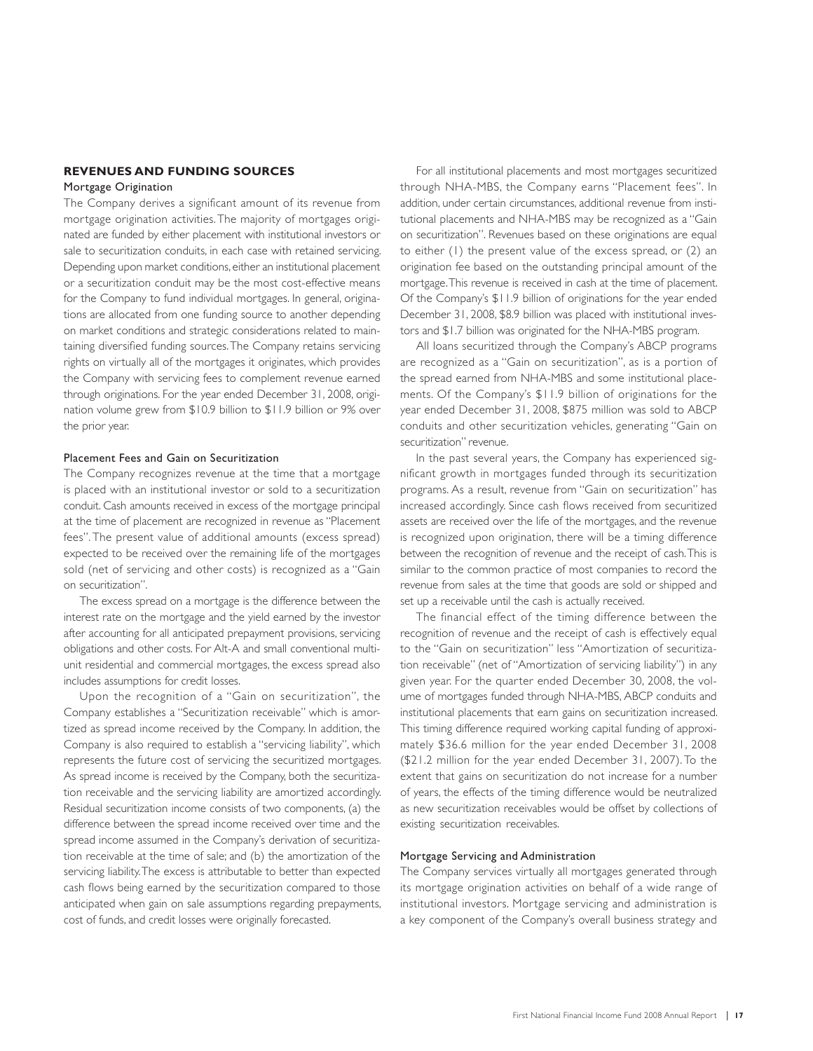### **REVENUES AND FUNDING SOURCES**

### Mortgage Origination

The Company derives a significant amount of its revenue from mortgage origination activities. The majority of mortgages originated are funded by either placement with institutional investors or sale to securitization conduits, in each case with retained servicing. Depending upon market conditions, either an institutional placement or a securitization conduit may be the most cost-effective means for the Company to fund individual mortgages. In general, originations are allocated from one funding source to another depending on market conditions and strategic considerations related to maintaining diversified funding sources. The Company retains servicing rights on virtually all of the mortgages it originates, which provides the Company with servicing fees to complement revenue earned through originations. For the year ended December 31, 2008, origination volume grew from \$10.9 billion to \$11.9 billion or 9% over the prior year.

### Placement Fees and Gain on Securitization

The Company recognizes revenue at the time that a mortgage is placed with an institutional investor or sold to a securitization conduit. Cash amounts received in excess of the mortgage principal at the time of placement are recognized in revenue as "Placement fees". The present value of additional amounts (excess spread) expected to be received over the remaining life of the mortgages sold (net of servicing and other costs) is recognized as a "Gain on securitization".

The excess spread on a mortgage is the difference between the interest rate on the mortgage and the yield earned by the investor after accounting for all anticipated prepayment provisions, servicing obligations and other costs. For Alt-A and small conventional multiunit residential and commercial mortgages, the excess spread also includes assumptions for credit losses.

Upon the recognition of a "Gain on securitization", the Company establishes a "Securitization receivable" which is amortized as spread income received by the Company. In addition, the Company is also required to establish a "servicing liability", which represents the future cost of servicing the securitized mortgages. As spread income is received by the Company, both the securitization receivable and the servicing liability are amortized accordingly. Residual securitization income consists of two components, (a) the difference between the spread income received over time and the spread income assumed in the Company's derivation of securitization receivable at the time of sale; and (b) the amortization of the servicing liability. The excess is attributable to better than expected cash flows being earned by the securitization compared to those anticipated when gain on sale assumptions regarding prepayments, cost of funds, and credit losses were originally forecasted.

For all institutional placements and most mortgages securitized through NHA-MBS, the Company earns "Placement fees". In addition, under certain circumstances, additional revenue from institutional placements and NHA-MBS may be recognized as a "Gain on securitization". Revenues based on these originations are equal to either (1) the present value of the excess spread, or (2) an origination fee based on the outstanding principal amount of the mortgage. This revenue is received in cash at the time of placement. Of the Company's \$11.9 billion of originations for the year ended December 31, 2008, \$8.9 billion was placed with institutional investors and \$1.7 billion was originated for the NHA-MBS program.

All loans securitized through the Company's ABCP programs are recognized as a "Gain on securitization", as is a portion of the spread earned from NHA-MBS and some institutional placements. Of the Company's \$11.9 billion of originations for the year ended December 31, 2008, \$875 million was sold to ABCP conduits and other securitization vehicles, generating "Gain on securitization" revenue.

In the past several years, the Company has experienced significant growth in mortgages funded through its securitization programs. As a result, revenue from "Gain on securitization" has increased accordingly. Since cash flows received from securitized assets are received over the life of the mortgages, and the revenue is recognized upon origination, there will be a timing difference between the recognition of revenue and the receipt of cash. This is similar to the common practice of most companies to record the revenue from sales at the time that goods are sold or shipped and set up a receivable until the cash is actually received.

The financial effect of the timing difference between the recognition of revenue and the receipt of cash is effectively equal to the "Gain on securitization" less "Amortization of securitization receivable" (net of "Amortization of servicing liability") in any given year. For the quarter ended December 30, 2008, the volume of mortgages funded through NHA-MBS, ABCP conduits and institutional placements that earn gains on securitization increased. This timing difference required working capital funding of approximately \$36.6 million for the year ended December 31, 2008 (\$21.2 million for the year ended December 31, 2007). To the extent that gains on securitization do not increase for a number of years, the effects of the timing difference would be neutralized as new securitization receivables would be offset by collections of existing securitization receivables.

### Mortgage Servicing and Administration

The Company services virtually all mortgages generated through its mortgage origination activities on behalf of a wide range of institutional investors. Mortgage servicing and administration is a key component of the Company's overall business strategy and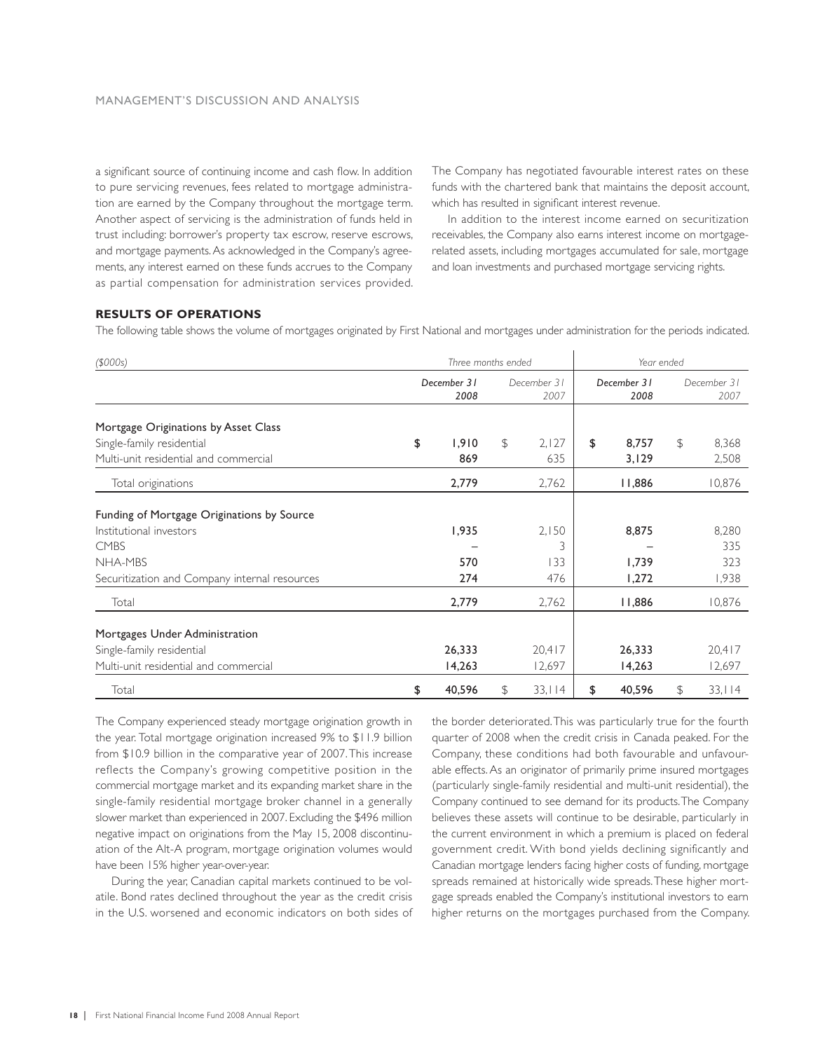a significant source of continuing income and cash flow. In addition to pure servicing revenues, fees related to mortgage administration are earned by the Company throughout the mortgage term. Another aspect of servicing is the administration of funds held in trust including: borrower's property tax escrow, reserve escrows, and mortgage payments. As acknowledged in the Company's agreements, any interest earned on these funds accrues to the Company as partial compensation for administration services provided.

The Company has negotiated favourable interest rates on these funds with the chartered bank that maintains the deposit account, which has resulted in significant interest revenue.

In addition to the interest income earned on securitization receivables, the Company also earns interest income on mortgagerelated assets, including mortgages accumulated for sale, mortgage and loan investments and purchased mortgage servicing rights.

### **RESULTS OF OPERATIONS**

The following table shows the volume of mortgages originated by First National and mortgages under administration for the periods indicated.

| (\$000s)                                                                                                                                         | Three months ended |                     |               |                          | Year ended |                         |    |                              |
|--------------------------------------------------------------------------------------------------------------------------------------------------|--------------------|---------------------|---------------|--------------------------|------------|-------------------------|----|------------------------------|
|                                                                                                                                                  |                    | December 31<br>2008 |               | December 31<br>2007      |            | December 31<br>2008     |    | December 31<br>2007          |
| Mortgage Originations by Asset Class                                                                                                             |                    |                     |               |                          |            |                         |    |                              |
| Single-family residential                                                                                                                        | \$                 | 1,910               | $\mathcal{F}$ | 2,127                    | \$         | 8,757                   | \$ | 8,368                        |
| Multi-unit residential and commercial                                                                                                            |                    | 869                 |               | 635                      |            | 3,129                   |    | 2,508                        |
| Total originations                                                                                                                               |                    | 2,779               |               | 2,762                    |            | 11,886                  |    | 10,876                       |
| Funding of Mortgage Originations by Source<br>Institutional investors<br><b>CMBS</b><br>NHA-MBS<br>Securitization and Company internal resources |                    | 1,935<br>570<br>274 |               | 2,150<br>3<br>133<br>476 |            | 8,875<br>1,739<br>1,272 |    | 8,280<br>335<br>323<br>1,938 |
| Total                                                                                                                                            |                    | 2,779               |               | 2,762                    |            | 11,886                  |    | 10,876                       |
| Mortgages Under Administration<br>Single-family residential<br>Multi-unit residential and commercial                                             |                    | 26,333<br>14,263    |               | 20,417<br>12,697         |            | 26,333<br>14,263        |    | 20,417<br>12,697             |
| Total                                                                                                                                            | \$                 | 40,596              | \$            | 33,114                   | \$         | 40,596                  | \$ | 33,114                       |

The Company experienced steady mortgage origination growth in the year. Total mortgage origination increased 9% to \$11.9 billion from \$10.9 billion in the comparative year of 2007. This increase reflects the Company's growing competitive position in the commercial mortgage market and its expanding market share in the single-family residential mortgage broker channel in a generally slower market than experienced in 2007. Excluding the \$496 million negative impact on originations from the May 15, 2008 discontinuation of the Alt-A program, mortgage origination volumes would have been 15% higher year-over-year.

During the year, Canadian capital markets continued to be volatile. Bond rates declined throughout the year as the credit crisis in the U.S. worsened and economic indicators on both sides of the border deteriorated. This was particularly true for the fourth quarter of 2008 when the credit crisis in Canada peaked. For the Company, these conditions had both favourable and unfavourable effects. As an originator of primarily prime insured mortgages (particularly single-family residential and multi-unit residential), the Company continued to see demand for its products. The Company believes these assets will continue to be desirable, particularly in the current environment in which a premium is placed on federal government credit. With bond yields declining significantly and Canadian mortgage lenders facing higher costs of funding, mortgage spreads remained at historically wide spreads. These higher mortgage spreads enabled the Company's institutional investors to earn higher returns on the mortgages purchased from the Company.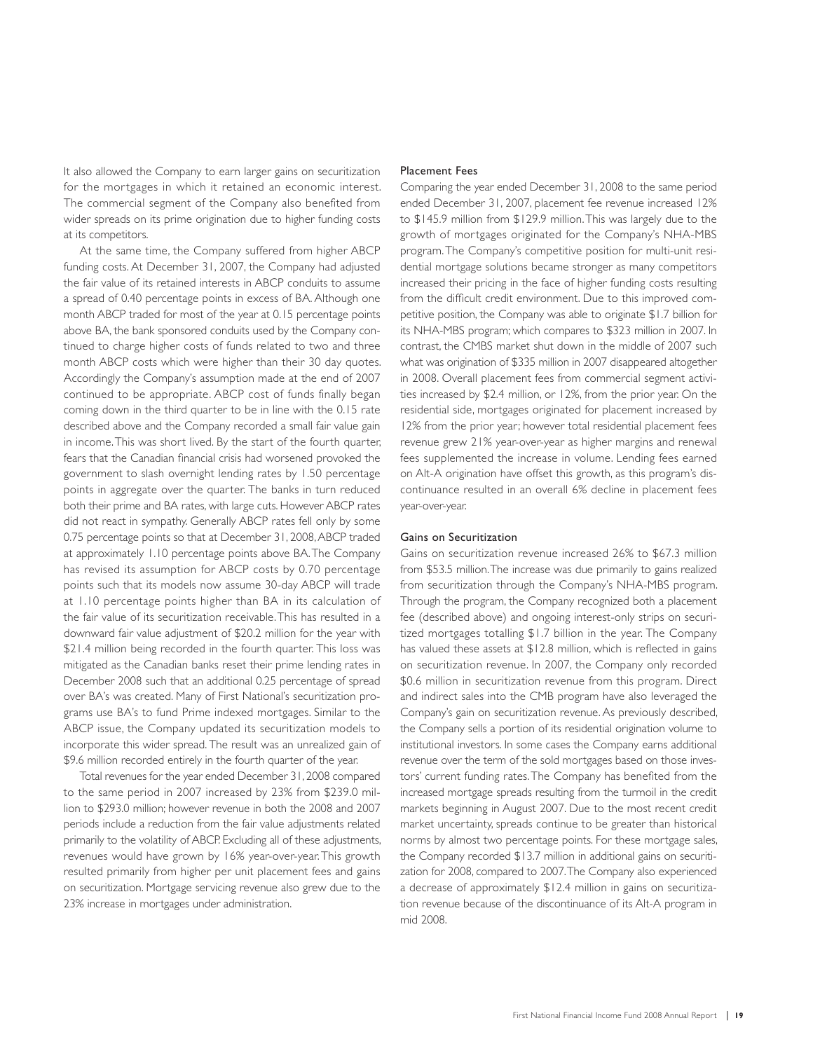It also allowed the Company to earn larger gains on securitization for the mortgages in which it retained an economic interest. The commercial segment of the Company also benefited from wider spreads on its prime origination due to higher funding costs at its competitors.

At the same time, the Company suffered from higher ABCP funding costs. At December 31, 2007, the Company had adjusted the fair value of its retained interests in ABCP conduits to assume a spread of 0.40 percentage points in excess of BA. Although one month ABCP traded for most of the year at 0.15 percentage points above BA, the bank sponsored conduits used by the Company continued to charge higher costs of funds related to two and three month ABCP costs which were higher than their 30 day quotes. Accordingly the Company's assumption made at the end of 2007 continued to be appropriate. ABCP cost of funds finally began coming down in the third quarter to be in line with the 0.15 rate described above and the Company recorded a small fair value gain in income. This was short lived. By the start of the fourth quarter, fears that the Canadian financial crisis had worsened provoked the government to slash overnight lending rates by 1.50 percentage points in aggregate over the quarter. The banks in turn reduced both their prime and BA rates, with large cuts. However ABCP rates did not react in sympathy. Generally ABCP rates fell only by some 0.75 percentage points so that at December 31, 2008, ABCP traded at approximately 1.10 percentage points above BA. The Company has revised its assumption for ABCP costs by 0.70 percentage points such that its models now assume 30-day ABCP will trade at 1.10 percentage points higher than BA in its calculation of the fair value of its securitization receivable. This has resulted in a downward fair value adjustment of \$20.2 million for the year with \$21.4 million being recorded in the fourth quarter. This loss was mitigated as the Canadian banks reset their prime lending rates in December 2008 such that an additional 0.25 percentage of spread over BA's was created. Many of First National's securitization programs use BA's to fund Prime indexed mortgages. Similar to the ABCP issue, the Company updated its securitization models to incorporate this wider spread. The result was an unrealized gain of \$9.6 million recorded entirely in the fourth quarter of the year.

Total revenues for the year ended December 31, 2008 compared to the same period in 2007 increased by 23% from \$239.0 million to \$293.0 million; however revenue in both the 2008 and 2007 periods include a reduction from the fair value adjustments related primarily to the volatility of ABCP. Excluding all of these adjustments, revenues would have grown by 16% year-over-year. This growth resulted primarily from higher per unit placement fees and gains on securitization. Mortgage servicing revenue also grew due to the 23% increase in mortgages under administration.

### Placement Fees

Comparing the year ended December 31, 2008 to the same period ended December 31, 2007, placement fee revenue increased 12% to \$145.9 million from \$129.9 million. This was largely due to the growth of mortgages originated for the Company's NHA-MBS program. The Company's competitive position for multi-unit residential mortgage solutions became stronger as many competitors increased their pricing in the face of higher funding costs resulting from the difficult credit environment. Due to this improved competitive position, the Company was able to originate \$1.7 billion for its NHA-MBS program; which compares to \$323 million in 2007. In contrast, the CMBS market shut down in the middle of 2007 such what was origination of \$335 million in 2007 disappeared altogether in 2008. Overall placement fees from commercial segment activities increased by \$2.4 million, or 12%, from the prior year. On the residential side, mortgages originated for placement increased by 12% from the prior year; however total residential placement fees revenue grew 21% year-over-year as higher margins and renewal fees supplemented the increase in volume. Lending fees earned on Alt-A origination have offset this growth, as this program's discontinuance resulted in an overall 6% decline in placement fees year-over-year.

### Gains on Securitization

Gains on securitization revenue increased 26% to \$67.3 million from \$53.5 million. The increase was due primarily to gains realized from securitization through the Company's NHA-MBS program. Through the program, the Company recognized both a placement fee (described above) and ongoing interest-only strips on securitized mortgages totalling \$1.7 billion in the year. The Company has valued these assets at \$12.8 million, which is reflected in gains on securitization revenue. In 2007, the Company only recorded \$0.6 million in securitization revenue from this program. Direct and indirect sales into the CMB program have also leveraged the Company's gain on securitization revenue. As previously described, the Company sells a portion of its residential origination volume to institutional investors. In some cases the Company earns additional revenue over the term of the sold mortgages based on those investors' current funding rates. The Company has benefited from the increased mortgage spreads resulting from the turmoil in the credit markets beginning in August 2007. Due to the most recent credit market uncertainty, spreads continue to be greater than historical norms by almost two percentage points. For these mortgage sales, the Company recorded \$13.7 million in additional gains on securitization for 2008, compared to 2007. The Company also experienced a decrease of approximately \$12.4 million in gains on securitization revenue because of the discontinuance of its Alt-A program in mid 2008.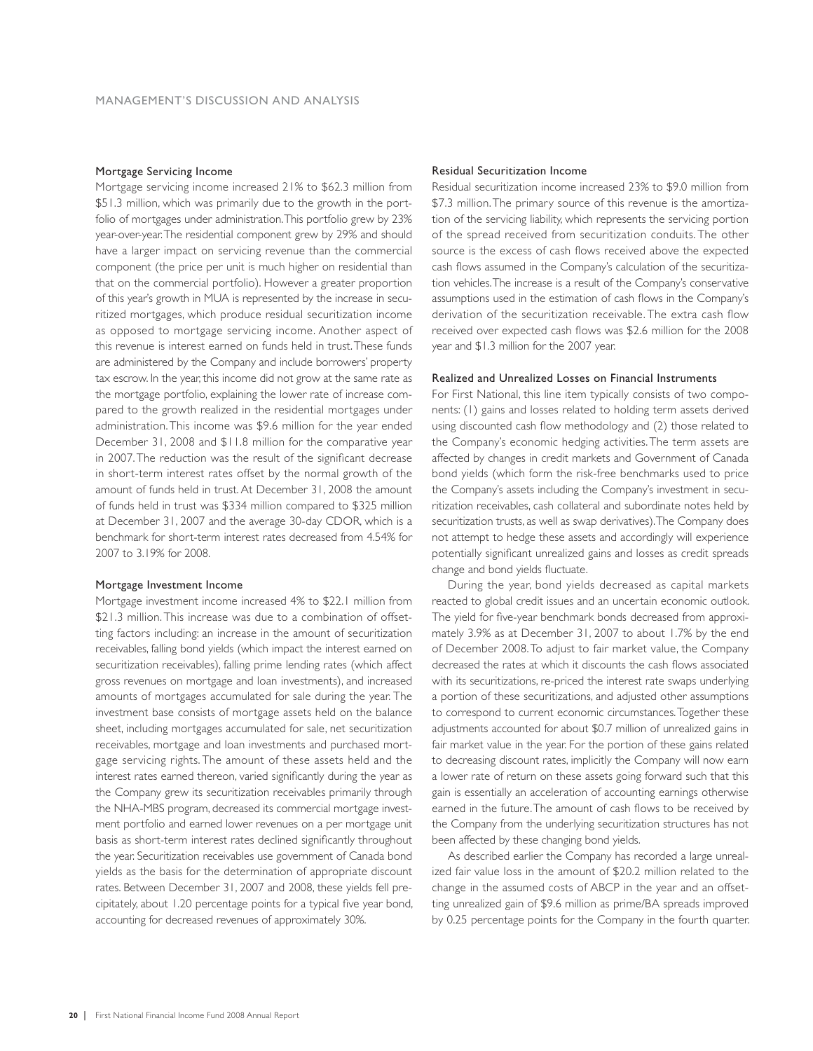### Mortgage Servicing Income

Mortgage servicing income increased 21% to \$62.3 million from \$51.3 million, which was primarily due to the growth in the portfolio of mortgages under administration. This portfolio grew by 23% year-over-year. The residential component grew by 29% and should have a larger impact on servicing revenue than the commercial component (the price per unit is much higher on residential than that on the commercial portfolio). However a greater proportion of this year's growth in MUA is represented by the increase in securitized mortgages, which produce residual securitization income as opposed to mortgage servicing income. Another aspect of this revenue is interest earned on funds held in trust. These funds are administered by the Company and include borrowers' property tax escrow. In the year, this income did not grow at the same rate as the mortgage portfolio, explaining the lower rate of increase compared to the growth realized in the residential mortgages under administration. This income was \$9.6 million for the year ended December 31, 2008 and \$11.8 million for the comparative year in 2007. The reduction was the result of the significant decrease in short-term interest rates offset by the normal growth of the amount of funds held in trust. At December 31, 2008 the amount of funds held in trust was \$334 million compared to \$325 million at December 31, 2007 and the average 30-day CDOR, which is a benchmark for short-term interest rates decreased from 4.54% for 2007 to 3.19% for 2008.

### Mortgage Investment Income

Mortgage investment income increased 4% to \$22.1 million from \$21.3 million. This increase was due to a combination of offsetting factors including: an increase in the amount of securitization receivables, falling bond yields (which impact the interest earned on securitization receivables), falling prime lending rates (which affect gross revenues on mortgage and loan investments), and increased amounts of mortgages accumulated for sale during the year. The investment base consists of mortgage assets held on the balance sheet, including mortgages accumulated for sale, net securitization receivables, mortgage and loan investments and purchased mortgage servicing rights. The amount of these assets held and the interest rates earned thereon, varied significantly during the year as the Company grew its securitization receivables primarily through the NHA-MBS program, decreased its commercial mortgage investment portfolio and earned lower revenues on a per mortgage unit basis as short-term interest rates declined significantly throughout the year. Securitization receivables use government of Canada bond yields as the basis for the determination of appropriate discount rates. Between December 31, 2007 and 2008, these yields fell precipitately, about 1.20 percentage points for a typical five year bond, accounting for decreased revenues of approximately 30%.

### Residual Securitization Income

Residual securitization income increased 23% to \$9.0 million from \$7.3 million. The primary source of this revenue is the amortization of the servicing liability, which represents the servicing portion of the spread received from securitization conduits. The other source is the excess of cash flows received above the expected cash flows assumed in the Company's calculation of the securitization vehicles. The increase is a result of the Company's conservative assumptions used in the estimation of cash flows in the Company's derivation of the securitization receivable. The extra cash flow received over expected cash flows was \$2.6 million for the 2008 year and \$1.3 million for the 2007 year.

### Realized and Unrealized Losses on Financial Instruments

For First National, this line item typically consists of two components: (1) gains and losses related to holding term assets derived using discounted cash flow methodology and (2) those related to the Company's economic hedging activities. The term assets are affected by changes in credit markets and Government of Canada bond yields (which form the risk-free benchmarks used to price the Company's assets including the Company's investment in securitization receivables, cash collateral and subordinate notes held by securitization trusts, as well as swap derivatives). The Company does not attempt to hedge these assets and accordingly will experience potentially significant unrealized gains and losses as credit spreads change and bond yields fluctuate.

During the year, bond yields decreased as capital markets reacted to global credit issues and an uncertain economic outlook. The yield for five-year benchmark bonds decreased from approximately 3.9% as at December 31, 2007 to about 1.7% by the end of December 2008. To adjust to fair market value, the Company decreased the rates at which it discounts the cash flows associated with its securitizations, re-priced the interest rate swaps underlying a portion of these securitizations, and adjusted other assumptions to correspond to current economic circumstances. Together these adjustments accounted for about \$0.7 million of unrealized gains in fair market value in the year. For the portion of these gains related to decreasing discount rates, implicitly the Company will now earn a lower rate of return on these assets going forward such that this gain is essentially an acceleration of accounting earnings otherwise earned in the future. The amount of cash flows to be received by the Company from the underlying securitization structures has not been affected by these changing bond yields.

As described earlier the Company has recorded a large unrealized fair value loss in the amount of \$20.2 million related to the change in the assumed costs of ABCP in the year and an offsetting unrealized gain of \$9.6 million as prime/BA spreads improved by 0.25 percentage points for the Company in the fourth quarter.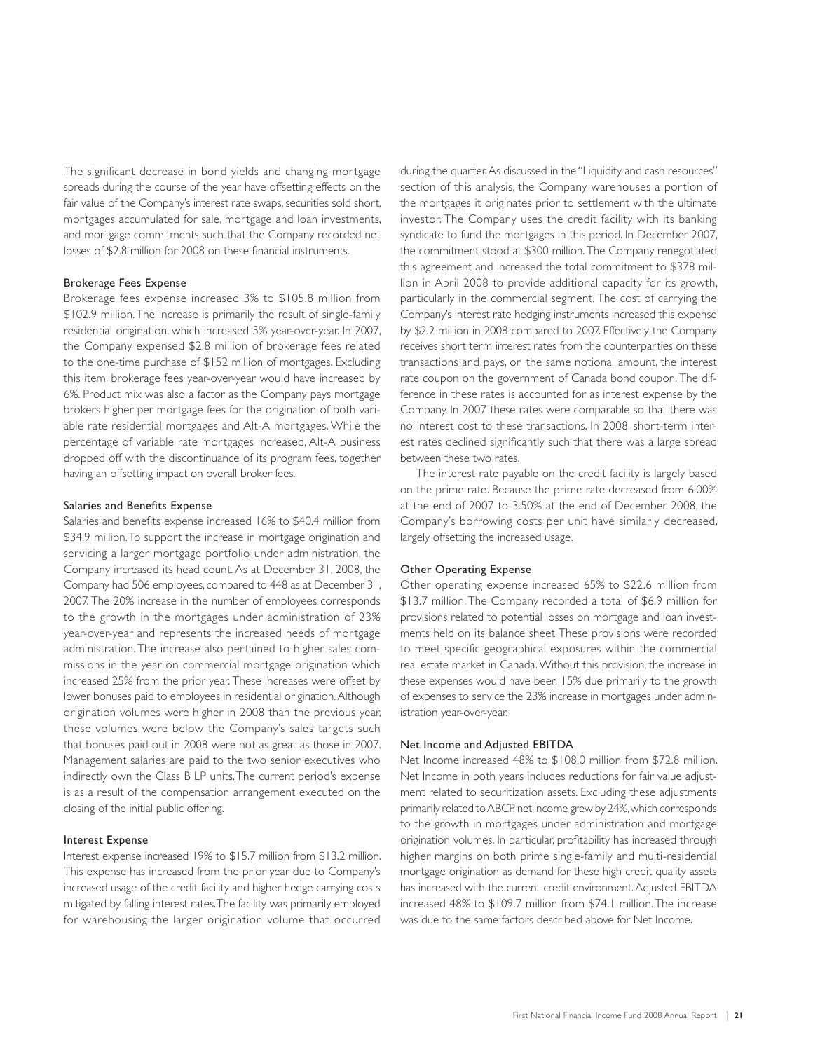The significant decrease in bond yields and changing mortgage spreads during the course of the year have offsetting effects on the fair value of the Company's interest rate swaps, securities sold short, mortgages accumulated for sale, mortgage and loan investments, and mortgage commitments such that the Company recorded net losses of \$2.8 million for 2008 on these financial instruments.

#### Brokerage Fees Expense

Brokerage fees expense increased 3% to \$105.8 million from \$102.9 million. The increase is primarily the result of single-family residential origination, which increased 5% year-over-year. In 2007, the Company expensed \$2.8 million of brokerage fees related to the one-time purchase of \$152 million of mortgages. Excluding this item, brokerage fees year-over-year would have increased by 6%. Product mix was also a factor as the Company pays mortgage brokers higher per mortgage fees for the origination of both variable rate residential mortgages and Alt-A mortgages. While the percentage of variable rate mortgages increased, Alt-A business dropped off with the discontinuance of its program fees, together having an offsetting impact on overall broker fees.

#### Salaries and Benefits Expense

Salaries and benefits expense increased 16% to \$40.4 million from \$34.9 million. To support the increase in mortgage origination and servicing a larger mortgage portfolio under administration, the Company increased its head count. As at December 31, 2008, the Company had 506 employees, compared to 448 as at December 31, 2007. The 20% increase in the number of employees corresponds to the growth in the mortgages under administration of 23% year-over-year and represents the increased needs of mortgage administration. The increase also pertained to higher sales commissions in the year on commercial mortgage origination which increased 25% from the prior year. These increases were offset by lower bonuses paid to employees in residential origination. Although origination volumes were higher in 2008 than the previous year, these volumes were below the Company's sales targets such that bonuses paid out in 2008 were not as great as those in 2007. Management salaries are paid to the two senior executives who indirectly own the Class B LP units. The current period's expense is as a result of the compensation arrangement executed on the closing of the initial public offering.

### Interest Expense

Interest expense increased 19% to \$15.7 million from \$13.2 million. This expense has increased from the prior year due to Company's increased usage of the credit facility and higher hedge carrying costs mitigated by falling interest rates. The facility was primarily employed for warehousing the larger origination volume that occurred

during the quarter. As discussed in the "Liquidity and cash resources" section of this analysis, the Company warehouses a portion of the mortgages it originates prior to settlement with the ultimate investor. The Company uses the credit facility with its banking syndicate to fund the mortgages in this period. In December 2007, the commitment stood at \$300 million. The Company renegotiated this agreement and increased the total commitment to \$378 million in April 2008 to provide additional capacity for its growth, particularly in the commercial segment. The cost of carrying the Company's interest rate hedging instruments increased this expense by \$2.2 million in 2008 compared to 2007. Effectively the Company receives short term interest rates from the counterparties on these transactions and pays, on the same notional amount, the interest rate coupon on the government of Canada bond coupon. The difference in these rates is accounted for as interest expense by the Company. In 2007 these rates were comparable so that there was no interest cost to these transactions. In 2008, short-term interest rates declined significantly such that there was a large spread between these two rates.

The interest rate payable on the credit facility is largely based on the prime rate. Because the prime rate decreased from 6.00% at the end of 2007 to 3.50% at the end of December 2008, the Company's borrowing costs per unit have similarly decreased, largely offsetting the increased usage.

### Other Operating Expense

Other operating expense increased 65% to \$22.6 million from \$13.7 million. The Company recorded a total of \$6.9 million for provisions related to potential losses on mortgage and loan investments held on its balance sheet. These provisions were recorded to meet specific geographical exposures within the commercial real estate market in Canada. Without this provision, the increase in these expenses would have been 15% due primarily to the growth of expenses to service the 23% increase in mortgages under administration year-over-year.

### Net Income and Adjusted EBITDA

Net Income increased 48% to \$108.0 million from \$72.8 million. Net Income in both years includes reductions for fair value adjustment related to securitization assets. Excluding these adjustments primarily related to ABCP, net income grew by 24%, which corresponds to the growth in mortgages under administration and mortgage origination volumes. In particular, profitability has increased through higher margins on both prime single-family and multi-residential mortgage origination as demand for these high credit quality assets has increased with the current credit environment. Adjusted EBITDA increased 48% to \$109.7 million from \$74.1 million. The increase was due to the same factors described above for Net Income.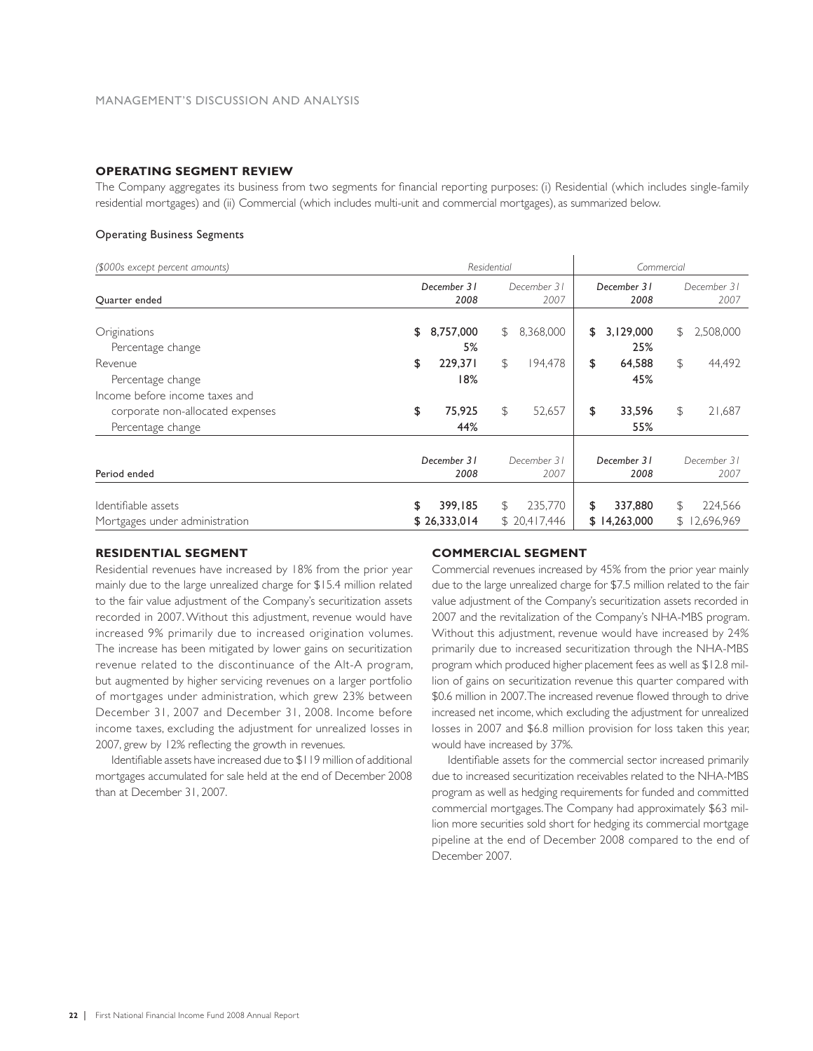### **OPERATING SEGMENT REVIEW**

The Company aggregates its business from two segments for financial reporting purposes: (i) Residential (which includes single-family residential mortgages) and (ii) Commercial (which includes multi-unit and commercial mortgages), as summarized below.

### Operating Business Segments

| (\$000s except percent amounts)                                                         |                               | Residential                  | Commercial                         |                         |  |  |
|-----------------------------------------------------------------------------------------|-------------------------------|------------------------------|------------------------------------|-------------------------|--|--|
| Quarter ended                                                                           | December 31<br>2008           | December 31<br>2007          | December 31<br>2008                | December 31<br>2007     |  |  |
| Originations<br>Percentage change                                                       | 8,757,000<br>\$<br>5%         | 8,368,000<br>S               | 3,129,000<br>S<br>S<br>25%         | 2,508,000               |  |  |
| Revenue<br>Percentage change                                                            | \$<br>229,371<br>18%          | P.<br>194,478                | \$<br>64,588<br>P.<br>45%          | 44,492                  |  |  |
| Income before income taxes and<br>corporate non-allocated expenses<br>Percentage change | \$<br>75,925<br>44%           | P.<br>52,657                 | \$<br>33,596<br>\$<br>55%          | 21,687                  |  |  |
| Period ended                                                                            | December 31<br>2008           | December 31<br>2007          | December 31<br>2008                | December 31<br>2007     |  |  |
| Identifiable assets<br>Mortgages under administration                                   | \$<br>399,185<br>\$26,333,014 | 235,770<br>S<br>\$20,417,446 | 337,880<br>\$<br>S<br>\$14,263,000 | 224,566<br>\$12,696,969 |  |  |

### **RESIDENTIAL SEGMENT**

Residential revenues have increased by 18% from the prior year mainly due to the large unrealized charge for \$15.4 million related to the fair value adjustment of the Company's securitization assets recorded in 2007. Without this adjustment, revenue would have increased 9% primarily due to increased origination volumes. The increase has been mitigated by lower gains on securitization revenue related to the discontinuance of the Alt-A program, but augmented by higher servicing revenues on a larger portfolio of mortgages under administration, which grew 23% between December 31, 2007 and December 31, 2008. Income before income taxes, excluding the adjustment for unrealized losses in 2007, grew by 12% reflecting the growth in revenues.

Identifiable assets have increased due to \$119 million of additional mortgages accumulated for sale held at the end of December 2008 than at December 31, 2007.

### **COMMERCIAL SEGMENT**

Commercial revenues increased by 45% from the prior year mainly due to the large unrealized charge for \$7.5 million related to the fair value adjustment of the Company's securitization assets recorded in 2007 and the revitalization of the Company's NHA-MBS program. Without this adjustment, revenue would have increased by 24% primarily due to increased securitization through the NHA-MBS program which produced higher placement fees as well as \$12.8 million of gains on securitization revenue this quarter compared with \$0.6 million in 2007. The increased revenue flowed through to drive increased net income, which excluding the adjustment for unrealized losses in 2007 and \$6.8 million provision for loss taken this year, would have increased by 37%.

Identifiable assets for the commercial sector increased primarily due to increased securitization receivables related to the NHA-MBS program as well as hedging requirements for funded and committed commercial mortgages. The Company had approximately \$63 million more securities sold short for hedging its commercial mortgage pipeline at the end of December 2008 compared to the end of December 2007.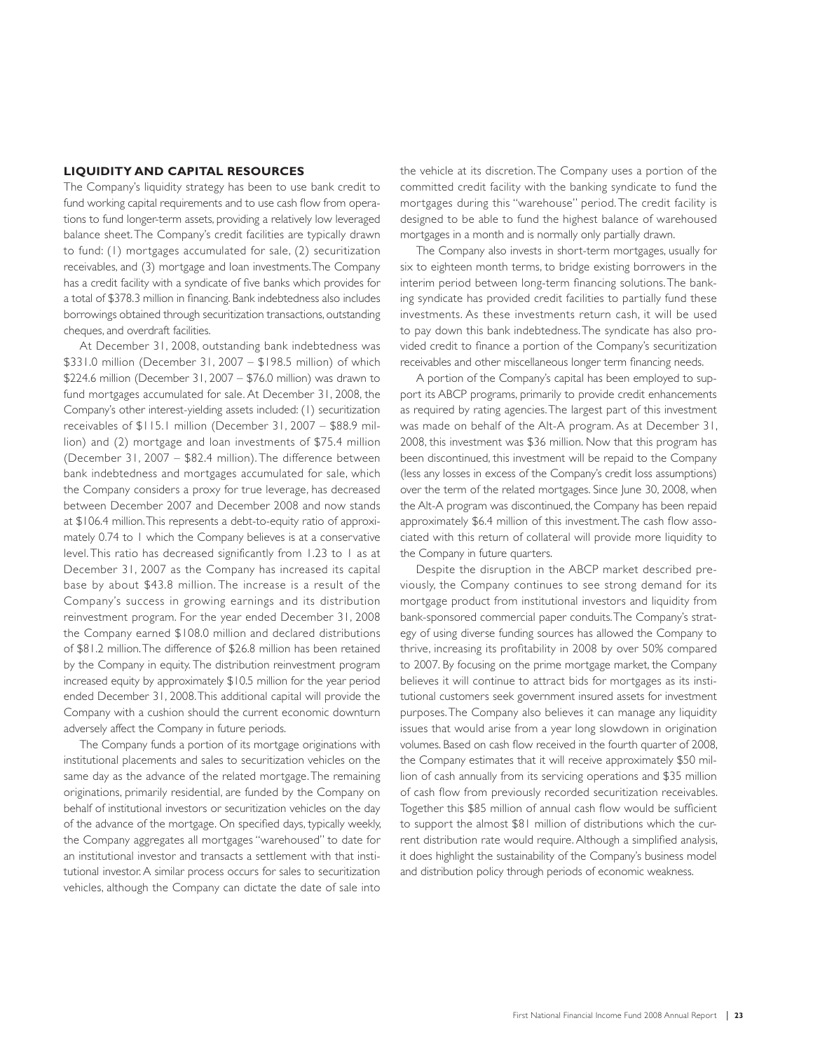### **LIQUIDITY AND CAPITAL RESOURCES**

The Company's liquidity strategy has been to use bank credit to fund working capital requirements and to use cash flow from operations to fund longer-term assets, providing a relatively low leveraged balance sheet. The Company's credit facilities are typically drawn to fund: (1) mortgages accumulated for sale, (2) securitization receivables, and (3) mortgage and loan investments. The Company has a credit facility with a syndicate of five banks which provides for a total of \$378.3 million in financing. Bank indebtedness also includes borrowings obtained through securitization transactions, outstanding cheques, and overdraft facilities.

At December 31, 2008, outstanding bank indebtedness was \$331.0 million (December 31, 2007 – \$198.5 million) of which \$224.6 million (December 31, 2007 – \$76.0 million) was drawn to fund mortgages accumulated for sale. At December 31, 2008, the Company's other interest-yielding assets included: (1) securitization receivables of \$115.1 million (December 31, 2007 – \$88.9 million) and (2) mortgage and loan investments of \$75.4 million (December 31, 2007 – \$82.4 million). The difference between bank indebtedness and mortgages accumulated for sale, which the Company considers a proxy for true leverage, has decreased between December 2007 and December 2008 and now stands at \$106.4 million. This represents a debt-to-equity ratio of approximately 0.74 to 1 which the Company believes is at a conservative level. This ratio has decreased significantly from 1.23 to 1 as at December 31, 2007 as the Company has increased its capital base by about \$43.8 million. The increase is a result of the Company's success in growing earnings and its distribution reinvestment program. For the year ended December 31, 2008 the Company earned \$108.0 million and declared distributions of \$81.2 million. The difference of \$26.8 million has been retained by the Company in equity. The distribution reinvestment program increased equity by approximately \$10.5 million for the year period ended December 31, 2008. This additional capital will provide the Company with a cushion should the current economic downturn adversely affect the Company in future periods.

The Company funds a portion of its mortgage originations with institutional placements and sales to securitization vehicles on the same day as the advance of the related mortgage. The remaining originations, primarily residential, are funded by the Company on behalf of institutional investors or securitization vehicles on the day of the advance of the mortgage. On specified days, typically weekly, the Company aggregates all mortgages "warehoused" to date for an institutional investor and transacts a settlement with that institutional investor. A similar process occurs for sales to securitization vehicles, although the Company can dictate the date of sale into

the vehicle at its discretion. The Company uses a portion of the committed credit facility with the banking syndicate to fund the mortgages during this "warehouse" period. The credit facility is designed to be able to fund the highest balance of warehoused mortgages in a month and is normally only partially drawn.

The Company also invests in short-term mortgages, usually for six to eighteen month terms, to bridge existing borrowers in the interim period between long-term financing solutions. The banking syndicate has provided credit facilities to partially fund these investments. As these investments return cash, it will be used to pay down this bank indebtedness. The syndicate has also provided credit to finance a portion of the Company's securitization receivables and other miscellaneous longer term financing needs.

A portion of the Company's capital has been employed to support its ABCP programs, primarily to provide credit enhancements as required by rating agencies. The largest part of this investment was made on behalf of the Alt-A program. As at December 31, 2008, this investment was \$36 million. Now that this program has been discontinued, this investment will be repaid to the Company (less any losses in excess of the Company's credit loss assumptions) over the term of the related mortgages. Since June 30, 2008, when the Alt-A program was discontinued, the Company has been repaid approximately \$6.4 million of this investment. The cash flow associated with this return of collateral will provide more liquidity to the Company in future quarters.

Despite the disruption in the ABCP market described previously, the Company continues to see strong demand for its mortgage product from institutional investors and liquidity from bank-sponsored commercial paper conduits. The Company's strategy of using diverse funding sources has allowed the Company to thrive, increasing its profitability in 2008 by over 50% compared to 2007. By focusing on the prime mortgage market, the Company believes it will continue to attract bids for mortgages as its institutional customers seek government insured assets for investment purposes. The Company also believes it can manage any liquidity issues that would arise from a year long slowdown in origination volumes. Based on cash flow received in the fourth quarter of 2008, the Company estimates that it will receive approximately \$50 million of cash annually from its servicing operations and \$35 million of cash flow from previously recorded securitization receivables. Together this \$85 million of annual cash flow would be sufficient to support the almost \$81 million of distributions which the current distribution rate would require. Although a simplified analysis, it does highlight the sustainability of the Company's business model and distribution policy through periods of economic weakness.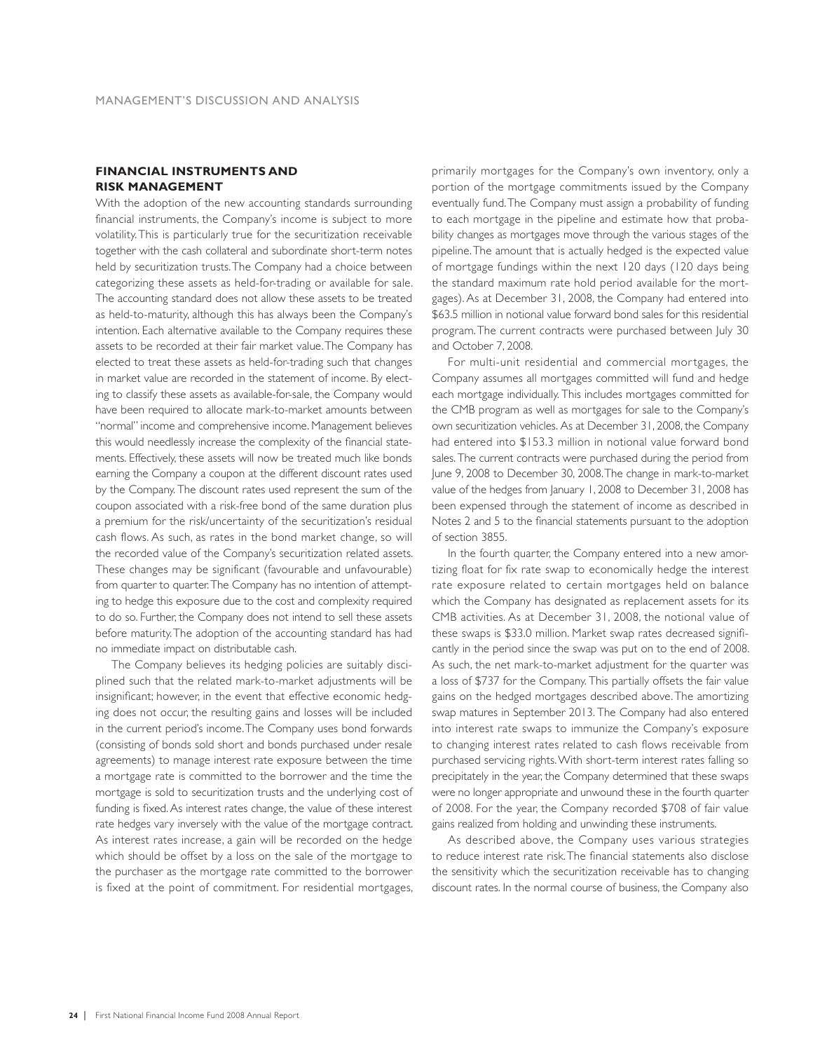### **FINANCIAL INSTRUMENTS AND RISK MANAGEMENT**

With the adoption of the new accounting standards surrounding financial instruments, the Company's income is subject to more volatility. This is particularly true for the securitization receivable together with the cash collateral and subordinate short-term notes held by securitization trusts. The Company had a choice between categorizing these assets as held-for-trading or available for sale. The accounting standard does not allow these assets to be treated as held-to-maturity, although this has always been the Company's intention. Each alternative available to the Company requires these assets to be recorded at their fair market value. The Company has elected to treat these assets as held-for-trading such that changes in market value are recorded in the statement of income. By electing to classify these assets as available-for-sale, the Company would have been required to allocate mark-to-market amounts between "normal" income and comprehensive income. Management believes this would needlessly increase the complexity of the financial statements. Effectively, these assets will now be treated much like bonds earning the Company a coupon at the different discount rates used by the Company. The discount rates used represent the sum of the coupon associated with a risk-free bond of the same duration plus a premium for the risk/uncertainty of the securitization's residual cash flows. As such, as rates in the bond market change, so will the recorded value of the Company's securitization related assets. These changes may be significant (favourable and unfavourable) from quarter to quarter. The Company has no intention of attempting to hedge this exposure due to the cost and complexity required to do so. Further, the Company does not intend to sell these assets before maturity. The adoption of the accounting standard has had no immediate impact on distributable cash.

The Company believes its hedging policies are suitably disciplined such that the related mark-to-market adjustments will be insignificant; however, in the event that effective economic hedging does not occur, the resulting gains and losses will be included in the current period's income. The Company uses bond forwards (consisting of bonds sold short and bonds purchased under resale agreements) to manage interest rate exposure between the time a mortgage rate is committed to the borrower and the time the mortgage is sold to securitization trusts and the underlying cost of funding is fixed. As interest rates change, the value of these interest rate hedges vary inversely with the value of the mortgage contract. As interest rates increase, a gain will be recorded on the hedge which should be offset by a loss on the sale of the mortgage to the purchaser as the mortgage rate committed to the borrower is fixed at the point of commitment. For residential mortgages,

primarily mortgages for the Company's own inventory, only a portion of the mortgage commitments issued by the Company eventually fund. The Company must assign a probability of funding to each mortgage in the pipeline and estimate how that probability changes as mortgages move through the various stages of the pipeline. The amount that is actually hedged is the expected value of mortgage fundings within the next 120 days (120 days being the standard maximum rate hold period available for the mortgages). As at December 31, 2008, the Company had entered into \$63.5 million in notional value forward bond sales for this residential program. The current contracts were purchased between July 30 and October 7, 2008.

For multi-unit residential and commercial mortgages, the Company assumes all mortgages committed will fund and hedge each mortgage individually. This includes mortgages committed for the CMB program as well as mortgages for sale to the Company's own securitization vehicles. As at December 31, 2008, the Company had entered into \$153.3 million in notional value forward bond sales. The current contracts were purchased during the period from June 9, 2008 to December 30, 2008. The change in mark-to-market value of the hedges from January 1, 2008 to December 31, 2008 has been expensed through the statement of income as described in Notes 2 and 5 to the financial statements pursuant to the adoption of section 3855.

In the fourth quarter, the Company entered into a new amortizing float for fix rate swap to economically hedge the interest rate exposure related to certain mortgages held on balance which the Company has designated as replacement assets for its CMB activities. As at December 31, 2008, the notional value of these swaps is \$33.0 million. Market swap rates decreased significantly in the period since the swap was put on to the end of 2008. As such, the net mark-to-market adjustment for the quarter was a loss of \$737 for the Company. This partially offsets the fair value gains on the hedged mortgages described above. The amortizing swap matures in September 2013. The Company had also entered into interest rate swaps to immunize the Company's exposure to changing interest rates related to cash flows receivable from purchased servicing rights. With short-term interest rates falling so precipitately in the year, the Company determined that these swaps were no longer appropriate and unwound these in the fourth quarter of 2008. For the year, the Company recorded \$708 of fair value gains realized from holding and unwinding these instruments.

As described above, the Company uses various strategies to reduce interest rate risk. The financial statements also disclose the sensitivity which the securitization receivable has to changing discount rates. In the normal course of business, the Company also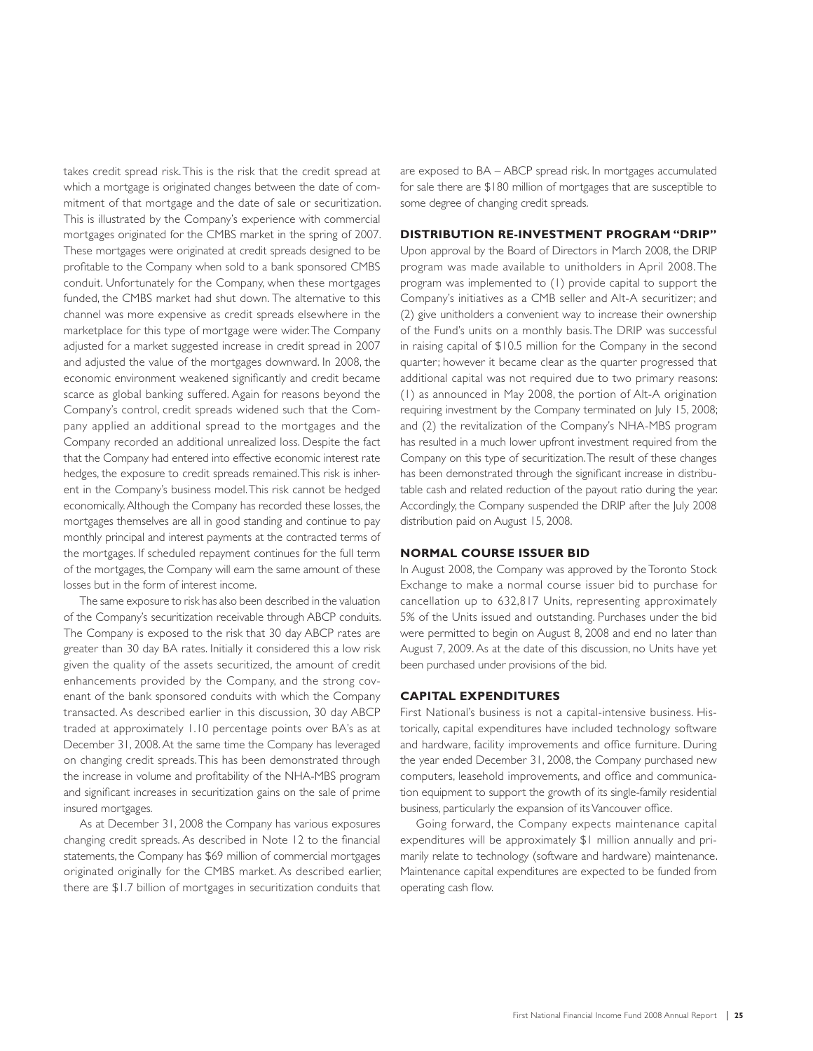takes credit spread risk. This is the risk that the credit spread at which a mortgage is originated changes between the date of commitment of that mortgage and the date of sale or securitization. This is illustrated by the Company's experience with commercial mortgages originated for the CMBS market in the spring of 2007. These mortgages were originated at credit spreads designed to be profitable to the Company when sold to a bank sponsored CMBS conduit. Unfortunately for the Company, when these mortgages funded, the CMBS market had shut down. The alternative to this channel was more expensive as credit spreads elsewhere in the marketplace for this type of mortgage were wider. The Company adjusted for a market suggested increase in credit spread in 2007 and adjusted the value of the mortgages downward. In 2008, the economic environment weakened significantly and credit became scarce as global banking suffered. Again for reasons beyond the Company's control, credit spreads widened such that the Company applied an additional spread to the mortgages and the Company recorded an additional unrealized loss. Despite the fact that the Company had entered into effective economic interest rate hedges, the exposure to credit spreads remained. This risk is inherent in the Company's business model. This risk cannot be hedged economically. Although the Company has recorded these losses, the mortgages themselves are all in good standing and continue to pay monthly principal and interest payments at the contracted terms of the mortgages. If scheduled repayment continues for the full term of the mortgages, the Company will earn the same amount of these losses but in the form of interest income.

The same exposure to risk has also been described in the valuation of the Company's securitization receivable through ABCP conduits. The Company is exposed to the risk that 30 day ABCP rates are greater than 30 day BA rates. Initially it considered this a low risk given the quality of the assets securitized, the amount of credit enhancements provided by the Company, and the strong covenant of the bank sponsored conduits with which the Company transacted. As described earlier in this discussion, 30 day ABCP traded at approximately 1.10 percentage points over BA's as at December 31, 2008. At the same time the Company has leveraged on changing credit spreads. This has been demonstrated through the increase in volume and profitability of the NHA-MBS program and significant increases in securitization gains on the sale of prime insured mortgages.

As at December 31, 2008 the Company has various exposures changing credit spreads. As described in Note 12 to the financial statements, the Company has \$69 million of commercial mortgages originated originally for the CMBS market. As described earlier, there are \$1.7 billion of mortgages in securitization conduits that

are exposed to BA – ABCP spread risk. In mortgages accumulated for sale there are \$180 million of mortgages that are susceptible to some degree of changing credit spreads.

### **DISTRIBUTION RE-INVESTMENT PROGRAM "DRIP"**

Upon approval by the Board of Directors in March 2008, the DRIP program was made available to unitholders in April 2008. The program was implemented to (1) provide capital to support the Company's initiatives as a CMB seller and Alt-A securitizer; and (2) give unitholders a convenient way to increase their ownership of the Fund's units on a monthly basis. The DRIP was successful in raising capital of \$10.5 million for the Company in the second quarter; however it became clear as the quarter progressed that additional capital was not required due to two primary reasons: (1) as announced in May 2008, the portion of Alt-A origination requiring investment by the Company terminated on July 15, 2008; and (2) the revitalization of the Company's NHA-MBS program has resulted in a much lower upfront investment required from the Company on this type of securitization. The result of these changes has been demonstrated through the significant increase in distributable cash and related reduction of the payout ratio during the year. Accordingly, the Company suspended the DRIP after the July 2008 distribution paid on August 15, 2008.

### **NORMAL COURSE ISSUER BID**

In August 2008, the Company was approved by the Toronto Stock Exchange to make a normal course issuer bid to purchase for cancellation up to 632,817 Units, representing approximately 5% of the Units issued and outstanding. Purchases under the bid were permitted to begin on August 8, 2008 and end no later than August 7, 2009. As at the date of this discussion, no Units have yet been purchased under provisions of the bid.

### **CAPITAL EXPENDITURES**

First National's business is not a capital-intensive business. Historically, capital expenditures have included technology software and hardware, facility improvements and office furniture. During the year ended December 31, 2008, the Company purchased new computers, leasehold improvements, and office and communication equipment to support the growth of its single-family residential business, particularly the expansion of its Vancouver office.

Going forward, the Company expects maintenance capital expenditures will be approximately \$1 million annually and primarily relate to technology (software and hardware) maintenance. Maintenance capital expenditures are expected to be funded from operating cash flow.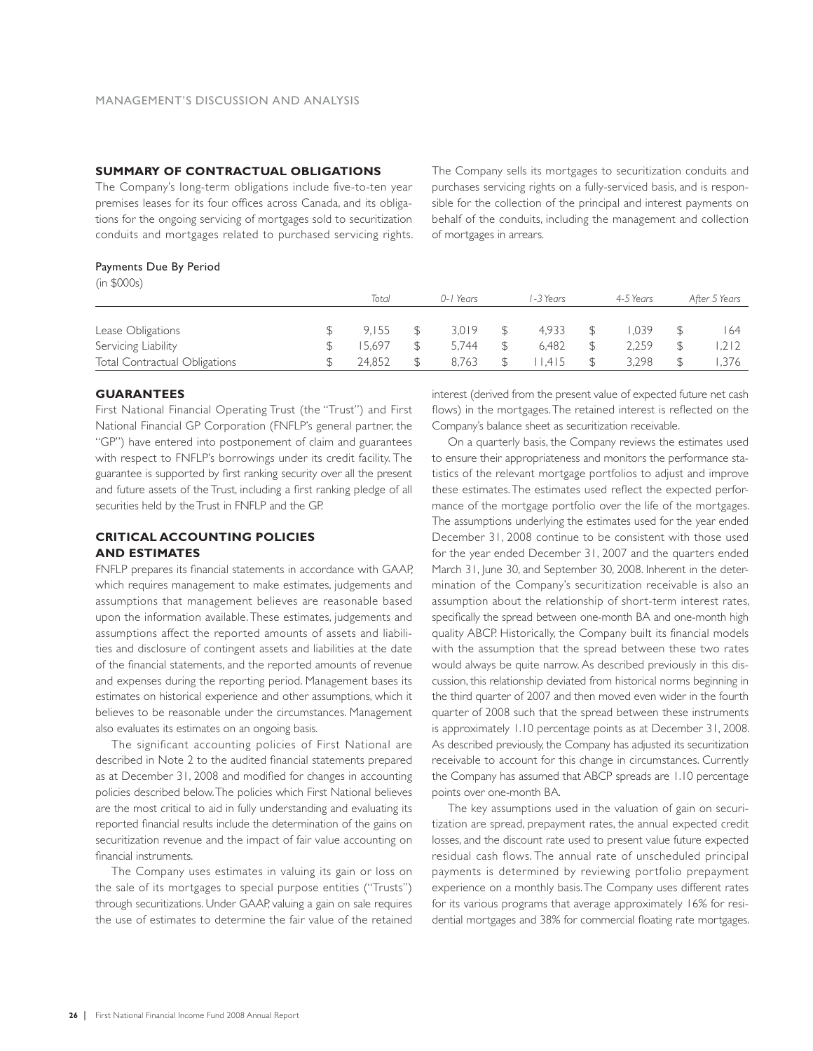### **SUMMARY OF CONTRACTUAL OBLIGATIONS**

The Company's long-term obligations include five-to-ten year premises leases for its four offices across Canada, and its obligations for the ongoing servicing of mortgages sold to securitization conduits and mortgages related to purchased servicing rights.

The Company sells its mortgages to securitization conduits and purchases servicing rights on a fully-serviced basis, and is responsible for the collection of the principal and interest payments on behalf of the conduits, including the management and collection of mortgages in arrears.

### Payments Due By Period

| (in \$000s) |
|-------------|
|             |

| (III PUUUS)                   |        |           |          |           |               |
|-------------------------------|--------|-----------|----------|-----------|---------------|
|                               | Total  | 0-1 Years | -3 Years | 4-5 Years | After 5 Years |
|                               |        |           |          |           |               |
| Lease Obligations             | 9.155  | 3.019     | 4.933    | .039      | 164           |
| Servicing Liability           | 15.697 | 5.744     | 6.482    | 2.259     | .212          |
| Total Contractual Obligations | 24.852 | 8.763     | 1.415    | 3.298     | .376          |

### **GUARANTEES**

First National Financial Operating Trust (the "Trust") and First National Financial GP Corporation (FNFLP's general partner, the "GP") have entered into postponement of claim and guarantees with respect to FNFLP's borrowings under its credit facility. The guarantee is supported by first ranking security over all the present and future assets of the Trust, including a first ranking pledge of all securities held by the Trust in FNFLP and the GP.

### **CRITICAL ACCOUNTING POLICIES AND ESTIMATES**

FNFLP prepares its financial statements in accordance with GAAP, which requires management to make estimates, judgements and assumptions that management believes are reasonable based upon the information available. These estimates, judgements and assumptions affect the reported amounts of assets and liabilities and disclosure of contingent assets and liabilities at the date of the financial statements, and the reported amounts of revenue and expenses during the reporting period. Management bases its estimates on historical experience and other assumptions, which it believes to be reasonable under the circumstances. Management also evaluates its estimates on an ongoing basis.

The significant accounting policies of First National are described in Note 2 to the audited financial statements prepared as at December 31, 2008 and modified for changes in accounting policies described below. The policies which First National believes are the most critical to aid in fully understanding and evaluating its reported financial results include the determination of the gains on securitization revenue and the impact of fair value accounting on financial instruments.

The Company uses estimates in valuing its gain or loss on the sale of its mortgages to special purpose entities ("Trusts") through securitizations. Under GAAP, valuing a gain on sale requires the use of estimates to determine the fair value of the retained

interest (derived from the present value of expected future net cash flows) in the mortgages. The retained interest is reflected on the Company's balance sheet as securitization receivable.

On a quarterly basis, the Company reviews the estimates used to ensure their appropriateness and monitors the performance statistics of the relevant mortgage portfolios to adjust and improve these estimates. The estimates used reflect the expected performance of the mortgage portfolio over the life of the mortgages. The assumptions underlying the estimates used for the year ended December 31, 2008 continue to be consistent with those used for the year ended December 31, 2007 and the quarters ended March 31, June 30, and September 30, 2008. Inherent in the determination of the Company's securitization receivable is also an assumption about the relationship of short-term interest rates, specifically the spread between one-month BA and one-month high quality ABCP. Historically, the Company built its financial models with the assumption that the spread between these two rates would always be quite narrow. As described previously in this discussion, this relationship deviated from historical norms beginning in the third quarter of 2007 and then moved even wider in the fourth quarter of 2008 such that the spread between these instruments is approximately 1.10 percentage points as at December 31, 2008. As described previously, the Company has adjusted its securitization receivable to account for this change in circumstances. Currently the Company has assumed that ABCP spreads are 1.10 percentage points over one-month BA.

The key assumptions used in the valuation of gain on securitization are spread, prepayment rates, the annual expected credit losses, and the discount rate used to present value future expected residual cash flows. The annual rate of unscheduled principal payments is determined by reviewing portfolio prepayment experience on a monthly basis. The Company uses different rates for its various programs that average approximately 16% for residential mortgages and 38% for commercial floating rate mortgages.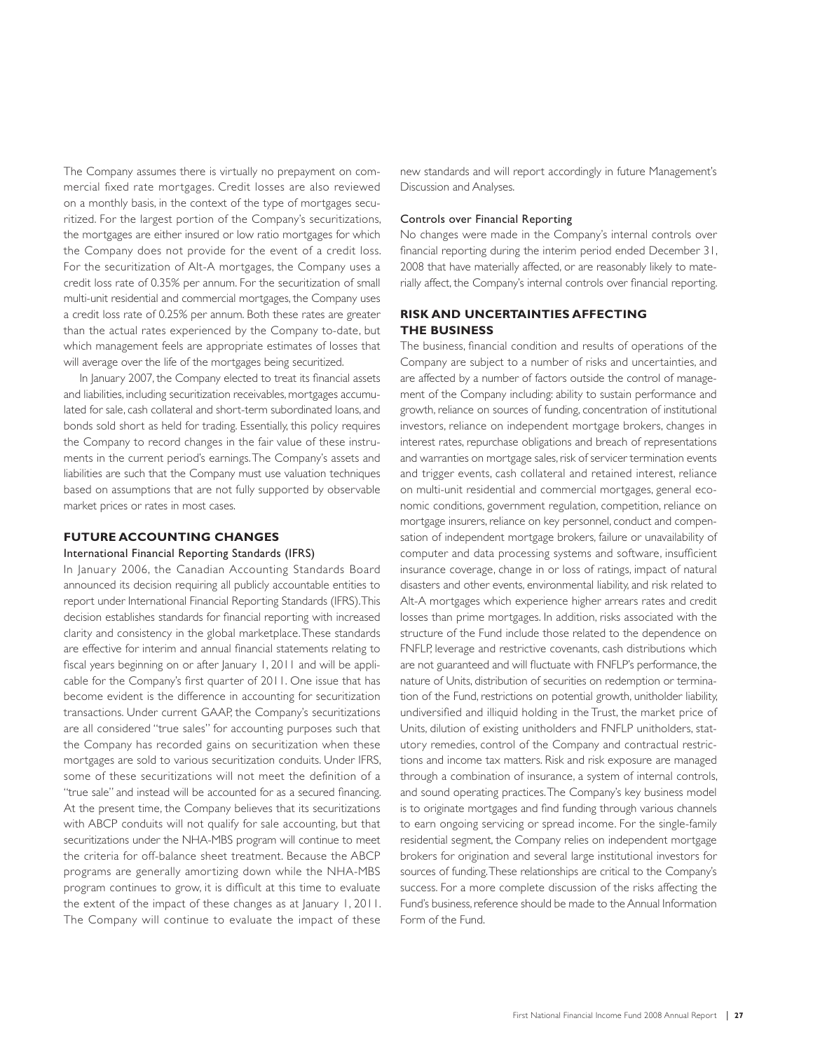The Company assumes there is virtually no prepayment on commercial fixed rate mortgages. Credit losses are also reviewed on a monthly basis, in the context of the type of mortgages securitized. For the largest portion of the Company's securitizations, the mortgages are either insured or low ratio mortgages for which the Company does not provide for the event of a credit loss. For the securitization of Alt-A mortgages, the Company uses a credit loss rate of 0.35% per annum. For the securitization of small multi-unit residential and commercial mortgages, the Company uses a credit loss rate of 0.25% per annum. Both these rates are greater than the actual rates experienced by the Company to-date, but which management feels are appropriate estimates of losses that will average over the life of the mortgages being securitized.

In January 2007, the Company elected to treat its financial assets and liabilities, including securitization receivables, mortgages accumulated for sale, cash collateral and short-term subordinated loans, and bonds sold short as held for trading. Essentially, this policy requires the Company to record changes in the fair value of these instruments in the current period's earnings. The Company's assets and liabilities are such that the Company must use valuation techniques based on assumptions that are not fully supported by observable market prices or rates in most cases.

### **FUTURE ACCOUNTING CHANGES**

### International Financial Reporting Standards (IFRS)

In January 2006, the Canadian Accounting Standards Board announced its decision requiring all publicly accountable entities to report under International Financial Reporting Standards (IFRS). This decision establishes standards for financial reporting with increased clarity and consistency in the global marketplace. These standards are effective for interim and annual financial statements relating to fiscal years beginning on or after January 1, 2011 and will be applicable for the Company's first quarter of 2011. One issue that has become evident is the difference in accounting for securitization transactions. Under current GAAP, the Company's securitizations are all considered "true sales" for accounting purposes such that the Company has recorded gains on securitization when these mortgages are sold to various securitization conduits. Under IFRS, some of these securitizations will not meet the definition of a "true sale" and instead will be accounted for as a secured financing. At the present time, the Company believes that its securitizations with ABCP conduits will not qualify for sale accounting, but that securitizations under the NHA-MBS program will continue to meet the criteria for off-balance sheet treatment. Because the ABCP programs are generally amortizing down while the NHA-MBS program continues to grow, it is difficult at this time to evaluate the extent of the impact of these changes as at January 1, 2011. The Company will continue to evaluate the impact of these

new standards and will report accordingly in future Management's Discussion and Analyses.

### Controls over Financial Reporting

No changes were made in the Company's internal controls over financial reporting during the interim period ended December 31, 2008 that have materially affected, or are reasonably likely to materially affect, the Company's internal controls over financial reporting.

### **RISK AND UNCERTAINTIES AFFECTING THE BUSINESS**

The business, financial condition and results of operations of the Company are subject to a number of risks and uncertainties, and are affected by a number of factors outside the control of management of the Company including: ability to sustain performance and growth, reliance on sources of funding, concentration of institutional investors, reliance on independent mortgage brokers, changes in interest rates, repurchase obligations and breach of representations and warranties on mortgage sales, risk of servicer termination events and trigger events, cash collateral and retained interest, reliance on multi-unit residential and commercial mortgages, general economic conditions, government regulation, competition, reliance on mortgage insurers, reliance on key personnel, conduct and compensation of independent mortgage brokers, failure or unavailability of computer and data processing systems and software, insufficient insurance coverage, change in or loss of ratings, impact of natural disasters and other events, environmental liability, and risk related to Alt-A mortgages which experience higher arrears rates and credit losses than prime mortgages. In addition, risks associated with the structure of the Fund include those related to the dependence on FNFLP, leverage and restrictive covenants, cash distributions which are not guaranteed and will fluctuate with FNFLP's performance, the nature of Units, distribution of securities on redemption or termination of the Fund, restrictions on potential growth, unitholder liability, undiversified and illiquid holding in the Trust, the market price of Units, dilution of existing unitholders and FNFLP unitholders, statutory remedies, control of the Company and contractual restrictions and income tax matters. Risk and risk exposure are managed through a combination of insurance, a system of internal controls, and sound operating practices. The Company's key business model is to originate mortgages and find funding through various channels to earn ongoing servicing or spread income. For the single-family residential segment, the Company relies on independent mortgage brokers for origination and several large institutional investors for sources of funding. These relationships are critical to the Company's success. For a more complete discussion of the risks affecting the Fund's business, reference should be made to the Annual Information Form of the Fund.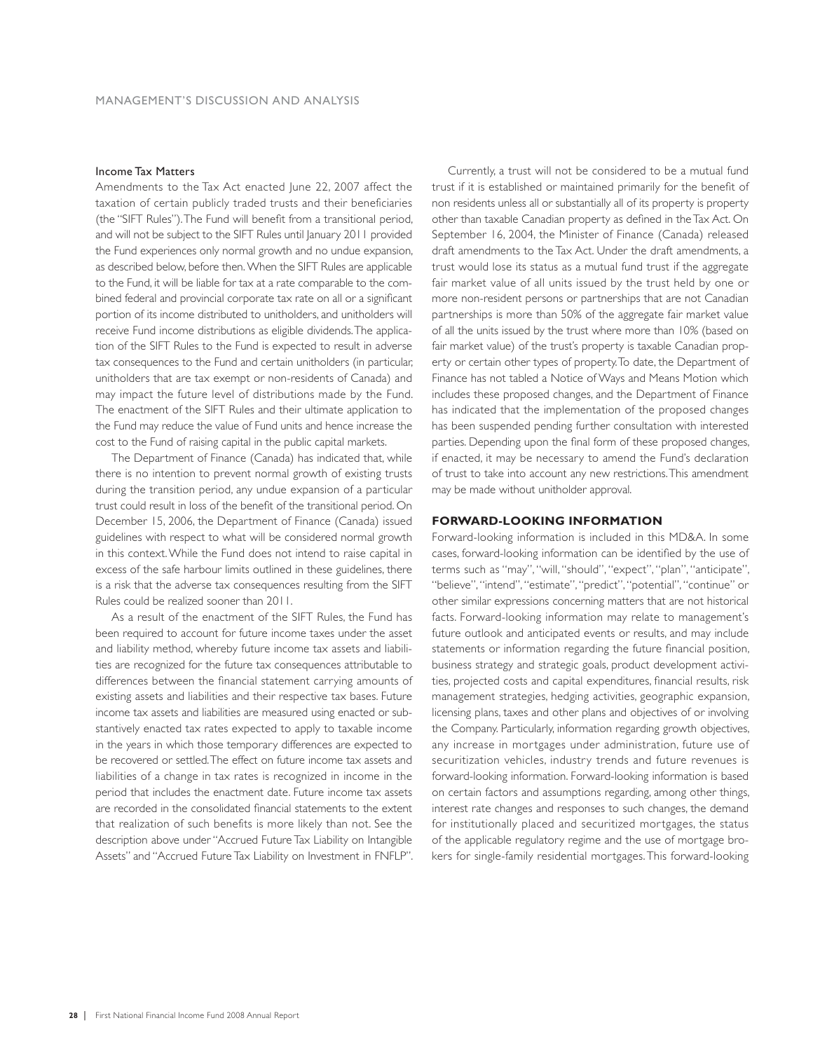### Income Tax Matters

Amendments to the Tax Act enacted June 22, 2007 affect the taxation of certain publicly traded trusts and their beneficiaries (the "SIFT Rules"). The Fund will benefit from a transitional period, and will not be subject to the SIFT Rules until January 2011 provided the Fund experiences only normal growth and no undue expansion, as described below, before then. When the SIFT Rules are applicable to the Fund, it will be liable for tax at a rate comparable to the combined federal and provincial corporate tax rate on all or a significant portion of its income distributed to unitholders, and unitholders will receive Fund income distributions as eligible dividends. The application of the SIFT Rules to the Fund is expected to result in adverse tax consequences to the Fund and certain unitholders (in particular, unitholders that are tax exempt or non-residents of Canada) and may impact the future level of distributions made by the Fund. The enactment of the SIFT Rules and their ultimate application to the Fund may reduce the value of Fund units and hence increase the cost to the Fund of raising capital in the public capital markets.

The Department of Finance (Canada) has indicated that, while there is no intention to prevent normal growth of existing trusts during the transition period, any undue expansion of a particular trust could result in loss of the benefit of the transitional period. On December 15, 2006, the Department of Finance (Canada) issued guidelines with respect to what will be considered normal growth in this context. While the Fund does not intend to raise capital in excess of the safe harbour limits outlined in these guidelines, there is a risk that the adverse tax consequences resulting from the SIFT Rules could be realized sooner than 2011.

As a result of the enactment of the SIFT Rules, the Fund has been required to account for future income taxes under the asset and liability method, whereby future income tax assets and liabilities are recognized for the future tax consequences attributable to differences between the financial statement carrying amounts of existing assets and liabilities and their respective tax bases. Future income tax assets and liabilities are measured using enacted or substantively enacted tax rates expected to apply to taxable income in the years in which those temporary differences are expected to be recovered or settled. The effect on future income tax assets and liabilities of a change in tax rates is recognized in income in the period that includes the enactment date. Future income tax assets are recorded in the consolidated financial statements to the extent that realization of such benefits is more likely than not. See the description above under "Accrued Future Tax Liability on Intangible Assets" and "Accrued Future Tax Liability on Investment in FNFLP".

Currently, a trust will not be considered to be a mutual fund trust if it is established or maintained primarily for the benefit of non residents unless all or substantially all of its property is property other than taxable Canadian property as defined in the Tax Act. On September 16, 2004, the Minister of Finance (Canada) released draft amendments to the Tax Act. Under the draft amendments, a trust would lose its status as a mutual fund trust if the aggregate fair market value of all units issued by the trust held by one or more non-resident persons or partnerships that are not Canadian partnerships is more than 50% of the aggregate fair market value of all the units issued by the trust where more than 10% (based on fair market value) of the trust's property is taxable Canadian property or certain other types of property. To date, the Department of Finance has not tabled a Notice of Ways and Means Motion which includes these proposed changes, and the Department of Finance has indicated that the implementation of the proposed changes has been suspended pending further consultation with interested parties. Depending upon the final form of these proposed changes, if enacted, it may be necessary to amend the Fund's declaration of trust to take into account any new restrictions. This amendment may be made without unitholder approval.

### **FORWARD-LOOKING INFORMATION**

Forward-looking information is included in this MD&A. In some cases, forward-looking information can be identified by the use of terms such as ''may'', ''will, ''should'', ''expect'', ''plan'', ''anticipate'', ''believe'', ''intend'', ''estimate'', ''predict'', ''potential'', ''continue'' or other similar expressions concerning matters that are not historical facts. Forward-looking information may relate to management's future outlook and anticipated events or results, and may include statements or information regarding the future financial position, business strategy and strategic goals, product development activities, projected costs and capital expenditures, financial results, risk management strategies, hedging activities, geographic expansion, licensing plans, taxes and other plans and objectives of or involving the Company. Particularly, information regarding growth objectives, any increase in mortgages under administration, future use of securitization vehicles, industry trends and future revenues is forward-looking information. Forward-looking information is based on certain factors and assumptions regarding, among other things, interest rate changes and responses to such changes, the demand for institutionally placed and securitized mortgages, the status of the applicable regulatory regime and the use of mortgage brokers for single-family residential mortgages. This forward-looking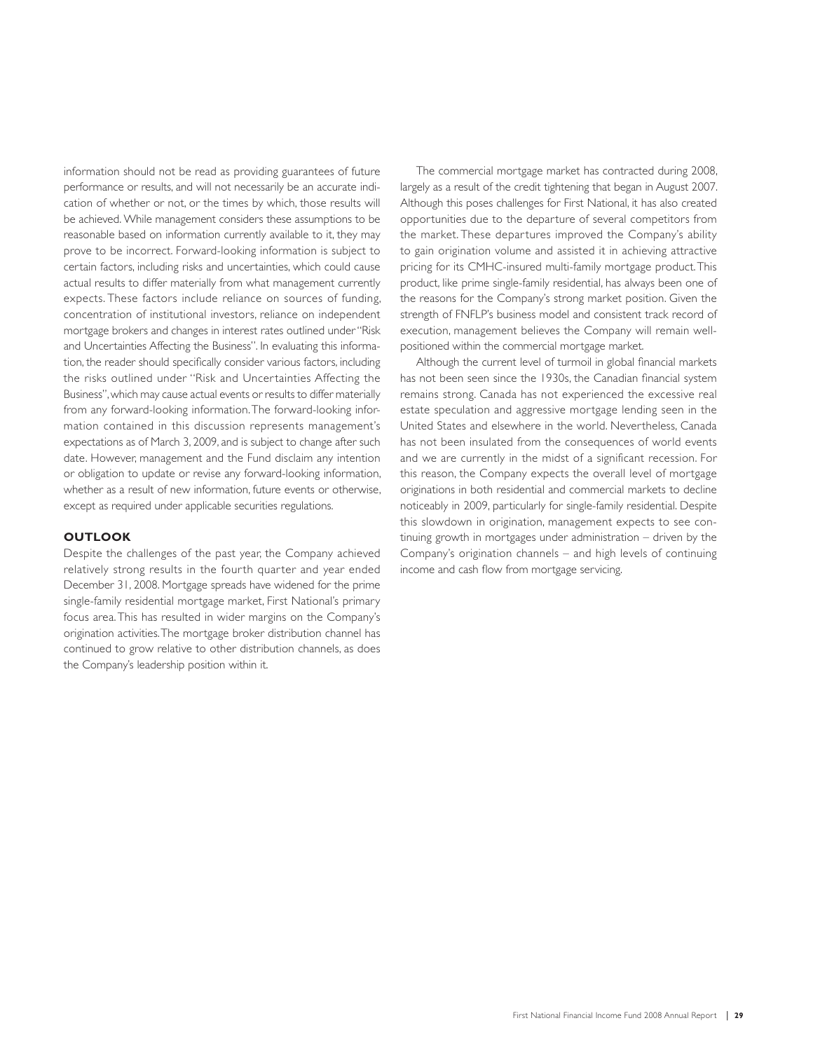information should not be read as providing guarantees of future performance or results, and will not necessarily be an accurate indication of whether or not, or the times by which, those results will be achieved. While management considers these assumptions to be reasonable based on information currently available to it, they may prove to be incorrect. Forward-looking information is subject to certain factors, including risks and uncertainties, which could cause actual results to differ materially from what management currently expects. These factors include reliance on sources of funding, concentration of institutional investors, reliance on independent mortgage brokers and changes in interest rates outlined under ''Risk and Uncertainties Affecting the Business''. In evaluating this information, the reader should specifically consider various factors, including the risks outlined under ''Risk and Uncertainties Affecting the Business'', which may cause actual events or results to differ materially from any forward-looking information. The forward-looking information contained in this discussion represents management's expectations as of March 3, 2009, and is subject to change after such date. However, management and the Fund disclaim any intention or obligation to update or revise any forward-looking information, whether as a result of new information, future events or otherwise, except as required under applicable securities regulations.

### **OUTLOOK**

Despite the challenges of the past year, the Company achieved relatively strong results in the fourth quarter and year ended December 31, 2008. Mortgage spreads have widened for the prime single-family residential mortgage market, First National's primary focus area. This has resulted in wider margins on the Company's origination activities. The mortgage broker distribution channel has continued to grow relative to other distribution channels, as does the Company's leadership position within it.

The commercial mortgage market has contracted during 2008, largely as a result of the credit tightening that began in August 2007. Although this poses challenges for First National, it has also created opportunities due to the departure of several competitors from the market. These departures improved the Company's ability to gain origination volume and assisted it in achieving attractive pricing for its CMHC-insured multi-family mortgage product. This product, like prime single-family residential, has always been one of the reasons for the Company's strong market position. Given the strength of FNFLP's business model and consistent track record of execution, management believes the Company will remain wellpositioned within the commercial mortgage market.

Although the current level of turmoil in global financial markets has not been seen since the 1930s, the Canadian financial system remains strong. Canada has not experienced the excessive real estate speculation and aggressive mortgage lending seen in the United States and elsewhere in the world. Nevertheless, Canada has not been insulated from the consequences of world events and we are currently in the midst of a significant recession. For this reason, the Company expects the overall level of mortgage originations in both residential and commercial markets to decline noticeably in 2009, particularly for single-family residential. Despite this slowdown in origination, management expects to see continuing growth in mortgages under administration – driven by the Company's origination channels – and high levels of continuing income and cash flow from mortgage servicing.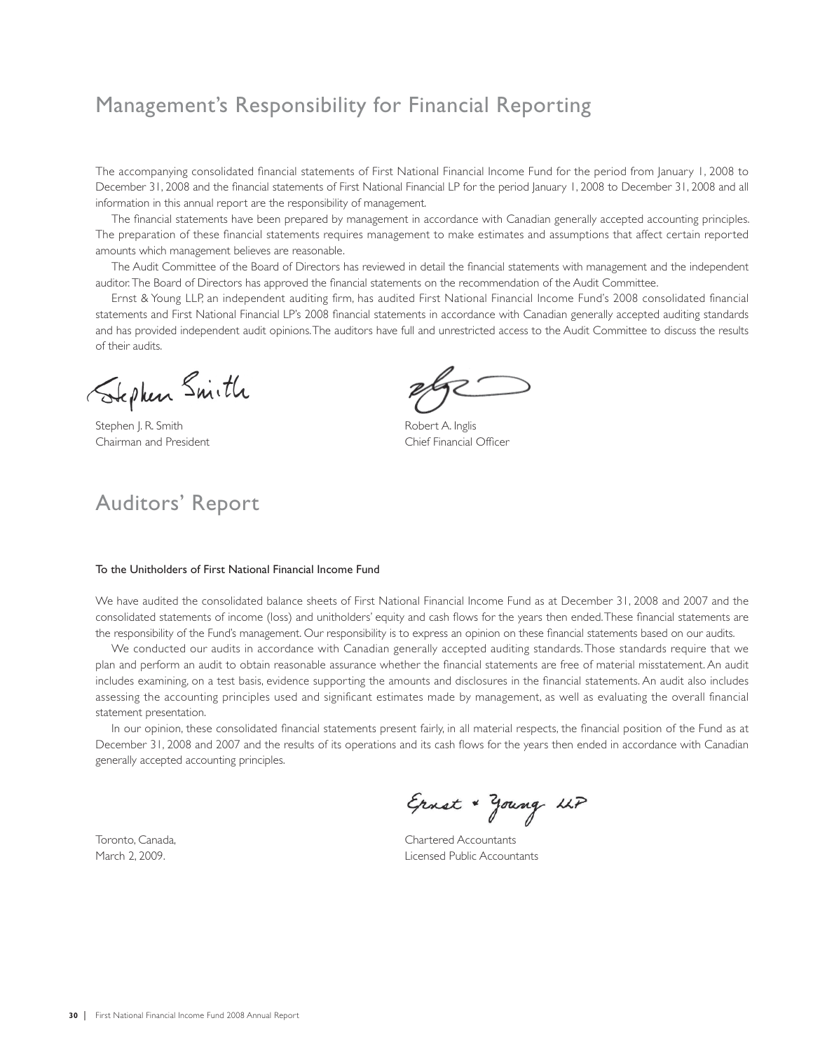## Management's Responsibility for Financial Reporting

The accompanying consolidated financial statements of First National Financial Income Fund for the period from January 1, 2008 to December 31, 2008 and the financial statements of First National Financial LP for the period January 1, 2008 to December 31, 2008 and all information in this annual report are the responsibility of management.

The financial statements have been prepared by management in accordance with Canadian generally accepted accounting principles. The preparation of these financial statements requires management to make estimates and assumptions that affect certain reported amounts which management believes are reasonable.

The Audit Committee of the Board of Directors has reviewed in detail the financial statements with management and the independent auditor. The Board of Directors has approved the financial statements on the recommendation of the Audit Committee.

Ernst & Young LLP, an independent auditing firm, has audited First National Financial Income Fund's 2008 consolidated financial statements and First National Financial LP's 2008 financial statements in accordance with Canadian generally accepted auditing standards and has provided independent audit opinions. The auditors have full and unrestricted access to the Audit Committee to discuss the results of their audits.

Stephen Smith

Auditors' Report

Stephen J. R. Smith Robert A. Inglis Chairman and President Chief Financial Officer

### To the Unitholders of First National Financial Income Fund

We have audited the consolidated balance sheets of First National Financial Income Fund as at December 31, 2008 and 2007 and the consolidated statements of income (loss) and unitholders' equity and cash flows for the years then ended. These financial statements are the responsibility of the Fund's management. Our responsibility is to express an opinion on these financial statements based on our audits.

We conducted our audits in accordance with Canadian generally accepted auditing standards. Those standards require that we plan and perform an audit to obtain reasonable assurance whether the financial statements are free of material misstatement. An audit includes examining, on a test basis, evidence supporting the amounts and disclosures in the financial statements. An audit also includes assessing the accounting principles used and significant estimates made by management, as well as evaluating the overall financial statement presentation.

In our opinion, these consolidated financial statements present fairly, in all material respects, the financial position of the Fund as at December 31, 2008 and 2007 and the results of its operations and its cash flows for the years then ended in accordance with Canadian generally accepted accounting principles.

Ernst + Young LLP

Toronto, Canada, Toronto, Canada, Chartered Accountants March 2, 2009. Licensed Public Accountants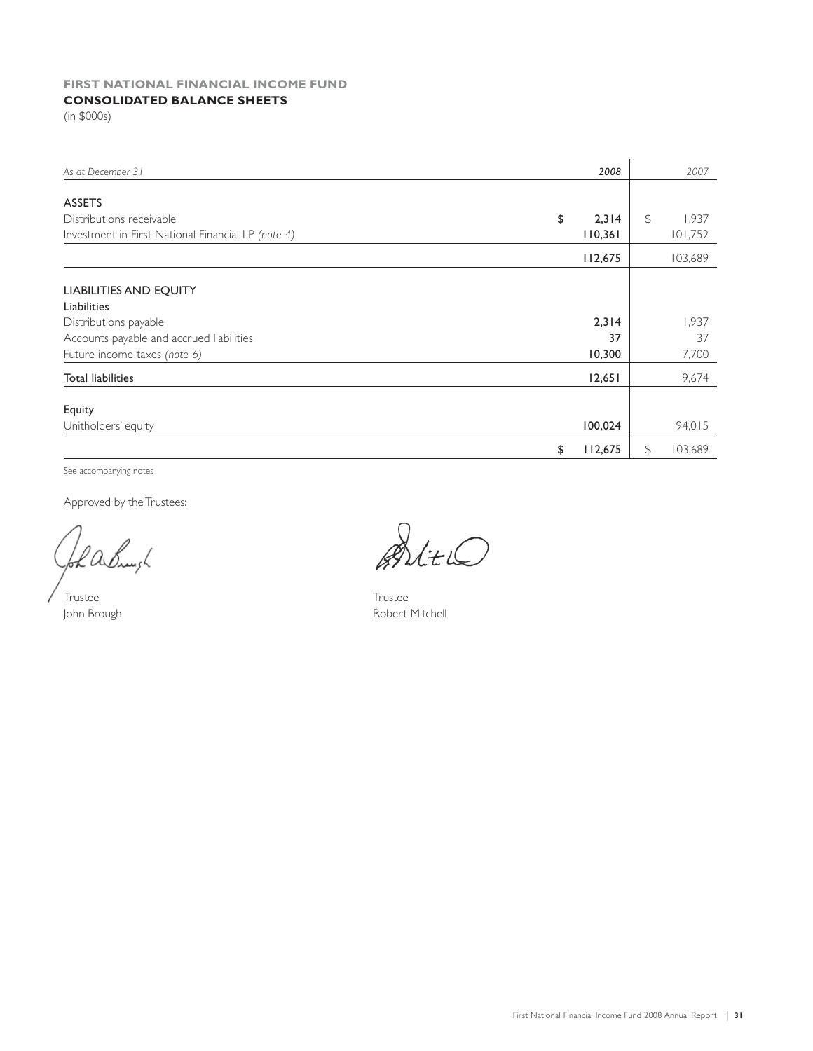## **FIRST NATIONAL FINANCIAL INCOME FUND**

## **CONSOLIDATED BALANCE SHEETS**

(in \$000s)

| As at December 31                                  | 2008          | 2007          |
|----------------------------------------------------|---------------|---------------|
|                                                    |               |               |
| <b>ASSETS</b>                                      |               |               |
| Distributions receivable                           | \$<br>2,314   | \$<br>1,937   |
| Investment in First National Financial LP (note 4) | 110,361       | 101,752       |
|                                                    | 112,675       | 103,689       |
|                                                    |               |               |
| <b>LIABILITIES AND EQUITY</b>                      |               |               |
| Liabilities                                        |               |               |
| Distributions payable                              | 2,314         | 1,937         |
| Accounts payable and accrued liabilities           | 37            | 37            |
| Future income taxes (note 6)                       | 10,300        | 7,700         |
| <b>Total liabilities</b>                           | 12,651        | 9,674         |
|                                                    |               |               |
| Equity                                             |               |               |
| Unitholders' equity                                | 100,024       | 94,015        |
|                                                    | 112,675<br>\$ | 103,689<br>\$ |

See accompanying notes

Approved by the Trustees:

bh achuigh

Trustee Trustee

AltiO

John Brough **Robert Mitchell**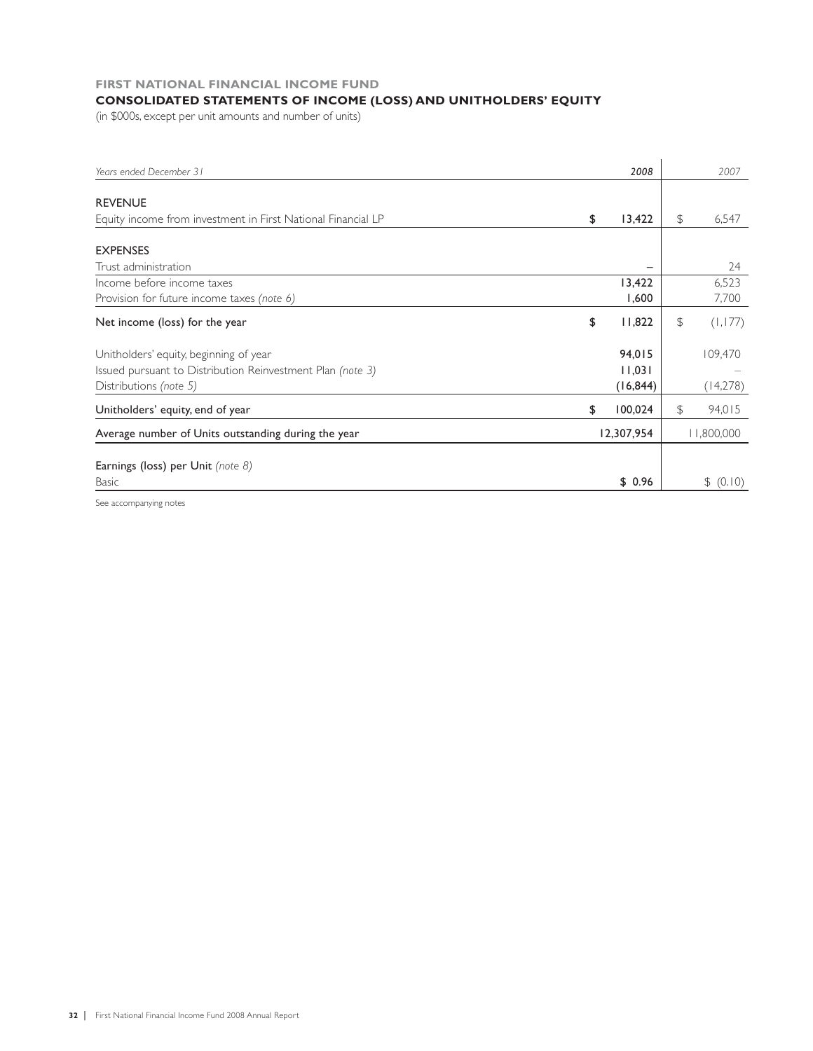### **FIRST NATIONAL FINANCIAL INCOME FUND**

### **CONSOLIDATED STATEMENTS OF INCOME (LOSS) AND UNITHOLDERS' EQUITY**

(in \$000s, except per unit amounts and number of units)

| Years ended December 31                                      | 2008          | 2007          |
|--------------------------------------------------------------|---------------|---------------|
|                                                              |               |               |
| <b>REVENUE</b>                                               |               |               |
| Equity income from investment in First National Financial LP | \$<br>13,422  | \$<br>6,547   |
|                                                              |               |               |
| <b>EXPENSES</b>                                              |               |               |
| Trust administration                                         |               | 24            |
| Income before income taxes                                   | 13,422        | 6,523         |
| Provision for future income taxes (note 6)                   | 1,600         | 7,700         |
| Net income (loss) for the year                               | \$<br>11,822  | \$<br>(1,177) |
| Unitholders' equity, beginning of year                       | 94,015        | 109,470       |
| Issued pursuant to Distribution Reinvestment Plan (note 3)   | 11,031        |               |
| Distributions (note 5)                                       | (16, 844)     | (14,278)      |
| Unitholders' equity, end of year                             | \$<br>100,024 | \$<br>94,015  |
| Average number of Units outstanding during the year          | 12,307,954    | 11,800,000    |
|                                                              |               |               |
| Earnings (loss) per Unit (note 8)                            |               |               |
| Basic                                                        | \$0.96        | \$ (0.10)     |

See accompanying notes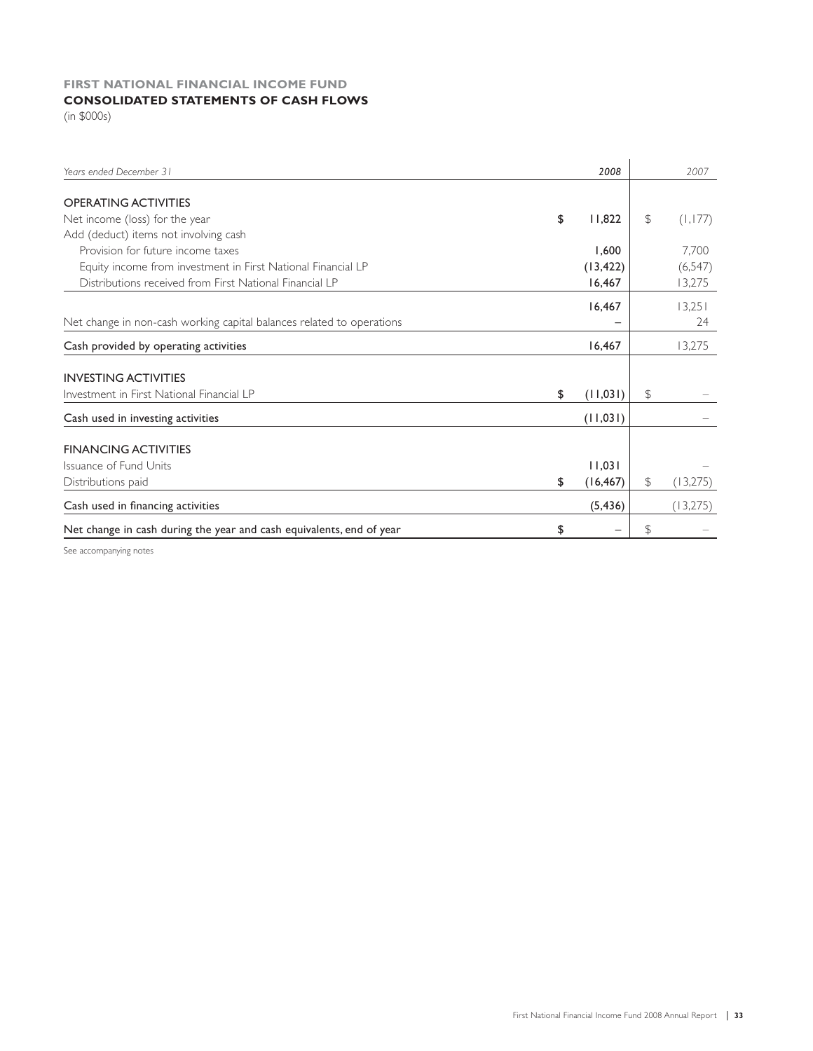### **FIRST NATIONAL FINANCIAL INCOME FUND CONSOLIDATED STATEMENTS OF CASH FLOWS**

(in \$000s)

| Years ended December 31                                               | 2008            | 2007           |
|-----------------------------------------------------------------------|-----------------|----------------|
|                                                                       |                 |                |
| <b>OPERATING ACTIVITIES</b>                                           |                 |                |
| Net income (loss) for the year                                        | \$<br>11,822    | \$<br>(1,177)  |
| Add (deduct) items not involving cash                                 |                 |                |
| Provision for future income taxes                                     | 1.600           | 7.700          |
| Equity income from investment in First National Financial LP          | (13, 422)       | (6, 547)       |
| Distributions received from First National Financial LP               | 16,467          | 13,275         |
|                                                                       | 16,467          | 13,251         |
| Net change in non-cash working capital balances related to operations |                 | 24             |
| Cash provided by operating activities                                 | 16,467          | 13,275         |
| <b>INVESTING ACTIVITIES</b>                                           |                 |                |
| Investment in First National Financial LP                             | \$<br>(11,031)  | \$             |
| Cash used in investing activities                                     | (11,031)        |                |
| <b>FINANCING ACTIVITIES</b>                                           |                 |                |
| Issuance of Fund Units                                                | 11,031          |                |
| Distributions paid                                                    | \$<br>(16, 467) | \$<br>(13,275) |
| Cash used in financing activities                                     | (5, 436)        | (13,275)       |
| Net change in cash during the year and cash equivalents, end of year  | \$              | \$             |

See accompanying notes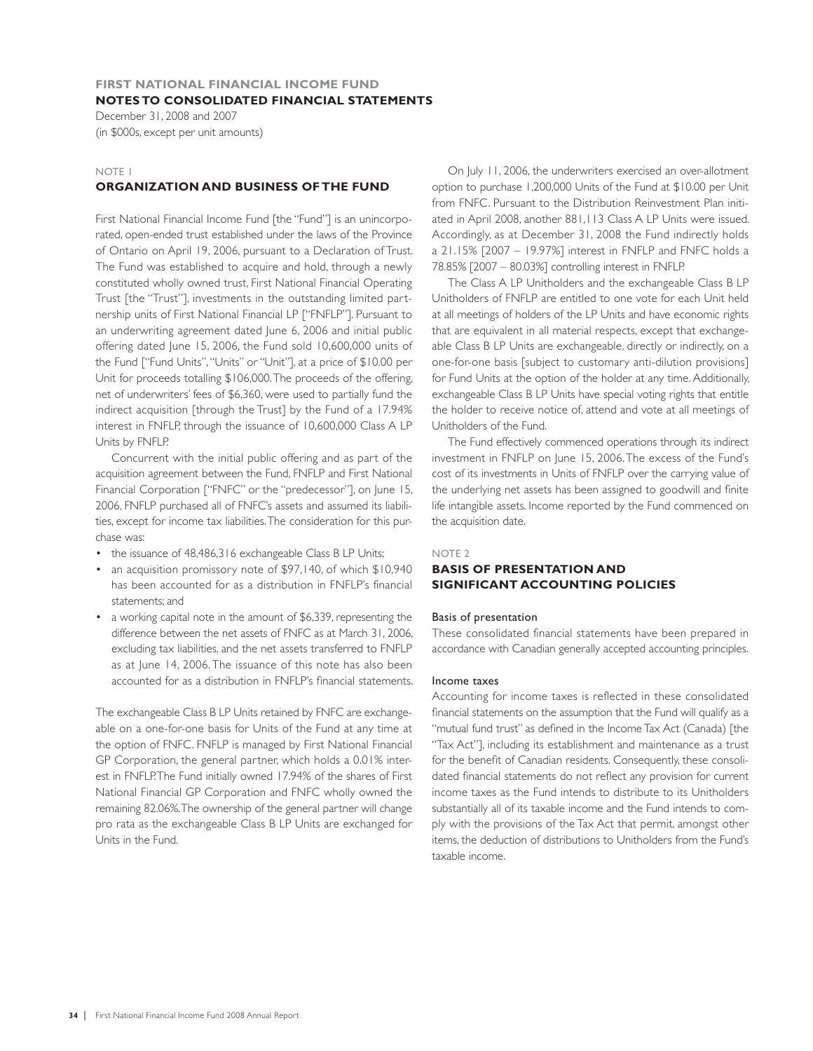### **FIRST NATIONAL FINANCIAL INCOME FUND NOTES TO CONSOLIDATED FINANCIAL STATEMENTS**

December 31, 2008 and 2007 (in \$000s, except per unit amounts)

### NOTE 1

### **ORGANIZATION AND BUSINESS OF THE FUND**

First National Financial Income Fund [the "Fund"] is an unincorporated, open-ended trust established under the laws of the Province of Ontario on April 19, 2006, pursuant to a Declaration of Trust. The Fund was established to acquire and hold, through a newly constituted wholly owned trust, First National Financial Operating Trust [the "Trust"], investments in the outstanding limited partnership units of First National Financial LP ["FNFLP"]. Pursuant to an underwriting agreement dated June 6, 2006 and initial public offering dated June 15, 2006, the Fund sold 10,600,000 units of the Fund ["Fund Units", "Units" or "Unit"], at a price of \$10.00 per Unit for proceeds totalling \$106,000. The proceeds of the offering, net of underwriters' fees of \$6,360, were used to partially fund the indirect acquisition [through the Trust] by the Fund of a 17.94% interest in FNFLP, through the issuance of 10,600,000 Class A LP Units by FNFLP.

Concurrent with the initial public offering and as part of the acquisition agreement between the Fund, FNFLP and First National Financial Corporation ["FNFC" or the "predecessor"], on June 15, 2006, FNFLP purchased all of FNFC's assets and assumed its liabilities, except for income tax liabilities. The consideration for this purchase was:

- the issuance of 48,486,316 exchangeable Class B LP Units;
- an acquisition promissory note of \$97,140, of which \$10,940 has been accounted for as a distribution in FNFLP's financial statements; and
- a working capital note in the amount of \$6,339, representing the difference between the net assets of FNFC as at March 31, 2006, excluding tax liabilities, and the net assets transferred to FNFLP as at June 14, 2006. The issuance of this note has also been accounted for as a distribution in FNFLP's financial statements.

The exchangeable Class B LP Units retained by FNFC are exchangeable on a one-for-one basis for Units of the Fund at any time at the option of FNFC. FNFLP is managed by First National Financial GP Corporation, the general partner, which holds a 0.01% interest in FNFLP. The Fund initially owned 17.94% of the shares of First National Financial GP Corporation and FNFC wholly owned the remaining 82.06%. The ownership of the general partner will change pro rata as the exchangeable Class B LP Units are exchanged for Units in the Fund.

On July 11, 2006, the underwriters exercised an over-allotment option to purchase 1,200,000 Units of the Fund at \$10.00 per Unit from FNFC. Pursuant to the Distribution Reinvestment Plan initiated in April 2008, another 881,113 Class A LP Units were issued. Accordingly, as at December 31, 2008 the Fund indirectly holds a 21.15% [2007 – 19.97%] interest in FNFLP and FNFC holds a 78.85% [2007 – 80.03%] controlling interest in FNFLP.

The Class A LP Unitholders and the exchangeable Class B LP Unitholders of FNFLP are entitled to one vote for each Unit held at all meetings of holders of the LP Units and have economic rights that are equivalent in all material respects, except that exchangeable Class B LP Units are exchangeable, directly or indirectly, on a one-for-one basis [subject to customary anti-dilution provisions] for Fund Units at the option of the holder at any time. Additionally, exchangeable Class B LP Units have special voting rights that entitle the holder to receive notice of, attend and vote at all meetings of Unitholders of the Fund.

The Fund effectively commenced operations through its indirect investment in FNFLP on June 15, 2006. The excess of the Fund's cost of its investments in Units of FNFLP over the carrying value of the underlying net assets has been assigned to goodwill and finite life intangible assets. Income reported by the Fund commenced on the acquisition date.

### NOTE 2

### **BASIS OF PRESENTATION AND SIGNIFICANT ACCOUNTING POLICIES**

### Basis of presentation

These consolidated financial statements have been prepared in accordance with Canadian generally accepted accounting principles.

### Income taxes

Accounting for income taxes is reflected in these consolidated financial statements on the assumption that the Fund will qualify as a "mutual fund trust" as defined in the Income Tax Act (Canada) [the "Tax Act"], including its establishment and maintenance as a trust for the benefit of Canadian residents. Consequently, these consolidated financial statements do not reflect any provision for current income taxes as the Fund intends to distribute to its Unitholders substantially all of its taxable income and the Fund intends to comply with the provisions of the Tax Act that permit, amongst other items, the deduction of distributions to Unitholders from the Fund's taxable income.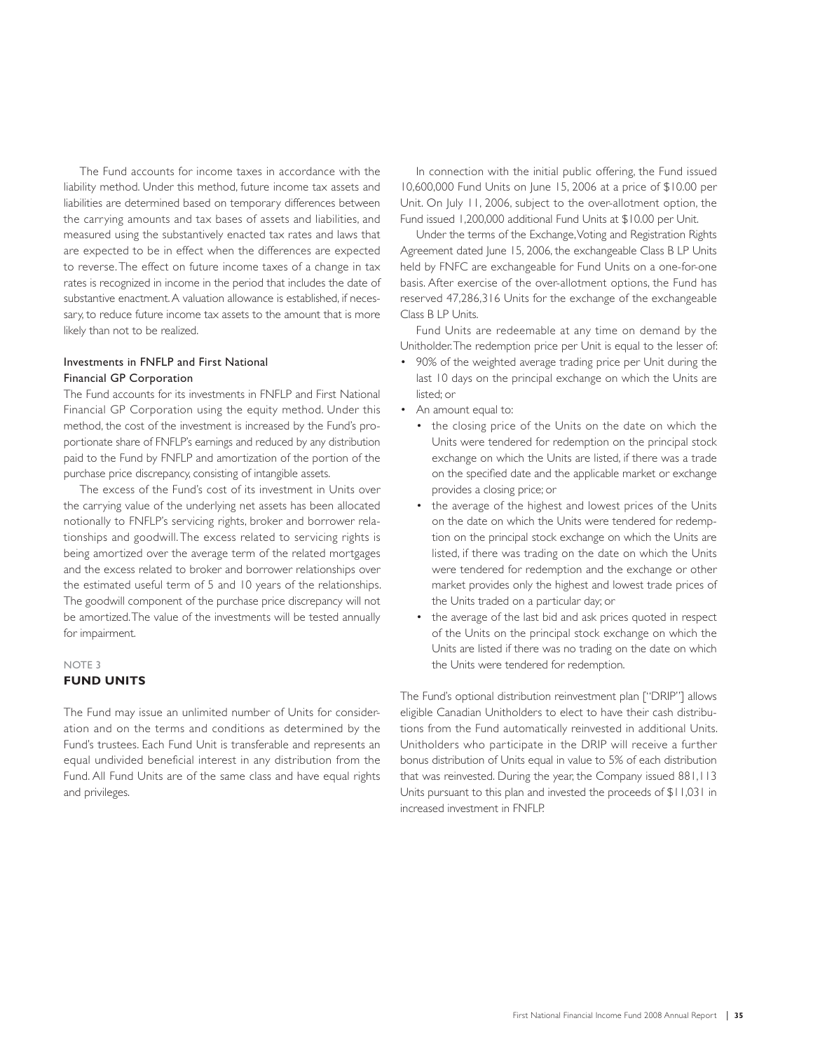The Fund accounts for income taxes in accordance with the liability method. Under this method, future income tax assets and liabilities are determined based on temporary differences between the carrying amounts and tax bases of assets and liabilities, and measured using the substantively enacted tax rates and laws that are expected to be in effect when the differences are expected to reverse. The effect on future income taxes of a change in tax rates is recognized in income in the period that includes the date of substantive enactment. A valuation allowance is established, if necessary, to reduce future income tax assets to the amount that is more likely than not to be realized.

### Investments in FNFLP and First National Financial GP Corporation

The Fund accounts for its investments in FNFLP and First National Financial GP Corporation using the equity method. Under this method, the cost of the investment is increased by the Fund's proportionate share of FNFLP's earnings and reduced by any distribution paid to the Fund by FNFLP and amortization of the portion of the purchase price discrepancy, consisting of intangible assets.

The excess of the Fund's cost of its investment in Units over the carrying value of the underlying net assets has been allocated notionally to FNFLP's servicing rights, broker and borrower relationships and goodwill. The excess related to servicing rights is being amortized over the average term of the related mortgages and the excess related to broker and borrower relationships over the estimated useful term of 5 and 10 years of the relationships. The goodwill component of the purchase price discrepancy will not be amortized. The value of the investments will be tested annually for impairment.

### NOTE 3 **FUND UNITS**

The Fund may issue an unlimited number of Units for consideration and on the terms and conditions as determined by the Fund's trustees. Each Fund Unit is transferable and represents an equal undivided beneficial interest in any distribution from the Fund. All Fund Units are of the same class and have equal rights and privileges.

In connection with the initial public offering, the Fund issued 10,600,000 Fund Units on June 15, 2006 at a price of \$10.00 per Unit. On July 11, 2006, subject to the over-allotment option, the Fund issued 1,200,000 additional Fund Units at \$10.00 per Unit.

Under the terms of the Exchange, Voting and Registration Rights Agreement dated June 15, 2006, the exchangeable Class B LP Units held by FNFC are exchangeable for Fund Units on a one-for-one basis. After exercise of the over-allotment options, the Fund has reserved 47,286,316 Units for the exchange of the exchangeable Class B LP Units.

Fund Units are redeemable at any time on demand by the Unitholder. The redemption price per Unit is equal to the lesser of:

- 90% of the weighted average trading price per Unit during the last 10 days on the principal exchange on which the Units are listed; or
- An amount equal to:
	- the closing price of the Units on the date on which the Units were tendered for redemption on the principal stock exchange on which the Units are listed, if there was a trade on the specified date and the applicable market or exchange provides a closing price; or
	- the average of the highest and lowest prices of the Units on the date on which the Units were tendered for redemption on the principal stock exchange on which the Units are listed, if there was trading on the date on which the Units were tendered for redemption and the exchange or other market provides only the highest and lowest trade prices of the Units traded on a particular day; or
	- the average of the last bid and ask prices quoted in respect of the Units on the principal stock exchange on which the Units are listed if there was no trading on the date on which the Units were tendered for redemption.

The Fund's optional distribution reinvestment plan ["DRIP"] allows eligible Canadian Unitholders to elect to have their cash distributions from the Fund automatically reinvested in additional Units. Unitholders who participate in the DRIP will receive a further bonus distribution of Units equal in value to 5% of each distribution that was reinvested. During the year, the Company issued 881,113 Units pursuant to this plan and invested the proceeds of \$11,031 in increased investment in FNFLP.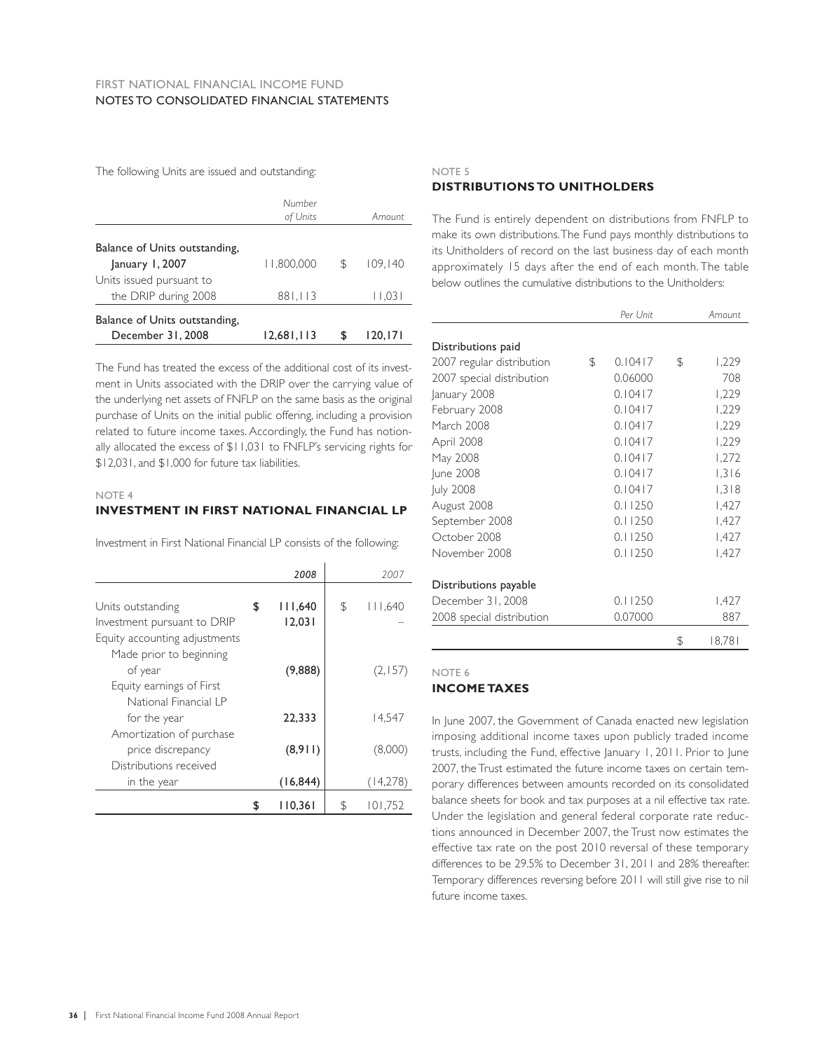The following Units are issued and outstanding:

|                    |            | 120.171  |
|--------------------|------------|----------|
| 881,113            |            | 11,031   |
|                    |            |          |
| 1.800.000          | S          | 109, 140 |
| Number<br>of Units |            | Amount   |
|                    | 12.681.113 |          |

The Fund has treated the excess of the additional cost of its investment in Units associated with the DRIP over the carrying value of the underlying net assets of FNFLP on the same basis as the original purchase of Units on the initial public offering, including a provision related to future income taxes. Accordingly, the Fund has notionally allocated the excess of \$11,031 to FNFLP's servicing rights for \$12,031, and \$1,000 for future tax liabilities.

### NOTE 4

### **INVESTMENT IN FIRST NATIONAL FINANCIAL LP**

Investment in First National Financial LP consists of the following:

|                                                    | 2008          | 2007          |
|----------------------------------------------------|---------------|---------------|
| Units outstanding                                  | \$<br>111,640 | \$<br>111,640 |
| Investment pursuant to DRIP                        | 12,031        |               |
| Equity accounting adjustments                      |               |               |
| Made prior to beginning                            |               |               |
| of year                                            | (9,888)       | (2,157)       |
| Equity earnings of First<br>National Financial I P |               |               |
| for the year                                       | 22,333        | 14.547        |
| Amortization of purchase                           |               |               |
| price discrepancy                                  | (8,911)       | (8,000)       |
| Distributions received                             |               |               |
| in the year                                        | (16, 844)     | (14,278)      |
|                                                    | \$<br>110.361 | \$<br>101.752 |

### NOTE 5 **DISTRIBUTIONS TO UNITHOLDERS**

The Fund is entirely dependent on distributions from FNFLP to make its own distributions. The Fund pays monthly distributions to its Unitholders of record on the last business day of each month approximately 15 days after the end of each month. The table below outlines the cumulative distributions to the Unitholders:

|                           | Per Unit      | Amount       |
|---------------------------|---------------|--------------|
|                           |               |              |
| Distributions paid        |               |              |
| 2007 regular distribution | \$<br>0.10417 | \$<br>1,229  |
| 2007 special distribution | 0.06000       | 708          |
| January 2008              | 0.10417       | 1,229        |
| February 2008             | 0.10417       | 1,229        |
| March 2008                | 0.10417       | 1,229        |
| April 2008                | 0.10417       | 1,229        |
| May 2008                  | 0.10417       | 1,272        |
| June 2008                 | 0.10417       | 1,316        |
| <b>July 2008</b>          | 0.10417       | 1,318        |
| August 2008               | 0.11250       | 1,427        |
| September 2008            | 0.11250       | 1,427        |
| October 2008              | 0.11250       | 1,427        |
| November 2008             | 0.11250       | 1,427        |
| Distributions payable     |               |              |
| December 31, 2008         | 0.11250       | 1,427        |
| 2008 special distribution | 0.07000       | 887          |
|                           |               | \$<br>18,781 |

### NOTE 6

### **INCOME TAXES**

In June 2007, the Government of Canada enacted new legislation imposing additional income taxes upon publicly traded income trusts, including the Fund, effective January 1, 2011. Prior to June 2007, the Trust estimated the future income taxes on certain temporary differences between amounts recorded on its consolidated balance sheets for book and tax purposes at a nil effective tax rate. Under the legislation and general federal corporate rate reductions announced in December 2007, the Trust now estimates the effective tax rate on the post 2010 reversal of these temporary differences to be 29.5% to December 31, 2011 and 28% thereafter. Temporary differences reversing before 2011 will still give rise to nil future income taxes.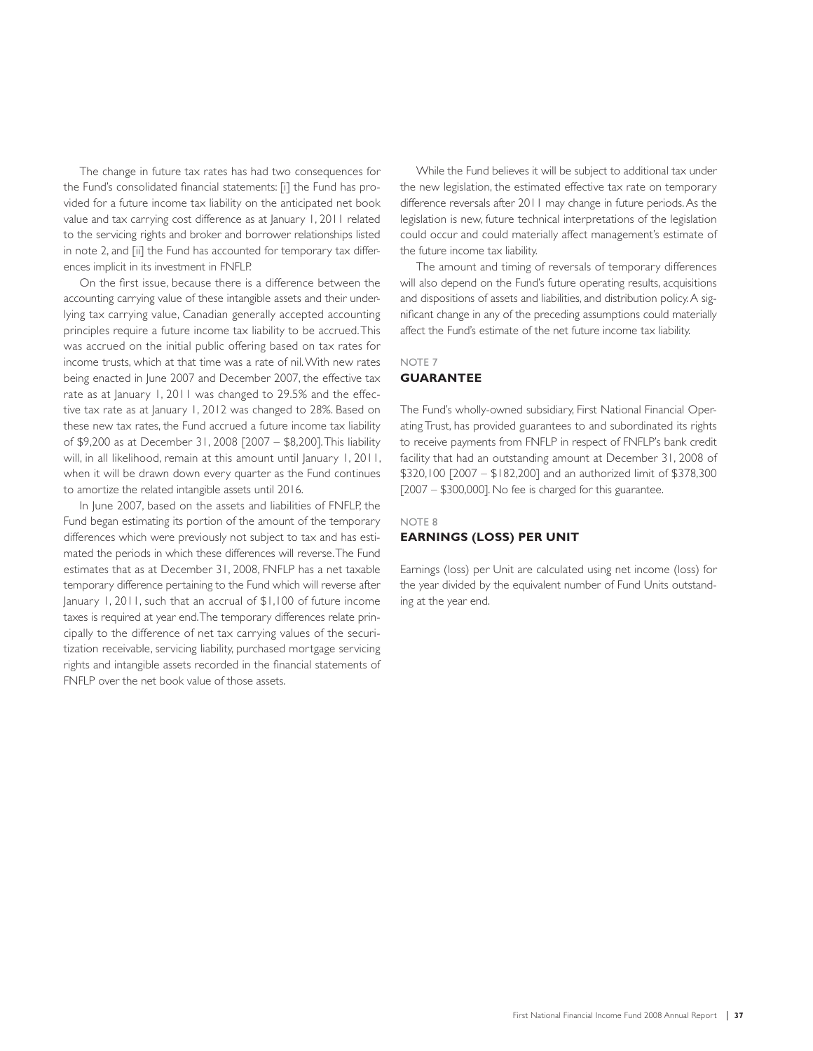The change in future tax rates has had two consequences for the Fund's consolidated financial statements: [i] the Fund has provided for a future income tax liability on the anticipated net book value and tax carrying cost difference as at January 1, 2011 related to the servicing rights and broker and borrower relationships listed in note 2, and [ii] the Fund has accounted for temporary tax differences implicit in its investment in FNFLP.

On the first issue, because there is a difference between the accounting carrying value of these intangible assets and their underlying tax carrying value, Canadian generally accepted accounting principles require a future income tax liability to be accrued. This was accrued on the initial public offering based on tax rates for income trusts, which at that time was a rate of nil. With new rates being enacted in June 2007 and December 2007, the effective tax rate as at January 1, 2011 was changed to 29.5% and the effective tax rate as at January 1, 2012 was changed to 28%. Based on these new tax rates, the Fund accrued a future income tax liability of \$9,200 as at December 31, 2008 [2007 – \$8,200]. This liability will, in all likelihood, remain at this amount until January 1, 2011, when it will be drawn down every quarter as the Fund continues to amortize the related intangible assets until 2016.

In June 2007, based on the assets and liabilities of FNFLP, the Fund began estimating its portion of the amount of the temporary differences which were previously not subject to tax and has estimated the periods in which these differences will reverse. The Fund estimates that as at December 31, 2008, FNFLP has a net taxable temporary difference pertaining to the Fund which will reverse after January 1, 2011, such that an accrual of \$1,100 of future income taxes is required at year end. The temporary differences relate principally to the difference of net tax carrying values of the securitization receivable, servicing liability, purchased mortgage servicing rights and intangible assets recorded in the financial statements of FNFLP over the net book value of those assets.

While the Fund believes it will be subject to additional tax under the new legislation, the estimated effective tax rate on temporary difference reversals after 2011 may change in future periods. As the legislation is new, future technical interpretations of the legislation could occur and could materially affect management's estimate of the future income tax liability.

The amount and timing of reversals of temporary differences will also depend on the Fund's future operating results, acquisitions and dispositions of assets and liabilities, and distribution policy. A significant change in any of the preceding assumptions could materially affect the Fund's estimate of the net future income tax liability.

### NOTE 7 **GUARANTEE**

The Fund's wholly-owned subsidiary, First National Financial Operating Trust, has provided guarantees to and subordinated its rights to receive payments from FNFLP in respect of FNFLP's bank credit facility that had an outstanding amount at December 31, 2008 of \$320,100 [2007 – \$182,200] and an authorized limit of \$378,300 [2007 – \$300,000]. No fee is charged for this guarantee.

### NOTE 8

### **EARNINGS (LOSS) PER UNIT**

Earnings (loss) per Unit are calculated using net income (loss) for the year divided by the equivalent number of Fund Units outstanding at the year end.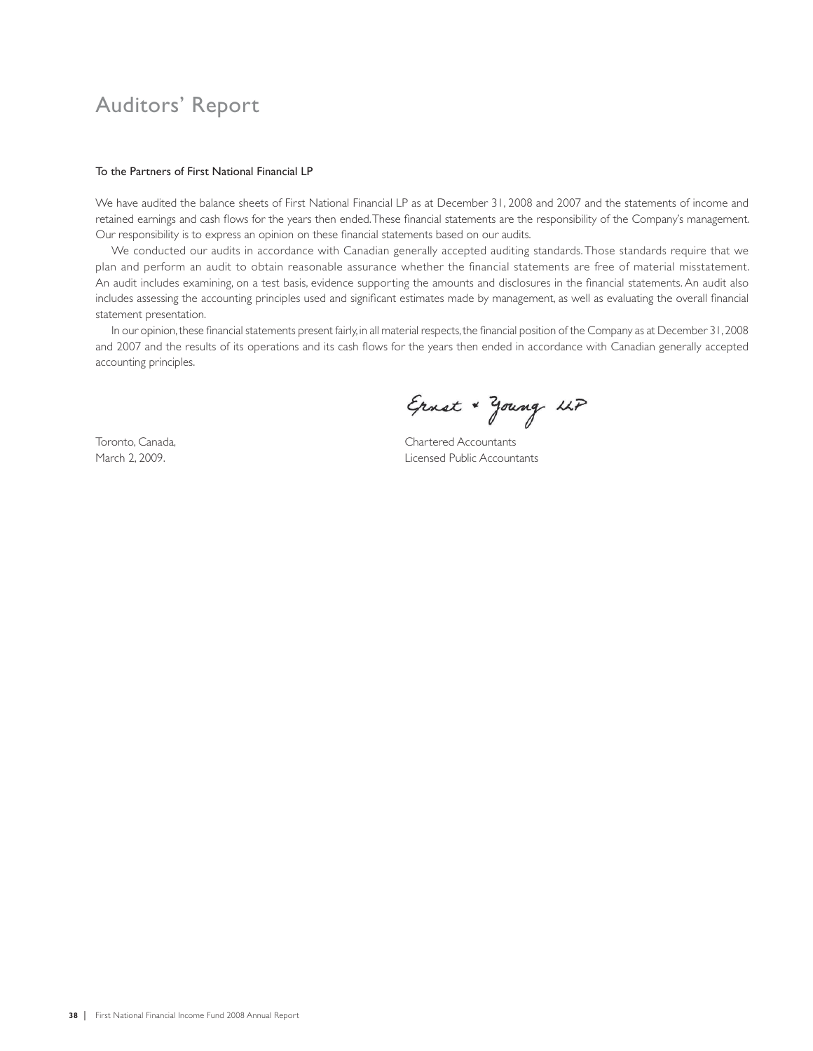## Auditors' Report

### To the Partners of First National Financial LP

We have audited the balance sheets of First National Financial LP as at December 31, 2008 and 2007 and the statements of income and retained earnings and cash flows for the years then ended. These financial statements are the responsibility of the Company's management. Our responsibility is to express an opinion on these financial statements based on our audits.

We conducted our audits in accordance with Canadian generally accepted auditing standards. Those standards require that we plan and perform an audit to obtain reasonable assurance whether the financial statements are free of material misstatement. An audit includes examining, on a test basis, evidence supporting the amounts and disclosures in the financial statements. An audit also includes assessing the accounting principles used and significant estimates made by management, as well as evaluating the overall financial statement presentation.

In our opinion, these financial statements present fairly, in all material respects, the financial position of the Company as at December 31, 2008 and 2007 and the results of its operations and its cash flows for the years then ended in accordance with Canadian generally accepted accounting principles.

Ernst + Young LLP

Toronto, Canada, Chartered Accountants March 2, 2009. Licensed Public Accountants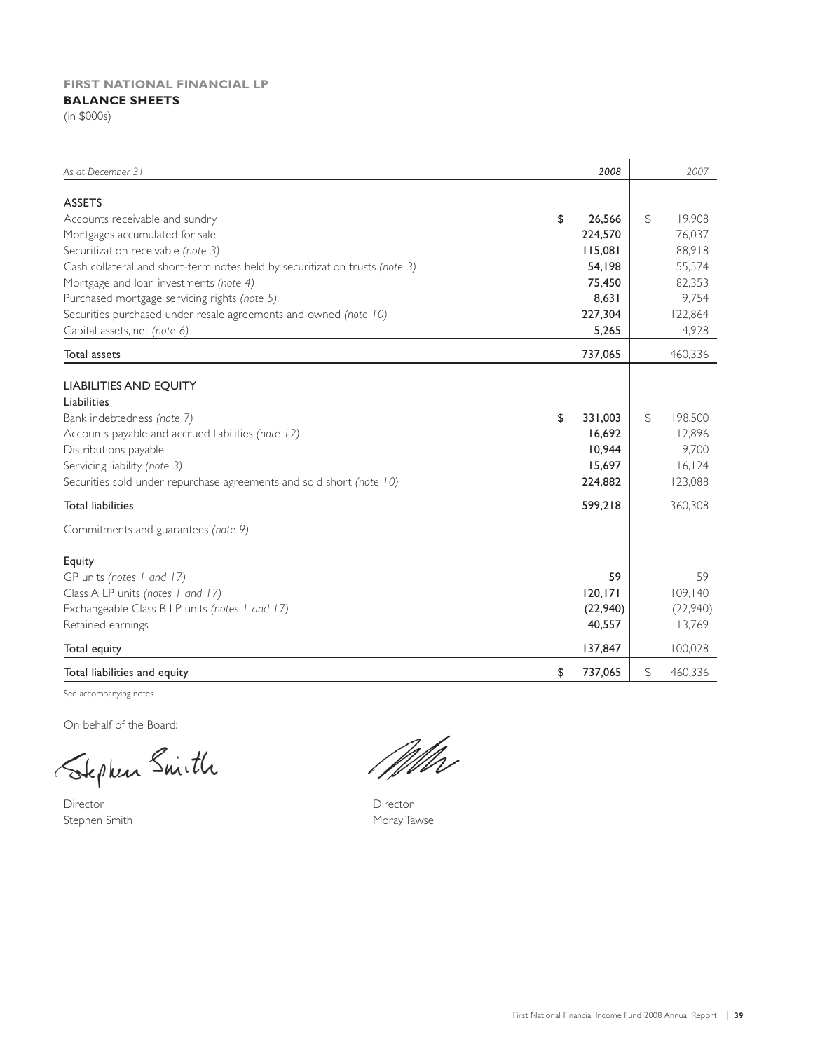### **FIRST NATIONAL FINANCIAL LP BALANCE SHEETS**

(in \$000s)

| As at December 31                                                           | 2008          |    | 2007     |
|-----------------------------------------------------------------------------|---------------|----|----------|
| <b>ASSETS</b>                                                               |               |    |          |
| Accounts receivable and sundry                                              | \$<br>26,566  | \$ | 19,908   |
| Mortgages accumulated for sale                                              | 224,570       |    | 76,037   |
| Securitization receivable (note 3)                                          | 115,081       |    | 88,918   |
| Cash collateral and short-term notes held by securitization trusts (note 3) | 54,198        |    | 55,574   |
| Mortgage and loan investments (note 4)                                      | 75,450        |    | 82,353   |
| Purchased mortgage servicing rights (note 5)                                | 8,631         |    | 9,754    |
| Securities purchased under resale agreements and owned (note 10)            | 227,304       |    | 122,864  |
| Capital assets, net (note 6)                                                | 5,265         |    | 4,928    |
| <b>Total assets</b>                                                         | 737,065       |    | 460,336  |
|                                                                             |               |    |          |
| <b>LIABILITIES AND EQUITY</b><br>Liabilities                                |               |    |          |
|                                                                             | 331,003       | \$ | 198,500  |
| Bank indebtedness (note 7)                                                  | \$            |    |          |
| Accounts payable and accrued liabilities (note 12)                          | 16,692        |    | 12,896   |
| Distributions payable                                                       | 10,944        |    | 9,700    |
| Servicing liability (note 3)                                                | 15,697        |    | 16, 124  |
| Securities sold under repurchase agreements and sold short (note 10)        | 224,882       |    | 123,088  |
| <b>Total liabilities</b>                                                    | 599,218       |    | 360,308  |
| Commitments and guarantees (note 9)                                         |               |    |          |
| Equity                                                                      |               |    |          |
| GP units (notes 1 and 17)                                                   |               | 59 | 59       |
| Class A LP units (notes 1 and 17)                                           | 120, 171      |    | 109,140  |
| Exchangeable Class B LP units (notes 1 and 17)                              | (22,940)      |    | (22,940) |
| Retained earnings                                                           | 40,557        |    | 13,769   |
| Total equity                                                                | 137,847       |    | 100,028  |
| Total liabilities and equity                                                | \$<br>737,065 | \$ | 460,336  |

See accompanying notes

On behalf of the Board:

Stephen Smith

Director Director Stephen Smith Moray Tawse

Mbr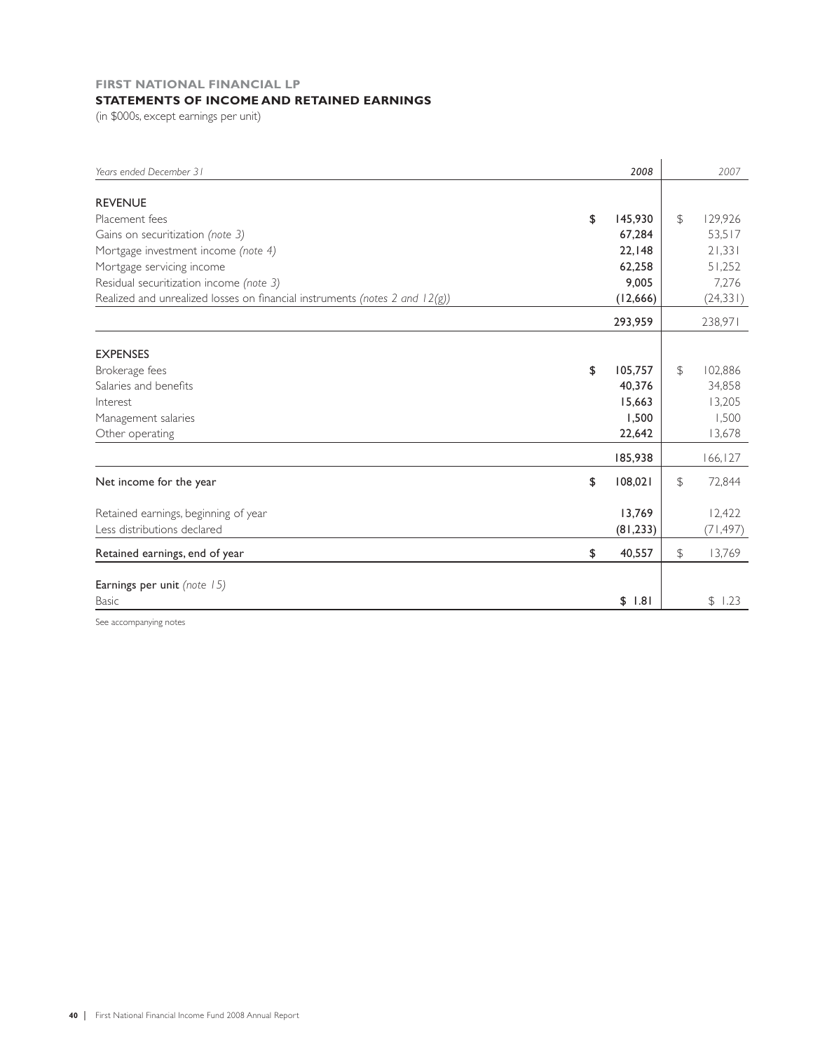### **FIRST NATIONAL FINANCIAL LP STATEMENTS OF INCOME AND RETAINED EARNINGS**

(in \$000s, except earnings per unit)

| Years ended December 31                                                     | 2008          |               | 2007      |
|-----------------------------------------------------------------------------|---------------|---------------|-----------|
|                                                                             |               |               |           |
| <b>REVENUE</b>                                                              |               |               |           |
| Placement fees                                                              | \$<br>145,930 | $\mathcal{F}$ | 129,926   |
| Gains on securitization (note 3)                                            | 67,284        |               | 53,517    |
| Mortgage investment income (note 4)                                         | 22,148        |               | 21,331    |
| Mortgage servicing income                                                   | 62,258        |               | 51,252    |
| Residual securitization income (note 3)                                     | 9,005         |               | 7,276     |
| Realized and unrealized losses on financial instruments (notes 2 and 12(g)) | (12,666)      |               | (24, 331) |
|                                                                             | 293,959       |               | 238,971   |
|                                                                             |               |               |           |
| <b>EXPENSES</b>                                                             |               |               |           |
| Brokerage fees                                                              | \$<br>105,757 | $\mathcal{F}$ | 102,886   |
| Salaries and benefits                                                       | 40,376        |               | 34,858    |
| Interest                                                                    | 15,663        |               | 13,205    |
| Management salaries                                                         | 1,500         |               | 1,500     |
| Other operating                                                             | 22,642        |               | 13,678    |
|                                                                             | 185,938       |               | 166,127   |
| Net income for the year                                                     | \$<br>108,021 | $\mathcal{F}$ | 72,844    |
| Retained earnings, beginning of year                                        | 13,769        |               | 12,422    |
| Less distributions declared                                                 | (81, 233)     |               | (71, 497) |
| Retained earnings, end of year                                              | \$<br>40,557  | \$            | 13,769    |
|                                                                             |               |               |           |
| Earnings per unit (note 15)                                                 |               |               |           |
| <b>Basic</b>                                                                | \$1.81        |               | \$1.23    |

See accompanying notes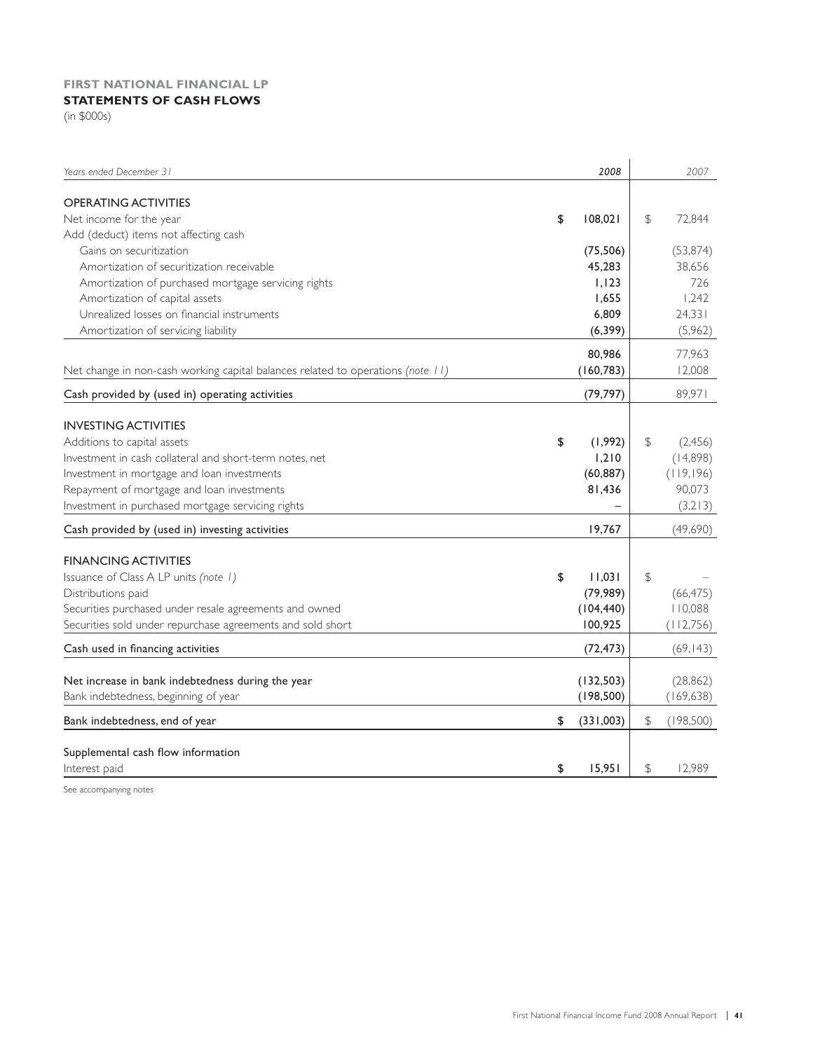### **FIRST NATIONAL FINANCIAL LP STATEMENTS OF CASH FLOWS**

(in \$000s)

| Years ended December 31                                                         | 2008            |               | 2007       |
|---------------------------------------------------------------------------------|-----------------|---------------|------------|
| <b>OPERATING ACTIVITIES</b>                                                     |                 |               |            |
| Net income for the year                                                         | \$<br>108,021   | \$            | 72,844     |
| Add (deduct) items not affecting cash                                           |                 |               |            |
| Gains on securitization                                                         | (75, 506)       |               | (53, 874)  |
| Amortization of securitization receivable                                       | 45,283          |               | 38,656     |
| Amortization of purchased mortgage servicing rights                             | 1,123           |               | 726        |
| Amortization of capital assets                                                  | 1,655           |               | 1,242      |
| Unrealized losses on financial instruments                                      | 6,809           |               | 24,331     |
| Amortization of servicing liability                                             | (6, 399)        |               | (5,962)    |
|                                                                                 |                 |               |            |
|                                                                                 | 80,986          |               | 77,963     |
| Net change in non-cash working capital balances related to operations (note 11) | (160, 783)      |               | 12,008     |
| Cash provided by (used in) operating activities                                 | (79, 797)       |               | 89,971     |
|                                                                                 |                 |               |            |
| <b>INVESTING ACTIVITIES</b>                                                     |                 |               |            |
| Additions to capital assets                                                     | \$<br>(1,992)   | \$            | (2,456)    |
| Investment in cash collateral and short-term notes, net                         | 1,210           |               | (14,898)   |
| Investment in mortgage and loan investments                                     | (60, 887)       |               | (119,196)  |
| Repayment of mortgage and loan investments                                      | 81,436          |               | 90,073     |
| Investment in purchased mortgage servicing rights                               |                 |               | (3,213)    |
| Cash provided by (used in) investing activities                                 | 19,767          |               | (49,690)   |
|                                                                                 |                 |               |            |
| <b>FINANCING ACTIVITIES</b>                                                     |                 |               |            |
| Issuance of Class A LP units (note 1)                                           | \$<br>11,031    | $\mathcal{L}$ |            |
| Distributions paid                                                              | (79, 989)       |               | (66, 475)  |
| Securities purchased under resale agreements and owned                          | (104, 440)      |               | 110,088    |
| Securities sold under repurchase agreements and sold short                      | 100,925         |               | (112, 756) |
| Cash used in financing activities                                               | (72, 473)       |               | (69, 143)  |
|                                                                                 |                 |               |            |
| Net increase in bank indebtedness during the year                               | (132, 503)      |               | (28, 862)  |
| Bank indebtedness, beginning of year                                            | (198, 500)      |               | (169, 638) |
| Bank indebtedness, end of year                                                  | \$<br>(331,003) | \$            | (198,500)  |
|                                                                                 |                 |               |            |
| Supplemental cash flow information                                              |                 |               |            |
| Interest paid                                                                   | \$<br>15.951    | \$            | 12.989     |

See accompanying notes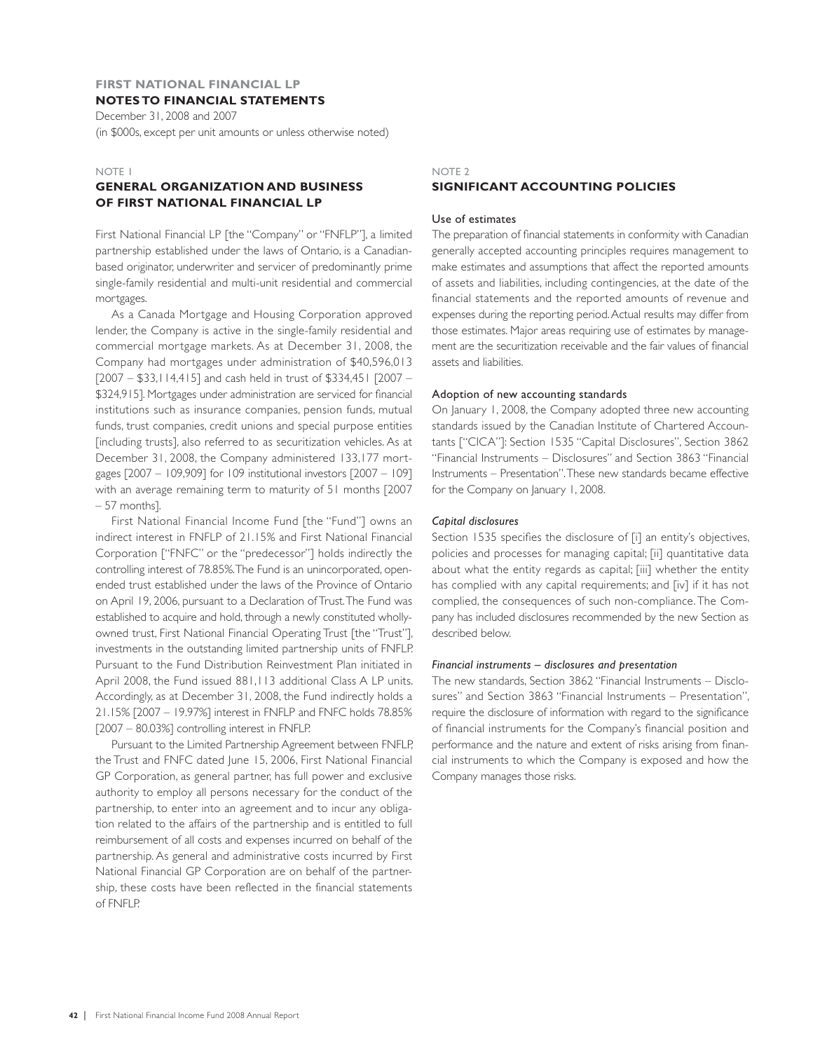### **FIRST NATIONAL FINANCIAL LP NOTES TO FINANCIAL STATEMENTS**

December 31, 2008 and 2007 (in \$000s, except per unit amounts or unless otherwise noted)

### NOTE 1

### **GENERAL ORGANIZATION AND BUSINESS OF FIRST NATIONAL FINANCIAL LP**

First National Financial LP [the "Company" or "FNFLP"], a limited partnership established under the laws of Ontario, is a Canadianbased originator, underwriter and servicer of predominantly prime single-family residential and multi-unit residential and commercial mortgages.

As a Canada Mortgage and Housing Corporation approved lender, the Company is active in the single-family residential and commercial mortgage markets. As at December 31, 2008, the Company had mortgages under administration of \$40,596,013 [2007 – \$33,114,415] and cash held in trust of \$334,451 [2007 – \$324,915]. Mortgages under administration are serviced for financial institutions such as insurance companies, pension funds, mutual funds, trust companies, credit unions and special purpose entities [including trusts], also referred to as securitization vehicles. As at December 31, 2008, the Company administered 133,177 mortgages [2007 – 109,909] for 109 institutional investors [2007 – 109] with an average remaining term to maturity of 51 months [2007 – 57 months].

First National Financial Income Fund [the "Fund"] owns an indirect interest in FNFLP of 21.15% and First National Financial Corporation ["FNFC" or the "predecessor"] holds indirectly the controlling interest of 78.85%. The Fund is an unincorporated, openended trust established under the laws of the Province of Ontario on April 19, 2006, pursuant to a Declaration of Trust. The Fund was established to acquire and hold, through a newly constituted whollyowned trust, First National Financial Operating Trust [the "Trust"], investments in the outstanding limited partnership units of FNFLP. Pursuant to the Fund Distribution Reinvestment Plan initiated in April 2008, the Fund issued 881,113 additional Class A LP units. Accordingly, as at December 31, 2008, the Fund indirectly holds a 21.15% [2007 – 19.97%] interest in FNFLP and FNFC holds 78.85% [2007 – 80.03%] controlling interest in FNFLP.

Pursuant to the Limited Partnership Agreement between FNFLP, the Trust and FNFC dated June 15, 2006, First National Financial GP Corporation, as general partner, has full power and exclusive authority to employ all persons necessary for the conduct of the partnership, to enter into an agreement and to incur any obligation related to the affairs of the partnership and is entitled to full reimbursement of all costs and expenses incurred on behalf of the partnership. As general and administrative costs incurred by First National Financial GP Corporation are on behalf of the partnership, these costs have been reflected in the financial statements of FNFLP.

### NOTE 2 **SIGNIFICANT ACCOUNTING POLICIES**

### Use of estimates

The preparation of financial statements in conformity with Canadian generally accepted accounting principles requires management to make estimates and assumptions that affect the reported amounts of assets and liabilities, including contingencies, at the date of the financial statements and the reported amounts of revenue and expenses during the reporting period. Actual results may differ from those estimates. Major areas requiring use of estimates by management are the securitization receivable and the fair values of financial assets and liabilities.

### Adoption of new accounting standards

On January 1, 2008, the Company adopted three new accounting standards issued by the Canadian Institute of Chartered Accountants ["CICA"]: Section 1535 "Capital Disclosures", Section 3862 "Financial Instruments – Disclosures" and Section 3863 "Financial Instruments – Presentation". These new standards became effective for the Company on January 1, 2008.

### *Capital disclosures*

Section 1535 specifies the disclosure of [i] an entity's objectives, policies and processes for managing capital; [ii] quantitative data about what the entity regards as capital; [iii] whether the entity has complied with any capital requirements; and [iv] if it has not complied, the consequences of such non-compliance. The Company has included disclosures recommended by the new Section as described below.

### *Financial instruments – disclosures and presentation*

The new standards, Section 3862 "Financial Instruments – Disclosures" and Section 3863 "Financial Instruments – Presentation", require the disclosure of information with regard to the significance of financial instruments for the Company's financial position and performance and the nature and extent of risks arising from financial instruments to which the Company is exposed and how the Company manages those risks.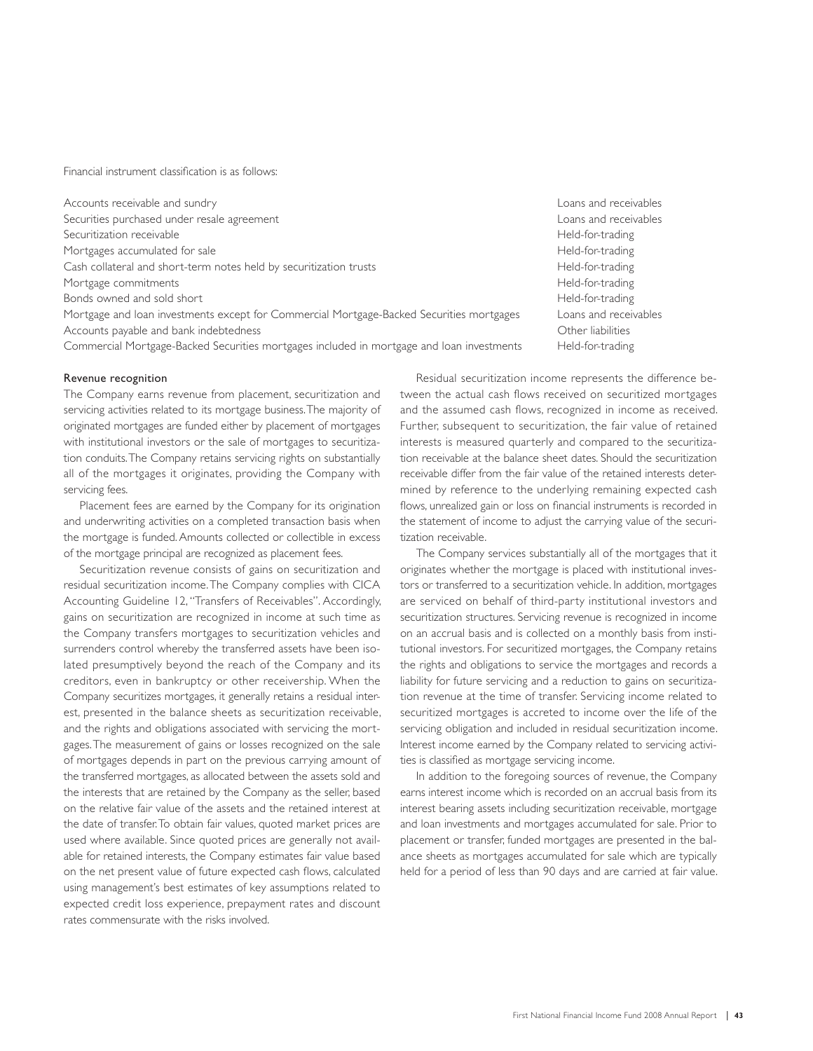Financial instrument classification is as follows:

| Accounts receivable and sundry                                                            | Loans and receivables |
|-------------------------------------------------------------------------------------------|-----------------------|
| Securities purchased under resale agreement                                               | Loans and receivables |
| Securitization receivable                                                                 | Held-for-trading      |
| Mortgages accumulated for sale                                                            | Held-for-trading      |
| Cash collateral and short-term notes held by securitization trusts                        | Held-for-trading      |
| Mortgage commitments                                                                      | Held-for-trading      |
| Bonds owned and sold short                                                                | Held-for-trading      |
| Mortgage and loan investments except for Commercial Mortgage-Backed Securities mortgages  | Loans and receivables |
| Accounts payable and bank indebtedness                                                    | Other liabilities     |
| Commercial Mortgage-Backed Securities mortgages included in mortgage and loan investments | Held-for-trading      |

### Revenue recognition

The Company earns revenue from placement, securitization and servicing activities related to its mortgage business. The majority of originated mortgages are funded either by placement of mortgages with institutional investors or the sale of mortgages to securitization conduits. The Company retains servicing rights on substantially all of the mortgages it originates, providing the Company with servicing fees.

Placement fees are earned by the Company for its origination and underwriting activities on a completed transaction basis when the mortgage is funded. Amounts collected or collectible in excess of the mortgage principal are recognized as placement fees.

Securitization revenue consists of gains on securitization and residual securitization income. The Company complies with CICA Accounting Guideline 12, "Transfers of Receivables". Accordingly, gains on securitization are recognized in income at such time as the Company transfers mortgages to securitization vehicles and surrenders control whereby the transferred assets have been isolated presumptively beyond the reach of the Company and its creditors, even in bankruptcy or other receivership. When the Company securitizes mortgages, it generally retains a residual interest, presented in the balance sheets as securitization receivable, and the rights and obligations associated with servicing the mortgages. The measurement of gains or losses recognized on the sale of mortgages depends in part on the previous carrying amount of the transferred mortgages, as allocated between the assets sold and the interests that are retained by the Company as the seller, based on the relative fair value of the assets and the retained interest at the date of transfer. To obtain fair values, quoted market prices are used where available. Since quoted prices are generally not available for retained interests, the Company estimates fair value based on the net present value of future expected cash flows, calculated using management's best estimates of key assumptions related to expected credit loss experience, prepayment rates and discount rates commensurate with the risks involved.

Residual securitization income represents the difference be tween the actual cash flows received on securitized mortgages and the assumed cash flows, recognized in income as received. Further, subsequent to securitization, the fair value of retained interests is measured quarterly and compared to the securitization receivable at the balance sheet dates. Should the securitization receivable differ from the fair value of the retained interests determined by reference to the underlying remaining expected cash flows, unrealized gain or loss on financial instruments is recorded in the statement of income to adjust the carrying value of the securitization receivable.

The Company services substantially all of the mortgages that it originates whether the mortgage is placed with institutional investors or transferred to a securitization vehicle. In addition, mortgages are serviced on behalf of third-party institutional investors and securitization structures. Servicing revenue is recognized in income on an accrual basis and is collected on a monthly basis from institutional investors. For securitized mortgages, the Company retains the rights and obligations to service the mortgages and records a liability for future servicing and a reduction to gains on securitization revenue at the time of transfer. Servicing income related to securitized mortgages is accreted to income over the life of the servicing obligation and included in residual securitization income. Interest income earned by the Company related to servicing activities is classified as mortgage servicing income.

In addition to the foregoing sources of revenue, the Company earns interest income which is recorded on an accrual basis from its interest bearing assets including securitization receivable, mortgage and loan investments and mortgages accumulated for sale. Prior to placement or transfer, funded mortgages are presented in the balance sheets as mortgages accumulated for sale which are typically held for a period of less than 90 days and are carried at fair value.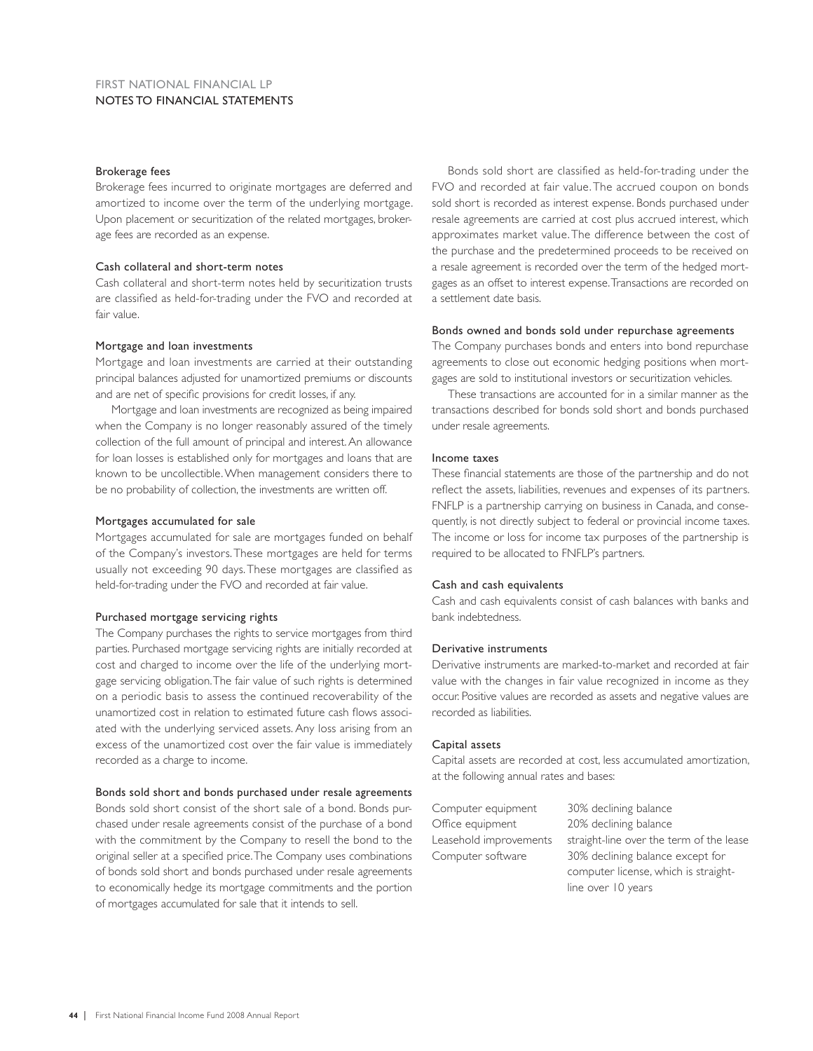### Brokerage fees

Brokerage fees incurred to originate mortgages are deferred and amortized to income over the term of the underlying mortgage. Upon placement or securitization of the related mortgages, brokerage fees are recorded as an expense.

### Cash collateral and short-term notes

Cash collateral and short-term notes held by securitization trusts are classified as held-for-trading under the FVO and recorded at fair value.

### Mortgage and loan investments

Mortgage and loan investments are carried at their outstanding principal balances adjusted for unamortized premiums or discounts and are net of specific provisions for credit losses, if any.

Mortgage and loan investments are recognized as being impaired when the Company is no longer reasonably assured of the timely collection of the full amount of principal and interest. An allowance for loan losses is established only for mortgages and loans that are known to be uncollectible. When management considers there to be no probability of collection, the investments are written off.

### Mortgages accumulated for sale

Mortgages accumulated for sale are mortgages funded on behalf of the Company's investors. These mortgages are held for terms usually not exceeding 90 days. These mortgages are classified as held-for-trading under the FVO and recorded at fair value.

### Purchased mortgage servicing rights

The Company purchases the rights to service mortgages from third parties. Purchased mortgage servicing rights are initially recorded at cost and charged to income over the life of the underlying mortgage servicing obligation. The fair value of such rights is determined on a periodic basis to assess the continued recoverability of the unamortized cost in relation to estimated future cash flows associated with the underlying serviced assets. Any loss arising from an excess of the unamortized cost over the fair value is immediately recorded as a charge to income.

### Bonds sold short and bonds purchased under resale agreements

Bonds sold short consist of the short sale of a bond. Bonds purchased under resale agreements consist of the purchase of a bond with the commitment by the Company to resell the bond to the original seller at a specified price. The Company uses combinations of bonds sold short and bonds purchased under resale agreements to economically hedge its mortgage commitments and the portion of mortgages accumulated for sale that it intends to sell.

Bonds sold short are classified as held-for-trading under the FVO and recorded at fair value. The accrued coupon on bonds sold short is recorded as interest expense. Bonds purchased under resale agreements are carried at cost plus accrued interest, which approximates market value. The difference between the cost of the purchase and the predetermined proceeds to be received on a resale agreement is recorded over the term of the hedged mortgages as an offset to interest expense. Transactions are recorded on a settlement date basis.

### Bonds owned and bonds sold under repurchase agreements

The Company purchases bonds and enters into bond repurchase agreements to close out economic hedging positions when mortgages are sold to institutional investors or securitization vehicles.

These transactions are accounted for in a similar manner as the transactions described for bonds sold short and bonds purchased under resale agreements.

### Income taxes

These financial statements are those of the partnership and do not reflect the assets, liabilities, revenues and expenses of its partners. FNFLP is a partnership carrying on business in Canada, and consequently, is not directly subject to federal or provincial income taxes. The income or loss for income tax purposes of the partnership is required to be allocated to FNFLP's partners.

### Cash and cash equivalents

Cash and cash equivalents consist of cash balances with banks and bank indebtedness.

### Derivative instruments

Derivative instruments are marked-to-market and recorded at fair value with the changes in fair value recognized in income as they occur. Positive values are recorded as assets and negative values are recorded as liabilities.

### Capital assets

Capital assets are recorded at cost, less accumulated amortization, at the following annual rates and bases:

| Computer equipment     | 30% declining balance                    |
|------------------------|------------------------------------------|
| Office equipment       | 20% declining balance                    |
| Leasehold improvements | straight-line over the term of the lease |
| Computer software      | 30% declining balance except for         |
|                        | computer license, which is straight-     |
|                        | line over 10 years                       |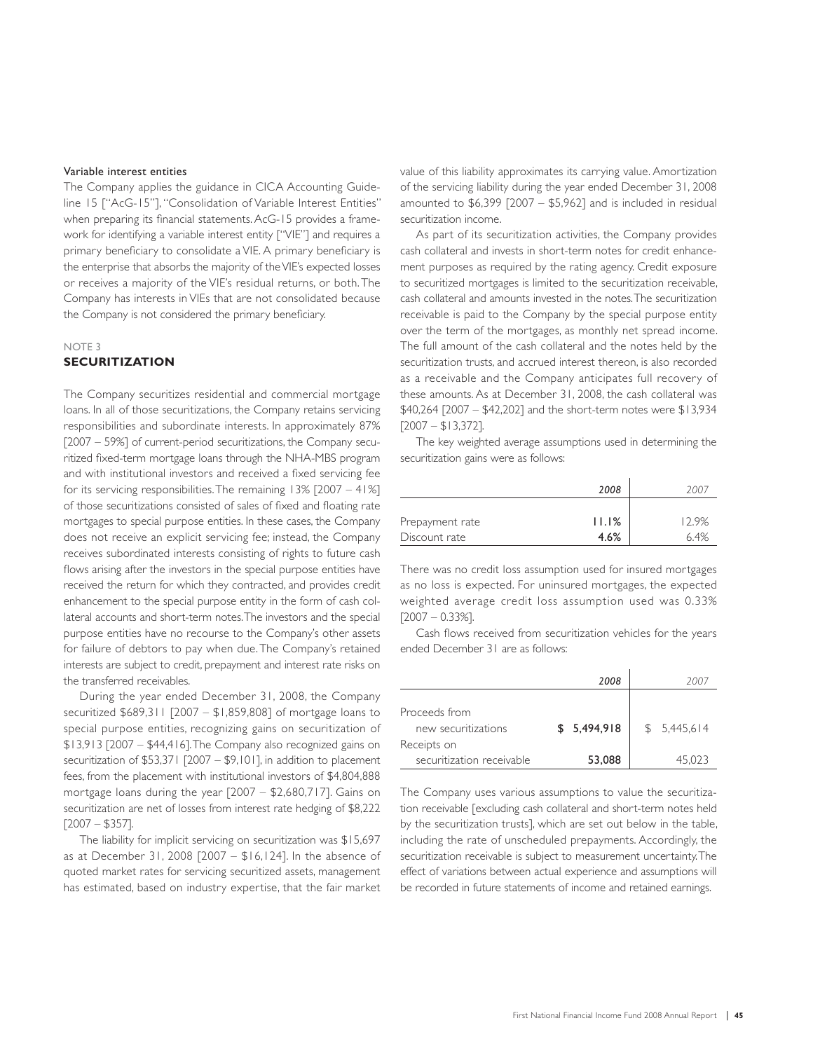### Variable interest entities

The Company applies the guidance in CICA Accounting Guideline 15 ["AcG-15"], "Consolidation of Variable Interest Entities" when preparing its financial statements. AcG-15 provides a framework for identifying a variable interest entity ["VIE"] and requires a primary beneficiary to consolidate a VIE. A primary beneficiary is the enterprise that absorbs the majority of the VIE's expected losses or receives a majority of the VIE's residual returns, or both. The Company has interests in VIEs that are not consolidated because the Company is not considered the primary beneficiary.

### NOTE 3

### **SECURITIZATION**

The Company securitizes residential and commercial mortgage loans. In all of those securitizations, the Company retains servicing responsibilities and subordinate interests. In approximately 87% [2007 – 59%] of current-period securitizations, the Company securitized fixed-term mortgage loans through the NHA-MBS program and with institutional investors and received a fixed servicing fee for its servicing responsibilities. The remaining 13% [2007 – 41%] of those securitizations consisted of sales of fixed and floating rate mortgages to special purpose entities. In these cases, the Company does not receive an explicit servicing fee; instead, the Company receives subordinated interests consisting of rights to future cash flows arising after the investors in the special purpose entities have received the return for which they contracted, and provides credit enhancement to the special purpose entity in the form of cash collateral accounts and short-term notes. The investors and the special purpose entities have no recourse to the Company's other assets for failure of debtors to pay when due. The Company's retained interests are subject to credit, prepayment and interest rate risks on the transferred receivables.

During the year ended December 31, 2008, the Company securitized \$689,311 [2007 – \$1,859,808] of mortgage loans to special purpose entities, recognizing gains on securitization of \$13,913 [2007 – \$44,416]. The Company also recognized gains on securitization of \$53,371 [2007 – \$9,101], in addition to placement fees, from the placement with institutional investors of \$4,804,888 mortgage loans during the year [2007 – \$2,680,717]. Gains on securitization are net of losses from interest rate hedging of \$8,222 [2007 – \$357].

The liability for implicit servicing on securitization was \$15,697 as at December 31, 2008 [2007 – \$16,124]. In the absence of quoted market rates for servicing securitized assets, management has estimated, based on industry expertise, that the fair market value of this liability approximates its carrying value. Amortization of the servicing liability during the year ended December 31, 2008 amounted to  $$6,399$   $[2007 - $5,962]$  and is included in residual securitization income.

As part of its securitization activities, the Company provides cash collateral and invests in short-term notes for credit enhancement purposes as required by the rating agency. Credit exposure to securitized mortgages is limited to the securitization receivable, cash collateral and amounts invested in the notes. The securitization receivable is paid to the Company by the special purpose entity over the term of the mortgages, as monthly net spread income. The full amount of the cash collateral and the notes held by the securitization trusts, and accrued interest thereon, is also recorded as a receivable and the Company anticipates full recovery of these amounts. As at December 31, 2008, the cash collateral was \$40,264 [2007 – \$42,202] and the short-term notes were \$13,934  $[2007 - $13,372]$ .

The key weighted average assumptions used in determining the securitization gains were as follows:

|                 | 2008  | 2007  |
|-----------------|-------|-------|
| Prepayment rate | 11.1% | 12.9% |
| Discount rate   | 4.6%  | 6.4%  |

There was no credit loss assumption used for insured mortgages as no loss is expected. For uninsured mortgages, the expected weighted average credit loss assumption used was 0.33%  $[2007 - 0.33\%]$ .

Cash flows received from securitization vehicles for the years ended December 31 are as follows:

|                           | 2008        | 2007        |
|---------------------------|-------------|-------------|
|                           |             |             |
| Proceeds from             |             |             |
| new securitizations       | \$5,494,918 | \$5,445,614 |
| Receipts on               |             |             |
| securitization receivable | 53,088      | 45.023      |

The Company uses various assumptions to value the securitization receivable [excluding cash collateral and short-term notes held by the securitization trusts], which are set out below in the table, including the rate of unscheduled prepayments. Accordingly, the securitization receivable is subject to measurement uncertainty. The effect of variations between actual experience and assumptions will be recorded in future statements of income and retained earnings.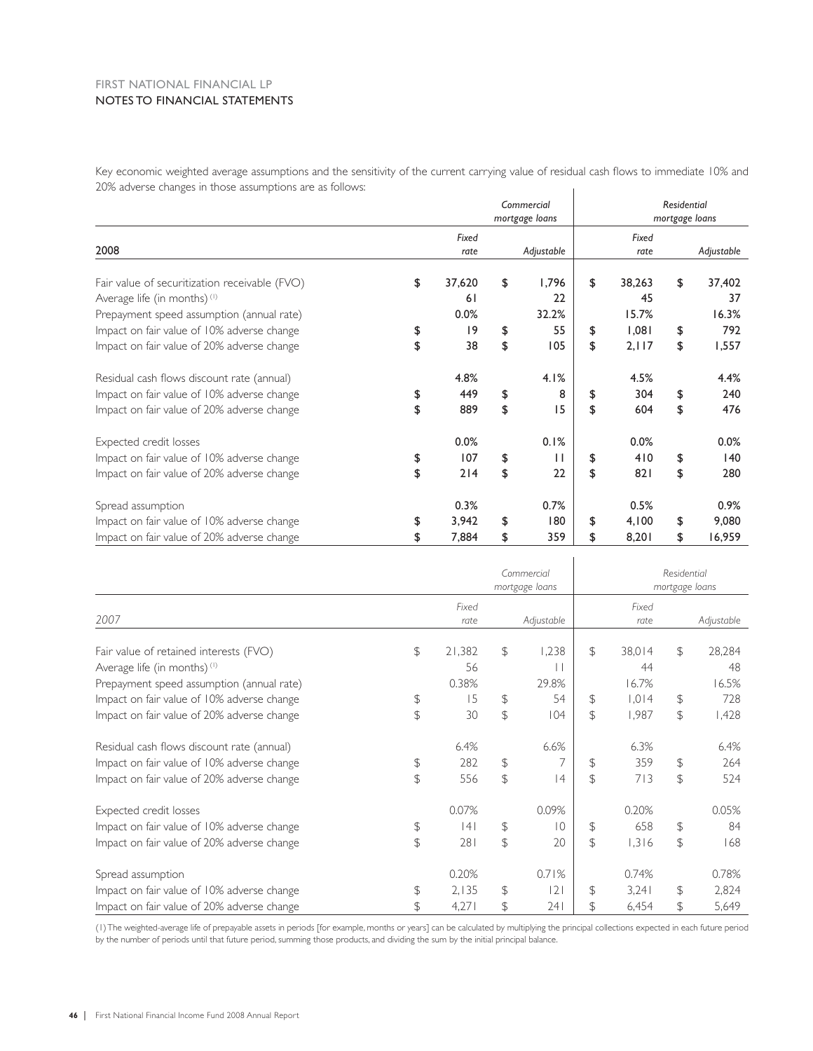### FIRST NATIONAL FINANCIAL LP NOTES TO FINANCIAL STATEMENTS

Key economic weighted average assumptions and the sensitivity of the current carrying value of residual cash flows to immediate 10% and 20% adverse changes in those assumptions are as follows:  $\mathbb T$ 

|                                               | Commercial     |        |    |            |    |        | Residential |                |  |  |
|-----------------------------------------------|----------------|--------|----|------------|----|--------|-------------|----------------|--|--|
|                                               | mortgage loans |        |    |            |    |        |             | mortgage loans |  |  |
|                                               |                | Fixed  |    |            |    | Fixed  |             |                |  |  |
| 2008                                          |                | rate   |    | Adjustable |    | rate   |             | Adjustable     |  |  |
| Fair value of securitization receivable (FVO) | \$             | 37,620 | \$ | 1,796      | \$ | 38,263 | \$          | 37,402         |  |  |
| Average life (in months) <sup>(1)</sup>       |                | 61     |    | 22         |    | 45     |             | 37             |  |  |
| Prepayment speed assumption (annual rate)     |                | 0.0%   |    | 32.2%      |    | 15.7%  |             | 16.3%          |  |  |
| Impact on fair value of 10% adverse change    | \$             | 9      | \$ | 55         | \$ | 1,081  | \$          | 792            |  |  |
| Impact on fair value of 20% adverse change    | \$             | 38     | \$ | 105        | \$ | 2,117  | \$          | 1,557          |  |  |
| Residual cash flows discount rate (annual)    |                | 4.8%   |    | 4.1%       |    | 4.5%   |             | 4.4%           |  |  |
| Impact on fair value of 10% adverse change    | \$             | 449    | \$ | 8          | \$ | 304    | \$          | 240            |  |  |
| Impact on fair value of 20% adverse change    | \$             | 889    | \$ | 15         | \$ | 604    | \$          | 476            |  |  |
| Expected credit losses                        |                | 0.0%   |    | 0.1%       |    | 0.0%   |             | 0.0%           |  |  |
| Impact on fair value of 10% adverse change    | \$             | 107    | \$ | $\perp$    | \$ | 410    | \$          | 140            |  |  |
| Impact on fair value of 20% adverse change    | \$             | 214    | \$ | 22         | \$ | 821    | \$          | 280            |  |  |
| Spread assumption                             |                | 0.3%   |    | 0.7%       |    | 0.5%   |             | 0.9%           |  |  |
| Impact on fair value of 10% adverse change    | \$             | 3,942  | \$ | 180        | \$ | 4,100  | \$          | 9,080          |  |  |
| Impact on fair value of 20% adverse change    | \$             | 7,884  | \$ | 359        | \$ | 8,201  | \$          | 16,959         |  |  |

|                                            |               | Commercial<br>mortgage loans |                |                |                | Residential<br>mortgage loans |                |            |  |  |
|--------------------------------------------|---------------|------------------------------|----------------|----------------|----------------|-------------------------------|----------------|------------|--|--|
| 2007                                       |               | Fixed<br>rate                |                | Adjustable     |                | Fixed<br>rate                 |                | Adjustable |  |  |
| Fair value of retained interests (FVO)     | \$            | 21,382                       | \$             | .238           | $\mathcal{F}$  | 38,014                        | \$             | 28,284     |  |  |
| Average life (in months) <sup>(1)</sup>    |               | 56                           |                |                |                | 44                            |                | 48         |  |  |
| Prepayment speed assumption (annual rate)  |               | 0.38%                        |                | 29.8%          |                | 16.7%                         |                | 16.5%      |  |  |
| Impact on fair value of 10% adverse change | \$            | 15                           | $\frac{1}{2}$  | 54             | $\mathfrak{D}$ | 1,014                         | \$             | 728        |  |  |
| Impact on fair value of 20% adverse change | \$            | 30                           | $\mathcal{L}$  | 104            | $\mathcal{L}$  | 1,987                         | \$             | 1,428      |  |  |
| Residual cash flows discount rate (annual) |               | 6.4%                         |                | 6.6%           |                | 6.3%                          |                | 6.4%       |  |  |
| Impact on fair value of 10% adverse change | \$            | 282                          | \$             |                | \$             | 359                           | \$             | 264        |  |  |
| Impact on fair value of 20% adverse change | $\mathcal{L}$ | 556                          | $\mathfrak{D}$ | 4              | $\mathcal{L}$  | 713                           | $\mathfrak{D}$ | 524        |  |  |
| Expected credit losses                     |               | 0.07%                        |                | 0.09%          |                | 0.20%                         |                | 0.05%      |  |  |
| Impact on fair value of 10% adverse change | \$            | 4                            | \$             | $\overline{0}$ | \$             | 658                           | \$             | 84         |  |  |
| Impact on fair value of 20% adverse change | \$            | 281                          | \$             | 20             | $\mathcal{L}$  | 1,316                         | \$             | 168        |  |  |
| Spread assumption                          |               | 0.20%                        |                | 0.71%          |                | 0.74%                         |                | 0.78%      |  |  |
| Impact on fair value of 10% adverse change | \$            | 2,135                        | \$             | 2              | $\mathcal{L}$  | 3,241                         | \$             | 2,824      |  |  |
| Impact on fair value of 20% adverse change | \$            | 4,271                        | \$             | 241            | $\mathcal{F}$  | 6,454                         | $\mathcal{F}$  | 5,649      |  |  |

 $\mathbf{L}$ 

(1) The weighted-average life of prepayable assets in periods [for example, months or years] can be calculated by multiplying the principal collections expected in each future period by the number of periods until that future period, summing those products, and dividing the sum by the initial principal balance.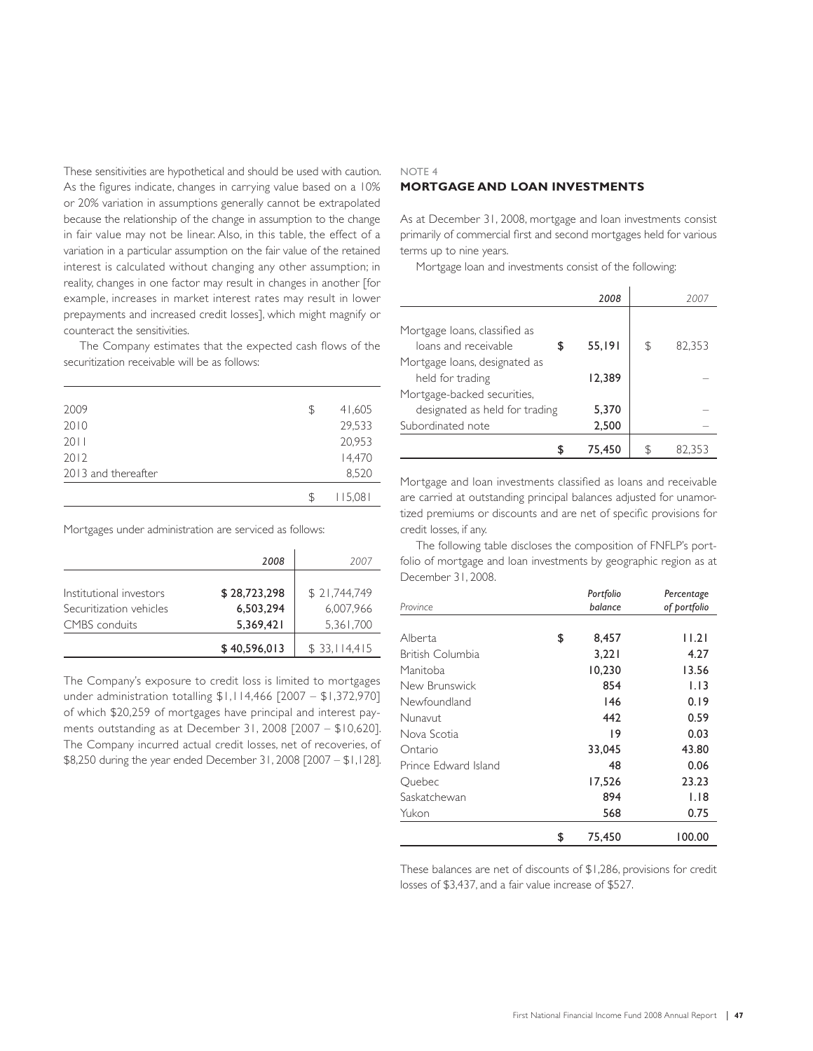These sensitivities are hypothetical and should be used with caution. As the figures indicate, changes in carrying value based on a 10% or 20% variation in assumptions generally cannot be extrapolated because the relationship of the change in assumption to the change in fair value may not be linear. Also, in this table, the effect of a variation in a particular assumption on the fair value of the retained interest is calculated without changing any other assumption; in reality, changes in one factor may result in changes in another [for example, increases in market interest rates may result in lower prepayments and increased credit losses], which might magnify or counteract the sensitivities.

The Company estimates that the expected cash flows of the securitization receivable will be as follows:

| 2009                | \$  | 41,605  |
|---------------------|-----|---------|
| 2010                |     | 29,533  |
| 2011                |     | 20,953  |
| 2012                |     | 14,470  |
| 2013 and thereafter |     | 8,520   |
|                     | \$. | 115,081 |

Mortgages under administration are serviced as follows:

|                         | 2008         | 2007         |
|-------------------------|--------------|--------------|
|                         |              |              |
| Institutional investors | \$28,723,298 | \$21,744,749 |
| Securitization vehicles | 6,503,294    | 6.007.966    |
| CMBS conduits           | 5,369,421    | 5,361,700    |
|                         | \$40,596,013 | \$33,114,415 |

The Company's exposure to credit loss is limited to mortgages under administration totalling \$1,114,466 [2007 – \$1,372,970] of which \$20,259 of mortgages have principal and interest payments outstanding as at December 31, 2008 [2007 – \$10,620]. The Company incurred actual credit losses, net of recoveries, of \$8,250 during the year ended December 31, 2008 [2007 – \$1,128].

### **MORTGAGE AND LOAN INVESTMENTS**

NOTE 4

As at December 31, 2008, mortgage and loan investments consist primarily of commercial first and second mortgages held for various terms up to nine years.

Mortgage loan and investments consist of the following:

|                                | 2008   |    | 2001   |
|--------------------------------|--------|----|--------|
|                                |        |    |        |
| Mortgage Ioans, classified as  |        |    |        |
| loans and receivable           | 55,191 | \$ | 82.353 |
| Mortgage Ioans, designated as  |        |    |        |
| held for trading               | 12.389 |    |        |
| Mortgage-backed securities,    |        |    |        |
| designated as held for trading | 5.370  |    |        |
| Subordinated note              | 2,500  |    |        |
|                                | 75,450 | S. | 82.353 |

Mortgage and loan investments classified as loans and receivable are carried at outstanding principal balances adjusted for unamortized premiums or discounts and are net of specific provisions for credit losses, if any.

The following table discloses the composition of FNFLP's portfolio of mortgage and loan investments by geographic region as at December 31, 2008.

| Province             | Portfolio<br>balance | Percentage<br>of portfolio |
|----------------------|----------------------|----------------------------|
|                      |                      |                            |
| Alberta              | \$<br>8,457          | 1.2                        |
| British Columbia     | 3,221                | 4.27                       |
| Manitoba             | 10,230               | 13.56                      |
| New Brunswick        | 854                  | 1.13                       |
| Newfoundland         | 146                  | 0.19                       |
| Nunavut              | 442                  | 0.59                       |
| Nova Scotia          | 19                   | 0.03                       |
| Ontario              | 33,045               | 43.80                      |
| Prince Edward Island | 48                   | 0.06                       |
| Quebec               | 17,526               | 23.23                      |
| Saskatchewan         | 894                  | 1.18                       |
| Yukon                | 568                  | 0.75                       |
|                      | \$<br>75,450         | 100.00                     |

These balances are net of discounts of \$1,286, provisions for credit losses of \$3,437, and a fair value increase of \$527.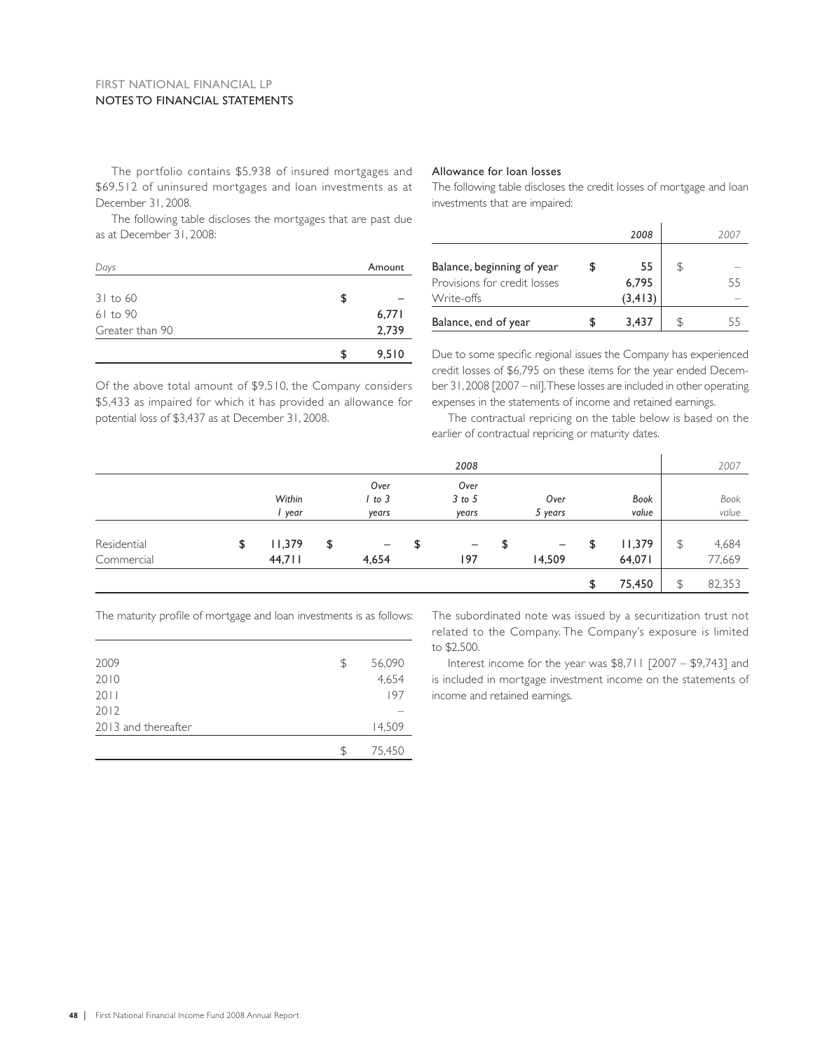### FIRST NATIONAL FINANCIAL LP NOTES TO FINANCIAL STATEMENTS

The portfolio contains \$5,938 of insured mortgages and \$69,512 of uninsured mortgages and loan investments as at December 31, 2008.

Allowance for loan losses

The following table discloses the credit losses of mortgage and loan investments that are impaired:

 *2008 2007*

Balance, beginning of year  $\qquad \qquad$  \$ 55  $\qquad \qquad$  55  $\qquad \qquad$ Provisions for credit losses 6,795 55 Write-offs  $(3,413)$  –

The following table discloses the mortgages that are past due as at December 31, 2008:

| Days            |     | Amount |
|-----------------|-----|--------|
| $31$ to 60      | S   |        |
| 61 to 90        |     | 6,771  |
| Greater than 90 |     | 2,739  |
|                 | \$. | 9,510  |

Of the above total amount of \$9,510, the Company considers \$5,433 as impaired for which it has provided an allowance for potential loss of \$3,437 as at December 31, 2008.

Balance, end of year  $\frac{1}{2}$  \$ 3,437  $\frac{1}{2}$  \$ 55 Due to some specific regional issues the Company has experienced credit losses of \$6,795 on these items for the year ended December 31, 2008 [2007 – nil]. These losses are included in other operating

expenses in the statements of income and retained earnings. The contractual repricing on the table below is based on the earlier of contractual repricing or maturity dates.

|             |              |                         | 2008    |         |              | 2007         |
|-------------|--------------|-------------------------|---------|---------|--------------|--------------|
|             |              | Over                    | Over    |         |              |              |
|             | Within       | 1 to 3                  | 3 to 5  | Over    | Book         | Book         |
|             | year         | years                   | years   | 5 years | value        | value        |
|             |              |                         |         |         |              |              |
| Residential | \$<br> 1,379 | \$<br>$\qquad \qquad -$ | \$<br>- | \$<br>- | \$<br>11,379 | \$<br>4,684  |
| Commercial  | 44,711       | 4,654                   | 197     | 14,509  | 64,071       | 77,669       |
|             |              |                         |         |         | \$<br>75,450 | \$<br>82,353 |

The maturity profile of mortgage and loan investments is as follows:

| 2009                | \$ | 56,090 |
|---------------------|----|--------|
| 2010                |    | 4,654  |
| 2011                |    | 197    |
| 2012                |    |        |
| 2013 and thereafter |    | 14,509 |
|                     | ß. | 75,450 |

The subordinated note was issued by a securitization trust not related to the Company. The Company's exposure is limited to \$2,500.

Interest income for the year was \$8,711 [2007 – \$9,743] and is included in mortgage investment income on the statements of income and retained earnings.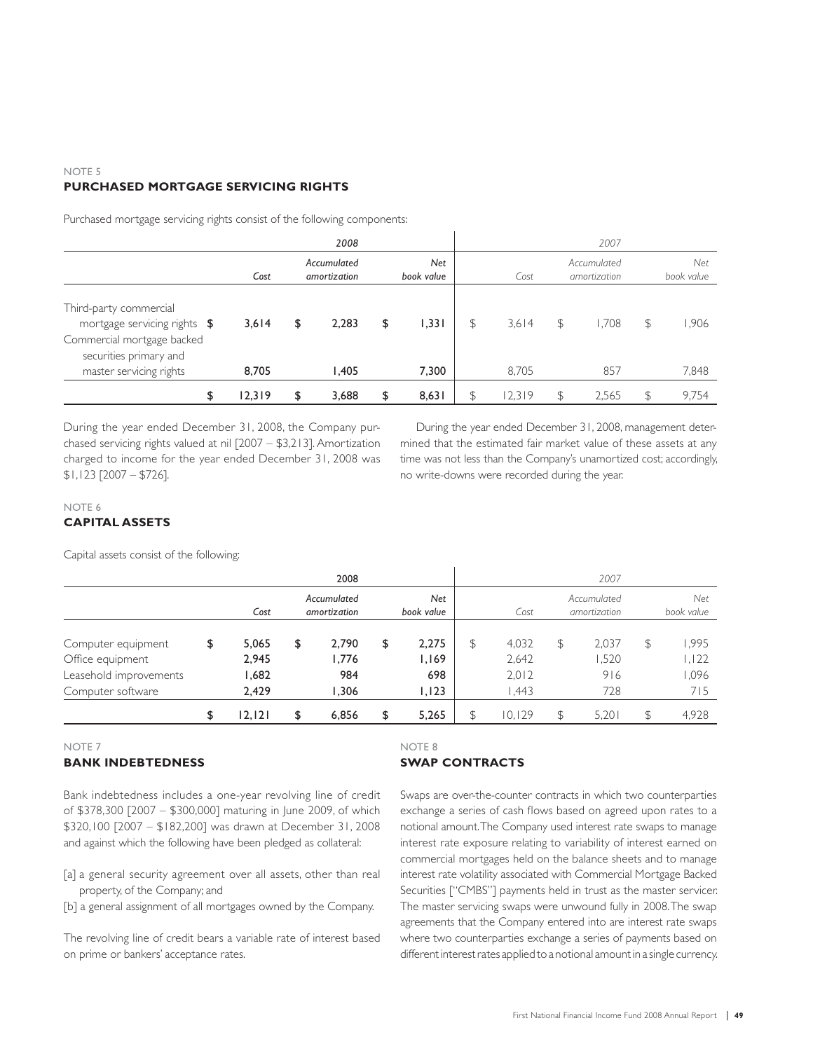### NOTE 5 **PURCHASED MORTGAGE SERVICING RIGHTS**

Purchased mortgage servicing rights consist of the following components:

|                                                                                                                                           |                |    | 2008           |    |                             |               |                |                                  | 2007         |    |                |  |                             |  |  |                   |  |
|-------------------------------------------------------------------------------------------------------------------------------------------|----------------|----|----------------|----|-----------------------------|---------------|----------------|----------------------------------|--------------|----|----------------|--|-----------------------------|--|--|-------------------|--|
|                                                                                                                                           | Cost           |    |                |    | Accumulated<br>amortization |               |                | <b>Net</b><br>Cost<br>book value |              |    |                |  | Accumulated<br>amortization |  |  | Net<br>book value |  |
| Third-party commercial<br>mortgage servicing rights \$<br>Commercial mortgage backed<br>securities primary and<br>master servicing rights | 3.614<br>8,705 | \$ | 2.283<br>I.405 | \$ | 1.331<br>7,300              | $\mathcal{L}$ | 3.614<br>8.705 | \$                               | 1.708<br>857 | \$ | 1,906<br>7,848 |  |                             |  |  |                   |  |
| \$                                                                                                                                        | 12,319         | \$ | 3,688          | \$ | 8,631                       | \$            | 12,319         | \$                               | 2,565        |    | 9.754          |  |                             |  |  |                   |  |

During the year ended December 31, 2008, the Company purchased servicing rights valued at nil [2007 – \$3,213]. Amortization charged to income for the year ended December 31, 2008 was \$1,123 [2007 – \$726].

During the year ended December 31, 2008, management determined that the estimated fair market value of these assets at any time was not less than the Company's unamortized cost; accordingly, no write-downs were recorded during the year.

### NOTE 6

### **CAPITAL ASSETS**

Capital assets consist of the following:

|                                                                  |                                |    | 2008                        |    |                       |               |                          | 2007                        |                               |                             |                   |
|------------------------------------------------------------------|--------------------------------|----|-----------------------------|----|-----------------------|---------------|--------------------------|-----------------------------|-------------------------------|-----------------------------|-------------------|
|                                                                  | Cost                           |    | Accumulated<br>amortization |    |                       |               | <b>Net</b><br>book value |                             | Cost                          | Accumulated<br>amortization | Net<br>book value |
| Computer equipment<br>Office equipment<br>Leasehold improvements | \$<br>5,065<br>2,945<br>682, ا | \$ | 2.790<br>776. ا<br>984      | \$ | 2,275<br>1,169<br>698 | \$            | 4.032<br>2,642<br>2,012  | \$<br>2.037<br>1,520<br>916 | \$<br>1.995<br>1,122<br>1,096 |                             |                   |
| Computer software                                                | 2,429                          |    | 306, ا                      |    | 1,123                 |               | 443. ا                   | 728                         | 715                           |                             |                   |
|                                                                  | \$<br>12.121                   | \$ | 6,856                       | \$ | 5,265                 | $\mathcal{F}$ | 10.129                   | 5.201                       | 4,928                         |                             |                   |

#### NOTE 7

### **BANK INDEBTEDNESS**

NOTE 8 **SWAP CONTRACTS**

Bank indebtedness includes a one-year revolving line of credit of \$378,300 [2007 – \$300,000] maturing in June 2009, of which \$320,100 [2007 – \$182,200] was drawn at December 31, 2008 and against which the following have been pledged as collateral:

- [a] a general security agreement over all assets, other than real property, of the Company; and
- [b] a general assignment of all mortgages owned by the Company.

The revolving line of credit bears a variable rate of interest based on prime or bankers' acceptance rates.

Swaps are over-the-counter contracts in which two counterparties exchange a series of cash flows based on agreed upon rates to a notional amount. The Company used interest rate swaps to manage interest rate exposure relating to variability of interest earned on commercial mortgages held on the balance sheets and to manage interest rate volatility associated with Commercial Mortgage Backed Securities ["CMBS"] payments held in trust as the master servicer. The master servicing swaps were unwound fully in 2008. The swap agreements that the Company entered into are interest rate swaps where two counterparties exchange a series of payments based on different interest rates applied to a notional amount in a single currency.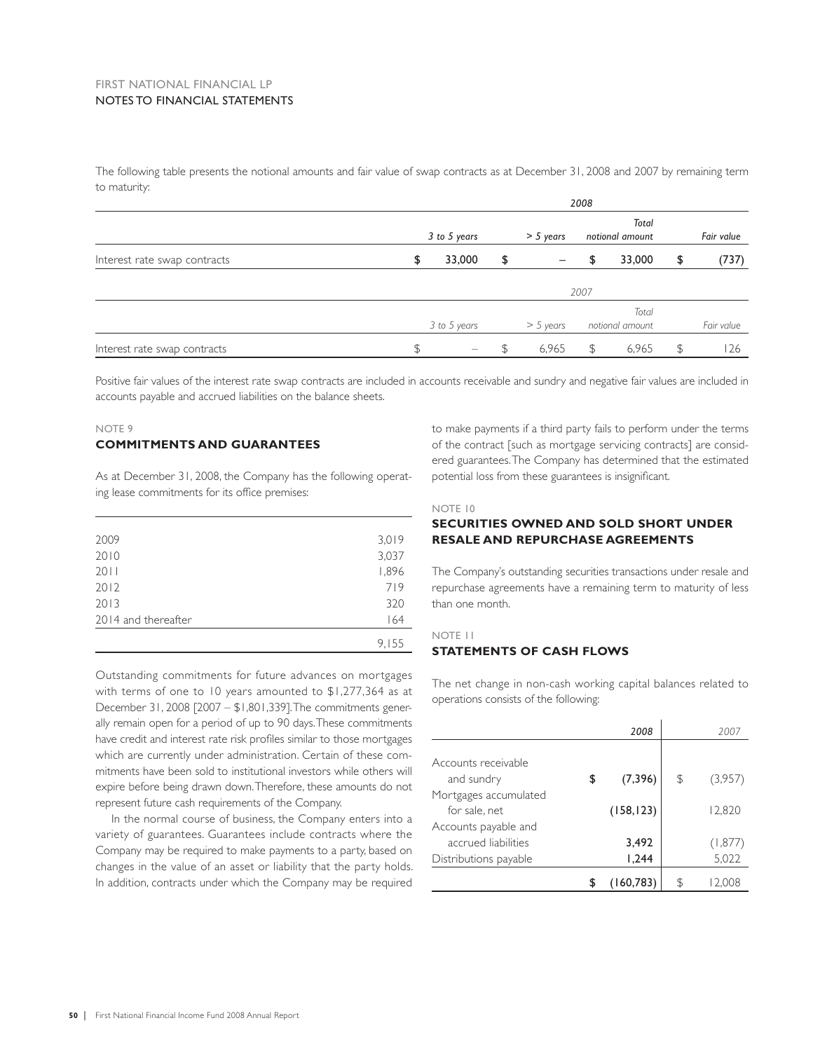### FIRST NATIONAL FINANCIAL LP NOTES TO FINANCIAL STATEMENTS

The following table presents the notional amounts and fair value of swap contracts as at December 31, 2008 and 2007 by remaining term to maturity:

|                              | 2008         |                          |    |                                |                 |        |            |            |  |  |
|------------------------------|--------------|--------------------------|----|--------------------------------|-----------------|--------|------------|------------|--|--|
|                              |              |                          |    |                                |                 | Total  |            |            |  |  |
|                              |              | 3 to 5 years             |    | $> 5$ years                    | notional amount |        |            | Fair value |  |  |
| Interest rate swap contracts | \$           | 33,000                   | \$ |                                | \$              | 33,000 | \$         | (737)      |  |  |
|                              |              |                          |    |                                | 2007            |        |            |            |  |  |
|                              |              |                          |    |                                |                 | Total  |            |            |  |  |
|                              | 3 to 5 years |                          |    | $>$ 5 years<br>notional amount |                 |        | Fair value |            |  |  |
| Interest rate swap contracts | \$           | $\overline{\phantom{a}}$ |    | 6,965                          | \$              | 6,965  | S          | 126        |  |  |

Positive fair values of the interest rate swap contracts are included in accounts receivable and sundry and negative fair values are included in accounts payable and accrued liabilities on the balance sheets.

### NOTE 9 **COMMITMENTS AND GUARANTEES**

As at December 31, 2008, the Company has the following operating lease commitments for its office premises:

| 2009                | 3,019 |
|---------------------|-------|
| 2010                | 3,037 |
| 2011                | 1,896 |
| 2012                | 719   |
| 2013                | 320   |
| 2014 and thereafter | 164   |
|                     | 9,155 |

Outstanding commitments for future advances on mortgages with terms of one to 10 years amounted to \$1,277,364 as at December 31, 2008 [2007 – \$1,801,339]. The commitments generally remain open for a period of up to 90 days. These commitments have credit and interest rate risk profiles similar to those mortgages which are currently under administration. Certain of these commitments have been sold to institutional investors while others will expire before being drawn down. Therefore, these amounts do not represent future cash requirements of the Company.

In the normal course of business, the Company enters into a variety of guarantees. Guarantees include contracts where the Company may be required to make payments to a party, based on changes in the value of an asset or liability that the party holds. In addition, contracts under which the Company may be required to make payments if a third party fails to perform under the terms of the contract [such as mortgage servicing contracts] are considered guarantees. The Company has determined that the estimated potential loss from these guarantees is insignificant.

### NOTE 10

### **SECURITIES OWNED AND SOLD SHORT UNDER RESALE AND REPURCHASE AGREEMENTS**

The Company's outstanding securities transactions under resale and repurchase agreements have a remaining term to maturity of less than one month.

### NOTE 11

### **STATEMENTS OF CASH FLOWS**

The net change in non-cash working capital balances related to operations consists of the following:

|                       | 2008           |    | 200.    |
|-----------------------|----------------|----|---------|
|                       |                |    |         |
| Accounts receivable   |                |    |         |
| and sundry            | \$<br>(7, 396) | \$ | (3,957) |
| Mortgages accumulated |                |    |         |
| for sale, net         | (158, 123)     |    | 12,820  |
| Accounts payable and  |                |    |         |
| accrued liabilities   | 3.492          |    | (1,877) |
| Distributions payable | 1,244          |    | 5,022   |
|                       | (160,783)      | S. |         |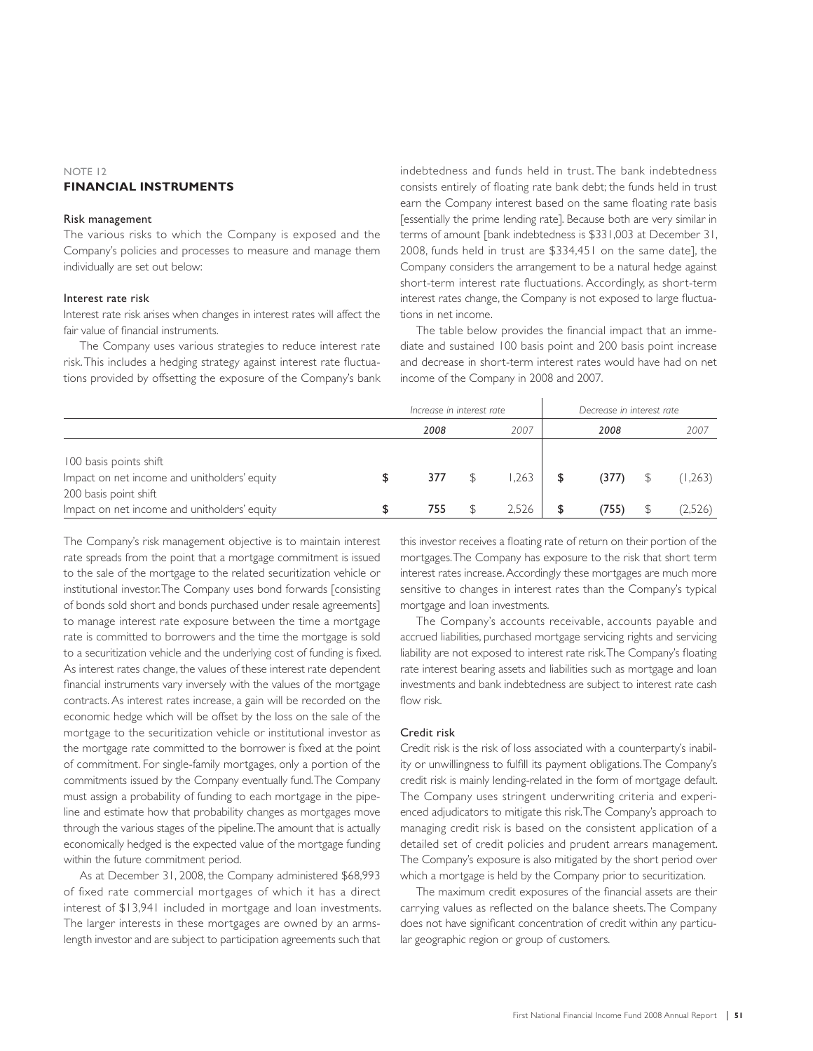### NOTE 12 **FINANCIAL INSTRUMENTS**

### Risk management

The various risks to which the Company is exposed and the Company's policies and processes to measure and manage them individually are set out below:

### Interest rate risk

Interest rate risk arises when changes in interest rates will affect the fair value of financial instruments.

The Company uses various strategies to reduce interest rate risk. This includes a hedging strategy against interest rate fluctuations provided by offsetting the exposure of the Company's bank indebtedness and funds held in trust. The bank indebtedness consists entirely of floating rate bank debt; the funds held in trust earn the Company interest based on the same floating rate basis [essentially the prime lending rate]. Because both are very similar in terms of amount [bank indebtedness is \$331,003 at December 31, 2008, funds held in trust are \$334,451 on the same date], the Company considers the arrangement to be a natural hedge against short-term interest rate fluctuations. Accordingly, as short-term interest rates change, the Company is not exposed to large fluctuations in net income.

The table below provides the financial impact that an immediate and sustained 100 basis point and 200 basis point increase and decrease in short-term interest rates would have had on net income of the Company in 2008 and 2007.

|                                                                                                 | Increase in interest rate |  | Decrease in interest rate |    |       |  |         |
|-------------------------------------------------------------------------------------------------|---------------------------|--|---------------------------|----|-------|--|---------|
|                                                                                                 | 2008                      |  | 2007                      |    | 2008  |  | 2007    |
| 100 basis points shift<br>Impact on net income and unitholders' equity<br>200 basis point shift | 377                       |  | 1,263                     | \$ | (377) |  | (1,263) |
| Impact on net income and unitholders' equity                                                    | 755                       |  | 2.526                     |    | (755) |  | (2,526) |

The Company's risk management objective is to maintain interest rate spreads from the point that a mortgage commitment is issued to the sale of the mortgage to the related securitization vehicle or institutional investor. The Company uses bond forwards [consisting of bonds sold short and bonds purchased under resale agreements] to manage interest rate exposure between the time a mortgage rate is committed to borrowers and the time the mortgage is sold to a securitization vehicle and the underlying cost of funding is fixed. As interest rates change, the values of these interest rate dependent financial instruments vary inversely with the values of the mortgage contracts. As interest rates increase, a gain will be recorded on the economic hedge which will be offset by the loss on the sale of the mortgage to the securitization vehicle or institutional investor as the mortgage rate committed to the borrower is fixed at the point of commitment. For single-family mortgages, only a portion of the commitments issued by the Company eventually fund. The Company must assign a probability of funding to each mortgage in the pipeline and estimate how that probability changes as mortgages move through the various stages of the pipeline. The amount that is actually economically hedged is the expected value of the mortgage funding within the future commitment period.

As at December 31, 2008, the Company administered \$68,993 of fixed rate commercial mortgages of which it has a direct interest of \$13,941 included in mortgage and loan investments. The larger interests in these mortgages are owned by an armslength investor and are subject to participation agreements such that this investor receives a floating rate of return on their portion of the mortgages. The Company has exposure to the risk that short term interest rates increase. Accordingly these mortgages are much more sensitive to changes in interest rates than the Company's typical mortgage and loan investments.

The Company's accounts receivable, accounts payable and accrued liabilities, purchased mortgage servicing rights and servicing liability are not exposed to interest rate risk. The Company's floating rate interest bearing assets and liabilities such as mortgage and loan investments and bank indebtedness are subject to interest rate cash flow risk.

### Credit risk

Credit risk is the risk of loss associated with a counterparty's inability or unwillingness to fulfill its payment obligations. The Company's credit risk is mainly lending-related in the form of mortgage default. The Company uses stringent underwriting criteria and experienced adjudicators to mitigate this risk. The Company's approach to managing credit risk is based on the consistent application of a detailed set of credit policies and prudent arrears management. The Company's exposure is also mitigated by the short period over which a mortgage is held by the Company prior to securitization.

The maximum credit exposures of the financial assets are their carrying values as reflected on the balance sheets. The Company does not have significant concentration of credit within any particular geographic region or group of customers.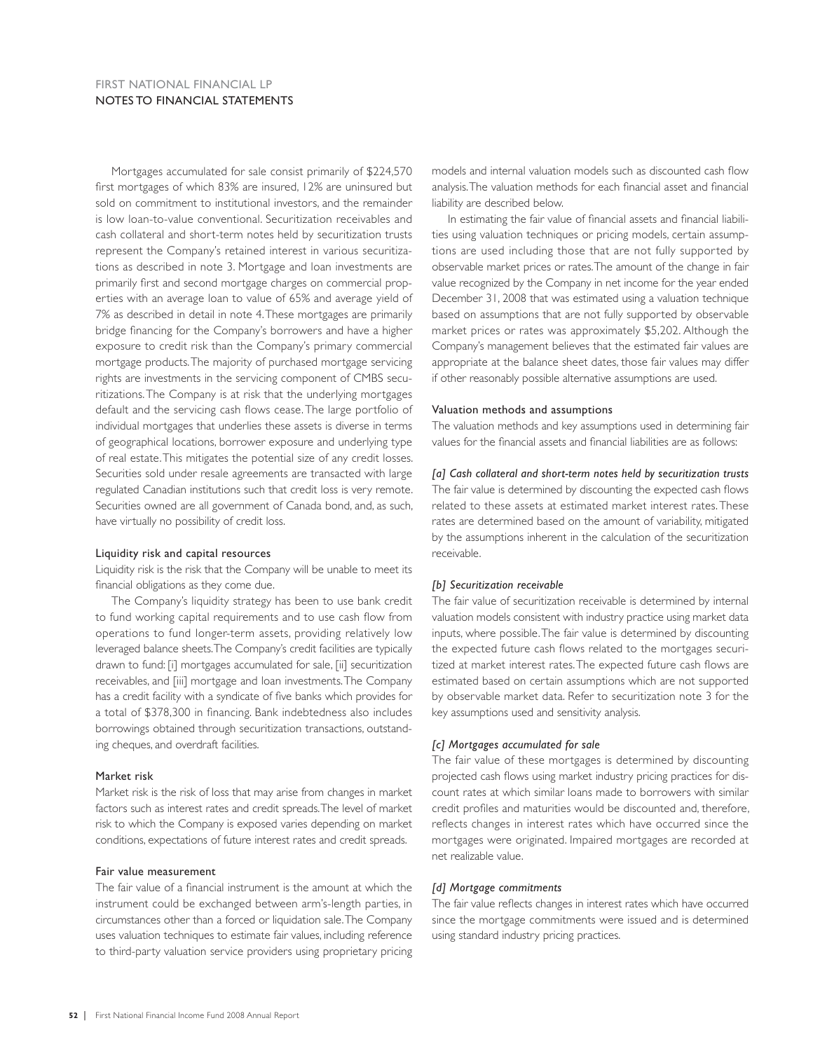### FIRST NATIONAL FINANCIAL LP NOTES TO FINANCIAL STATEMENTS

Mortgages accumulated for sale consist primarily of \$224,570 first mortgages of which 83% are insured, 12% are uninsured but sold on commitment to institutional investors, and the remainder is low loan-to-value conventional. Securitization receivables and cash collateral and short-term notes held by securitization trusts represent the Company's retained interest in various securitizations as described in note 3. Mortgage and loan investments are primarily first and second mortgage charges on commercial properties with an average loan to value of 65% and average yield of 7% as described in detail in note 4. These mortgages are primarily bridge financing for the Company's borrowers and have a higher exposure to credit risk than the Company's primary commercial mortgage products. The majority of purchased mortgage servicing rights are investments in the servicing component of CMBS securitizations. The Company is at risk that the underlying mortgages default and the servicing cash flows cease. The large portfolio of individual mortgages that underlies these assets is diverse in terms of geographical locations, borrower exposure and underlying type of real estate. This mitigates the potential size of any credit losses. Securities sold under resale agreements are transacted with large regulated Canadian institutions such that credit loss is very remote. Securities owned are all government of Canada bond, and, as such, have virtually no possibility of credit loss.

### Liquidity risk and capital resources

Liquidity risk is the risk that the Company will be unable to meet its financial obligations as they come due.

The Company's liquidity strategy has been to use bank credit to fund working capital requirements and to use cash flow from operations to fund longer-term assets, providing relatively low leveraged balance sheets. The Company's credit facilities are typically drawn to fund: [i] mortgages accumulated for sale, [ii] securitization receivables, and [iii] mortgage and loan investments. The Company has a credit facility with a syndicate of five banks which provides for a total of \$378,300 in financing. Bank indebtedness also includes borrowings obtained through securitization transactions, outstanding cheques, and overdraft facilities.

#### Market risk

Market risk is the risk of loss that may arise from changes in market factors such as interest rates and credit spreads. The level of market risk to which the Company is exposed varies depending on market conditions, expectations of future interest rates and credit spreads.

### Fair value measurement

The fair value of a financial instrument is the amount at which the instrument could be exchanged between arm's-length parties, in circumstances other than a forced or liquidation sale. The Company uses valuation techniques to estimate fair values, including reference to third-party valuation service providers using proprietary pricing

models and internal valuation models such as discounted cash flow analysis. The valuation methods for each financial asset and financial liability are described below.

In estimating the fair value of financial assets and financial liabilities using valuation techniques or pricing models, certain assumptions are used including those that are not fully supported by observable market prices or rates. The amount of the change in fair value recognized by the Company in net income for the year ended December 31, 2008 that was estimated using a valuation technique based on assumptions that are not fully supported by observable market prices or rates was approximately \$5,202. Although the Company's management believes that the estimated fair values are appropriate at the balance sheet dates, those fair values may differ if other reasonably possible alternative assumptions are used.

### Valuation methods and assumptions

The valuation methods and key assumptions used in determining fair values for the financial assets and financial liabilities are as follows:

### *[a] Cash collateral and short-term notes held by securitization trusts*

The fair value is determined by discounting the expected cash flows related to these assets at estimated market interest rates. These rates are determined based on the amount of variability, mitigated by the assumptions inherent in the calculation of the securitization receivable.

### *[b] Securitization receivable*

The fair value of securitization receivable is determined by internal valuation models consistent with industry practice using market data inputs, where possible. The fair value is determined by discounting the expected future cash flows related to the mortgages securitized at market interest rates. The expected future cash flows are estimated based on certain assumptions which are not supported by observable market data. Refer to securitization note 3 for the key assumptions used and sensitivity analysis.

### *[c] Mortgages accumulated for sale*

The fair value of these mortgages is determined by discounting projected cash flows using market industry pricing practices for discount rates at which similar loans made to borrowers with similar credit profiles and maturities would be discounted and, therefore, reflects changes in interest rates which have occurred since the mortgages were originated. Impaired mortgages are recorded at net realizable value.

### *[d] Mortgage commitments*

The fair value reflects changes in interest rates which have occurred since the mortgage commitments were issued and is determined using standard industry pricing practices.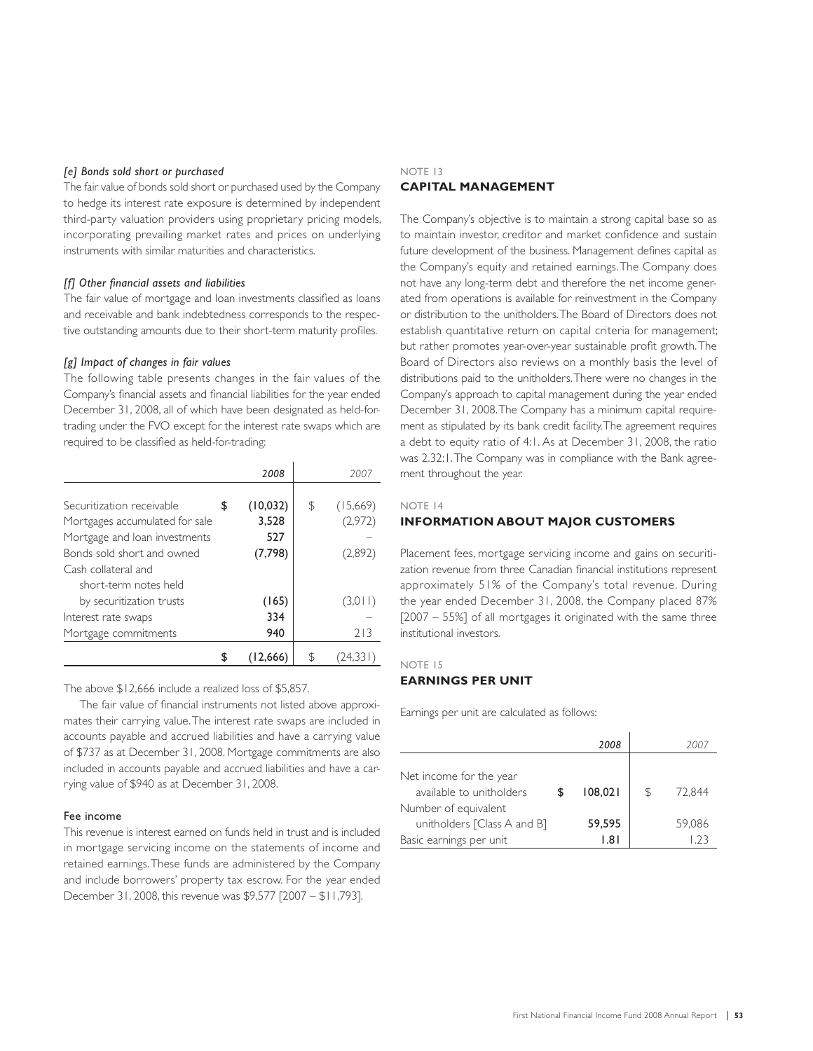### *[e] Bonds sold short or purchased*

The fair value of bonds sold short or purchased used by the Company to hedge its interest rate exposure is determined by independent third-party valuation providers using proprietary pricing models, incorporating prevailing market rates and prices on underlying instruments with similar maturities and characteristics.

### *[f] Other fi nancial assets and liabilities*

The fair value of mortgage and loan investments classified as loans and receivable and bank indebtedness corresponds to the respective outstanding amounts due to their short-term maturity profiles.

### *[g] Impact of changes in fair values*

The following table presents changes in the fair values of the Company's financial assets and financial liabilities for the year ended December 31, 2008, all of which have been designated as held-fortrading under the FVO except for the interest rate swaps which are required to be classified as held-for-trading:

|                                | 2008            | 2007           |
|--------------------------------|-----------------|----------------|
|                                |                 |                |
| Securitization receivable      | \$<br>(10, 032) | \$<br>(15,669) |
| Mortgages accumulated for sale | 3,528           | (2,972)        |
| Mortgage and loan investments  | 527             |                |
| Bonds sold short and owned     | (7,798)         | (2,892)        |
| Cash collateral and            |                 |                |
| short-term notes held          |                 |                |
| by securitization trusts       | (165)           | (3,011)        |
| Interest rate swaps            | 334             |                |
| Mortgage commitments           | 940             | 213            |
|                                | 12,666          |                |

The above \$12,666 include a realized loss of \$5,857.

The fair value of financial instruments not listed above approximates their carrying value. The interest rate swaps are included in accounts payable and accrued liabilities and have a carrying value of \$737 as at December 31, 2008. Mortgage commitments are also included in accounts payable and accrued liabilities and have a carrying value of \$940 as at December 31, 2008.

### Fee income

This revenue is interest earned on funds held in trust and is included in mortgage servicing income on the statements of income and retained earnings. These funds are administered by the Company and include borrowers' property tax escrow. For the year ended December 31, 2008, this revenue was \$9,577 [2007 – \$11,793].

### NOTE 13 **CAPITAL MANAGEMENT**

The Company's objective is to maintain a strong capital base so as to maintain investor, creditor and market confidence and sustain future development of the business. Management defines capital as the Company's equity and retained earnings. The Company does not have any long-term debt and therefore the net income generated from operations is available for reinvestment in the Company or distribution to the unitholders. The Board of Directors does not establish quantitative return on capital criteria for management; but rather promotes year-over-year sustainable profit growth. The Board of Directors also reviews on a monthly basis the level of distributions paid to the unitholders. There were no changes in the Company's approach to capital management during the year ended December 31, 2008. The Company has a minimum capital requirement as stipulated by its bank credit facility. The agreement requires a debt to equity ratio of 4:1. As at December 31, 2008, the ratio was 2.32:1. The Company was in compliance with the Bank agreement throughout the year.

### NOTE 14

### **INFORMATION ABOUT MAJOR CUSTOMERS**

Placement fees, mortgage servicing income and gains on securitization revenue from three Canadian financial institutions represent approximately 51% of the Company's total revenue. During the year ended December 31, 2008, the Company placed 87% [2007 – 55%] of all mortgages it originated with the same three institutional investors.

### NOTE 15

### **EARNINGS PER UNIT**

Earnings per unit are calculated as follows:

|                                                     | 2008    |    | 2007   |
|-----------------------------------------------------|---------|----|--------|
| Net income for the year<br>available to unitholders | 108.021 | ß. | 72.844 |
| Number of equivalent<br>unitholders [Class A and B] | 59,595  |    | 59,086 |
| Basic earnings per unit                             | 1.81    |    |        |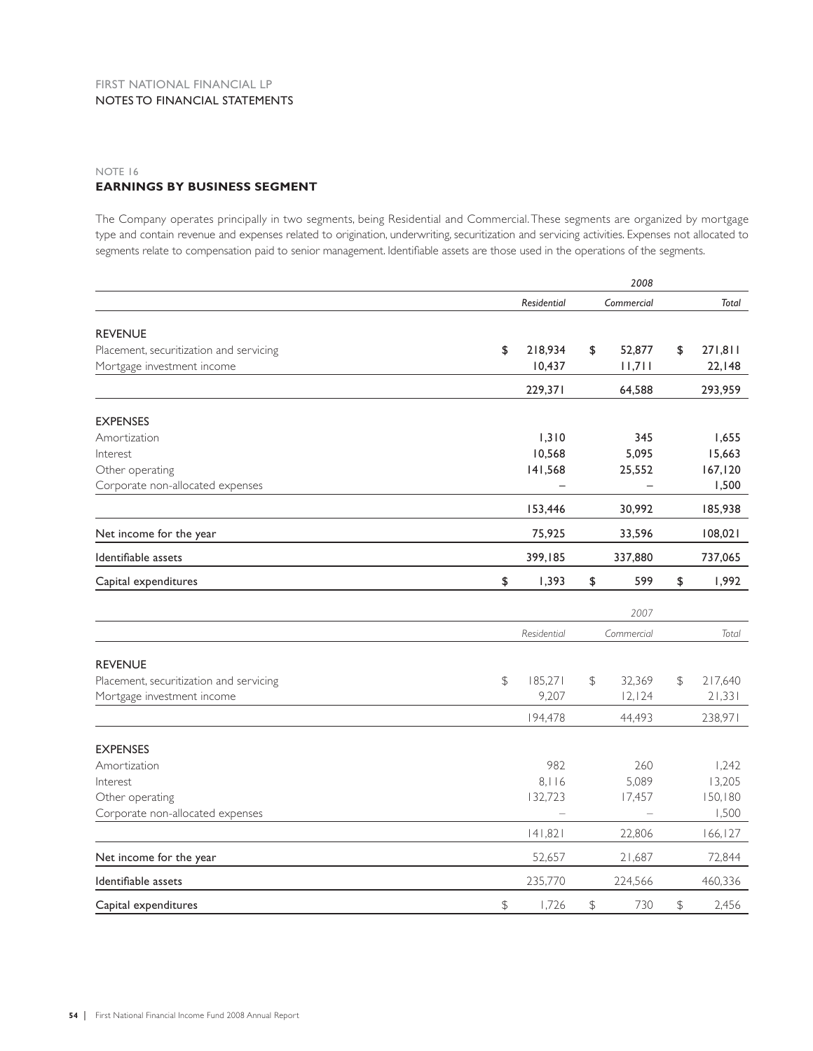### NOTE 16 **EARNINGS BY BUSINESS SEGMENT**

The Company operates principally in two segments, being Residential and Commercial. These segments are organized by mortgage type and contain revenue and expenses related to origination, underwriting, securitization and servicing activities. Expenses not allocated to segments relate to compensation paid to senior management. Identifiable assets are those used in the operations of the segments.

|                                                                       |                          |               | 2008                     |                         |
|-----------------------------------------------------------------------|--------------------------|---------------|--------------------------|-------------------------|
|                                                                       | <b>Residential</b>       |               | Commercial               | <b>Total</b>            |
| <b>REVENUE</b>                                                        |                          |               |                          |                         |
| Placement, securitization and servicing                               | 218,934<br>\$            | \$            | 52,877                   | \$<br>271,811           |
| Mortgage investment income                                            | 10,437                   |               | 11,711                   | 22,148                  |
|                                                                       | 229,371                  |               | 64,588                   | 293,959                 |
| <b>EXPENSES</b>                                                       |                          |               |                          |                         |
| Amortization                                                          | 1,310                    |               | 345                      | 1,655                   |
| Interest                                                              | 10,568                   |               | 5,095                    | 15,663                  |
| Other operating                                                       | 141,568                  |               | 25,552                   | 167, 120                |
| Corporate non-allocated expenses                                      | $\overline{\phantom{0}}$ |               | $\overline{\phantom{0}}$ | 1,500                   |
|                                                                       | 153,446                  |               | 30,992                   | 185,938                 |
| Net income for the year                                               | 75,925                   |               | 33,596                   | 108,021                 |
| Identifiable assets                                                   | 399,185                  |               | 337,880                  | 737,065                 |
| Capital expenditures                                                  | \$<br>1,393              | \$            | 599                      | \$<br>1,992             |
|                                                                       |                          |               | 2007                     |                         |
|                                                                       | Residential              |               | Commercial               | Total                   |
|                                                                       |                          |               |                          |                         |
| <b>REVENUE</b>                                                        | 185,271                  |               |                          |                         |
| Placement, securitization and servicing<br>Mortgage investment income | $\mathfrak{P}$<br>9,207  | \$            | 32,369<br>12, 124        | \$<br>217,640<br>21,331 |
|                                                                       |                          |               |                          |                         |
|                                                                       | 194,478                  |               | 44,493                   | 238,971                 |
| <b>EXPENSES</b>                                                       |                          |               |                          |                         |
| Amortization                                                          | 982                      |               | 260                      | 1,242                   |
| Interest                                                              | 8,116                    |               | 5,089                    | 13,205                  |
| Other operating                                                       | 132,723                  |               | 17,457                   | 150, 180                |
| Corporate non-allocated expenses                                      |                          |               |                          | 1,500                   |
|                                                                       | 141,821                  |               | 22,806                   | 166, 127                |
| Net income for the year                                               | 52,657                   |               | 21,687                   | 72,844                  |
| Identifiable assets                                                   | 235,770                  |               | 224,566                  | 460,336                 |
| Capital expenditures                                                  | $\frac{1}{2}$<br>1,726   | $\frac{1}{2}$ | 730                      | \$<br>2,456             |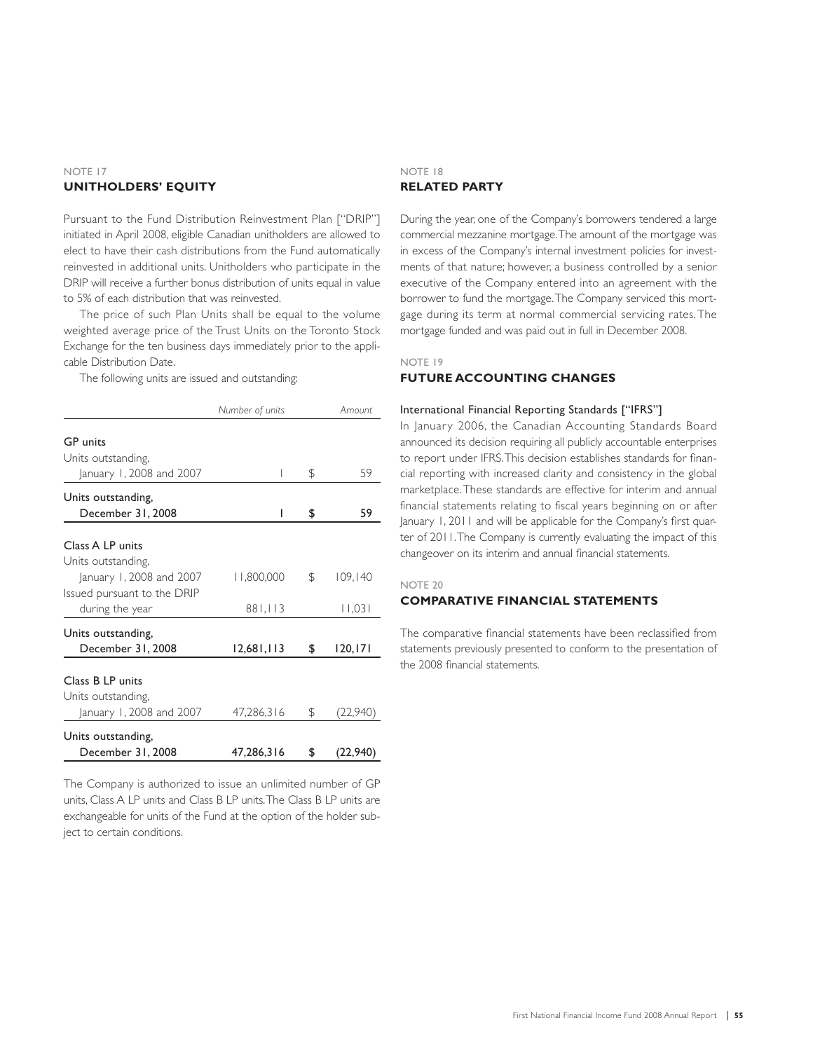### NOTE 17 **UNITHOLDERS' EQUITY**

Pursuant to the Fund Distribution Reinvestment Plan ["DRIP"] initiated in April 2008, eligible Canadian unitholders are allowed to elect to have their cash distributions from the Fund automatically reinvested in additional units. Unitholders who participate in the DRIP will receive a further bonus distribution of units equal in value to 5% of each distribution that was reinvested.

The price of such Plan Units shall be equal to the volume weighted average price of the Trust Units on the Toronto Stock Exchange for the ten business days immediately prior to the applicable Distribution Date.

The following units are issued and outstanding:

|                                                                                                                 | Number of units |              | Amount                                                                                                                                                                                                                                                                                                                             |
|-----------------------------------------------------------------------------------------------------------------|-----------------|--------------|------------------------------------------------------------------------------------------------------------------------------------------------------------------------------------------------------------------------------------------------------------------------------------------------------------------------------------|
| <b>GP</b> units<br>Units outstanding,<br>January 1, 2008 and 2007                                               |                 | \$           | 59                                                                                                                                                                                                                                                                                                                                 |
| Units outstanding,<br>December 31, 2008                                                                         | I               | \$           | 59                                                                                                                                                                                                                                                                                                                                 |
| Class A LP units<br>Units outstanding,                                                                          |                 |              |                                                                                                                                                                                                                                                                                                                                    |
| January 1, 2008 and 2007<br>Issued pursuant to the DRIP                                                         | 11,800,000      | $\mathbb{S}$ | 109,140                                                                                                                                                                                                                                                                                                                            |
| during the year                                                                                                 | 881,113         |              | 1,03                                                                                                                                                                                                                                                                                                                               |
| Units outstanding,<br>December 31, 2008                                                                         | 12,681,113      | \$           | 120, 171                                                                                                                                                                                                                                                                                                                           |
| Class B LP units<br>Units outstanding,<br>January 1, 2008 and 2007                                              | 47,286,316      | S            | (22,940)                                                                                                                                                                                                                                                                                                                           |
|                                                                                                                 |                 |              |                                                                                                                                                                                                                                                                                                                                    |
| Units outstanding,<br>December 31, 2008                                                                         | 47,286,316      | \$           | (22, 940)                                                                                                                                                                                                                                                                                                                          |
| the contract of the contract of the contract of the contract of the contract of the contract of the contract of |                 |              | $\mathbb{R}$ $\mathbb{R}$ $\mathbb{R}$ $\mathbb{R}$ $\mathbb{R}$ $\mathbb{R}$ $\mathbb{R}$ $\mathbb{R}$ $\mathbb{R}$ $\mathbb{R}$ $\mathbb{R}$ $\mathbb{R}$ $\mathbb{R}$ $\mathbb{R}$ $\mathbb{R}$ $\mathbb{R}$ $\mathbb{R}$ $\mathbb{R}$ $\mathbb{R}$ $\mathbb{R}$ $\mathbb{R}$ $\mathbb{R}$ $\mathbb{R}$ $\mathbb{R}$ $\mathbb{$ |

The Company is authorized to issue an unlimited number of GP units, Class A LP units and Class B LP units. The Class B LP units are exchangeable for units of the Fund at the option of the holder subject to certain conditions.

### NOTE 18 **RELATED PARTY**

During the year, one of the Company's borrowers tendered a large commercial mezzanine mortgage. The amount of the mortgage was in excess of the Company's internal investment policies for investments of that nature; however, a business controlled by a senior executive of the Company entered into an agreement with the borrower to fund the mortgage. The Company serviced this mortgage during its term at normal commercial servicing rates. The mortgage funded and was paid out in full in December 2008.

### NOTE 19

### **FUTURE ACCOUNTING CHANGES**

### International Financial Reporting Standards ["IFRS"]

In January 2006, the Canadian Accounting Standards Board announced its decision requiring all publicly accountable enterprises to report under IFRS. This decision establishes standards for financial reporting with increased clarity and consistency in the global marketplace. These standards are effective for interim and annual financial statements relating to fiscal years beginning on or after January 1, 2011 and will be applicable for the Company's first quarter of 2011. The Company is currently evaluating the impact of this changeover on its interim and annual financial statements.

### NOTE 20

### **COMPARATIVE FINANCIAL STATEMENTS**

The comparative financial statements have been reclassified from statements previously presented to conform to the presentation of the 2008 financial statements.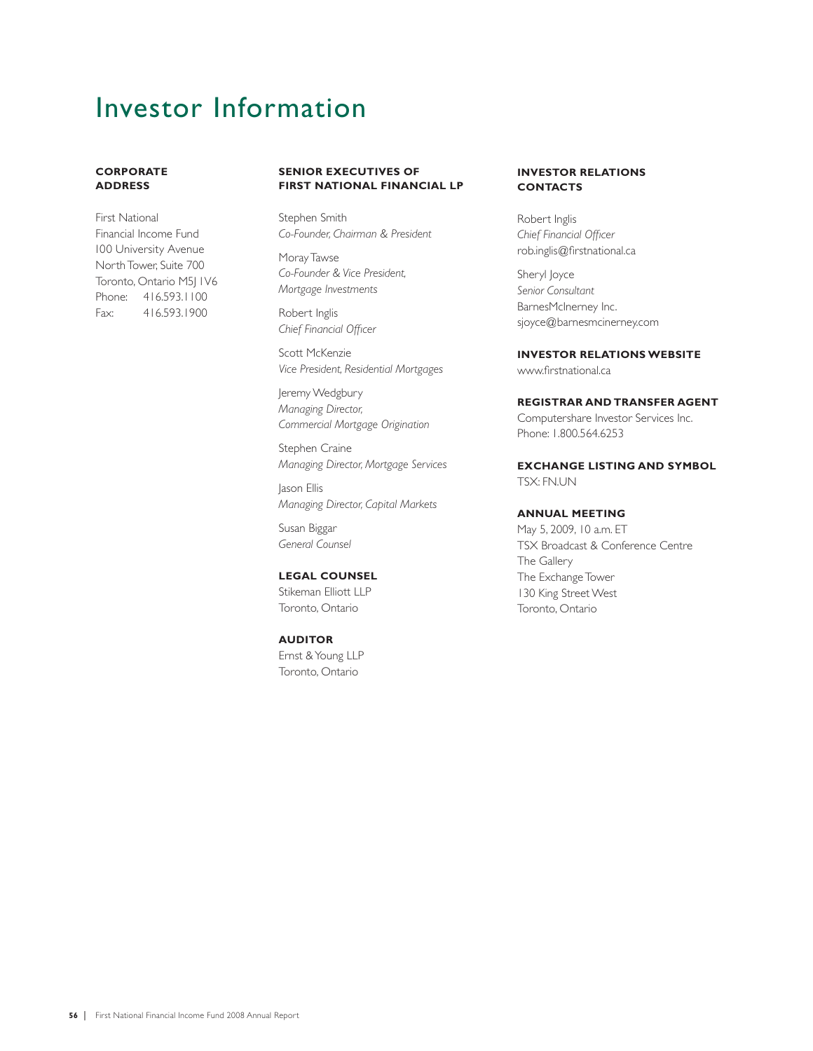# Investor Information

### **CORPORATE ADDRESS**

First National Financial Income Fund 100 University Avenue North Tower, Suite 700 Toronto, Ontario M5J 1V6 Phone: 416.593.1100 Fax: 416.593.1900

### **SENIOR EXECUTIVES OF FIRST NATIONAL FINANCIAL LP**

Stephen Smith *Co-Founder, Chairman & President*

Moray Tawse *Co-Founder & Vice President, Mortgage Investments*

Robert Inglis **Chief Financial Officer** 

Scott McKenzie *Vice President, Residential Mortgages*

Jeremy Wedgbury *Managing Director, Commercial Mortgage Origination*

Stephen Craine *Managing Director, Mortgage Services*

Jason Ellis *Managing Director, Capital Markets*

Susan Biggar *General Counsel*

### **LEGAL COUNSEL**

Stikeman Elliott LLP Toronto, Ontario

### **AUDITOR**

Ernst & Young LLP Toronto, Ontario

### **INVESTOR RELATIONS CONTACTS**

Robert Inglis *Chief Financial Officer* rob.inglis@firstnational.ca

Sheryl Joyce *Senior Consultant* BarnesMcInerney Inc. sjoyce@barnesmcinerney.com

**INVESTOR RELATIONS WEBSITE** www.firstnational.ca

### **REGISTRAR AND TRANSFER AGENT**

Computershare Investor Services Inc. Phone: 1.800.564.6253

### **EXCHANGE LISTING AND SYMBOL** TSX: FN.UN

### **ANNUAL MEETING**

May 5, 2009, 10 a.m. ET TSX Broadcast & Conference Centre The Gallery The Exchange Tower 130 King Street West Toronto, Ontario